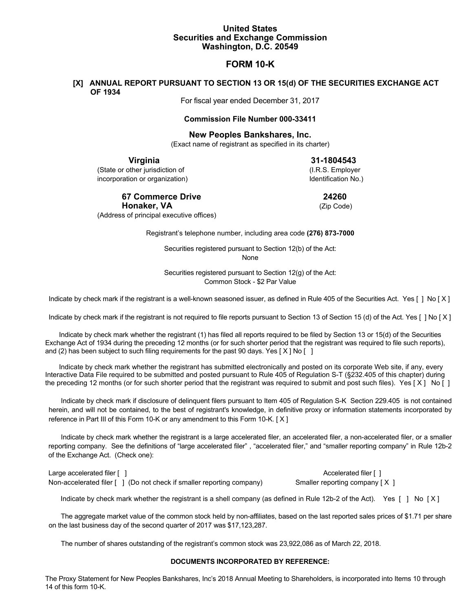### **United States Securities and Exchange Commission Washington, D.C. 20549**

### **FORM 10-K**

#### **[X] ANNUAL REPORT PURSUANT TO SECTION 13 OR 15(d) OF THE SECURITIES EXCHANGE ACT OF 1934**

For fiscal year ended December 31, 2017

### **Commission File Number 000-33411**

#### **New Peoples Bankshares, Inc.**

(Exact name of registrant as specified in its charter)

### **Virginia 31-1804543**

(State or other jurisdiction of (I.R.S. Employer incorporation or organization) and incorporation No.)

### **67 Commerce Drive 24260**

(Address of principal executive offices)

**Honaker, VA** (Zip Code)

Registrant's telephone number, including area code **(276) 873-7000** 

Securities registered pursuant to Section 12(b) of the Act: None

Securities registered pursuant to Section 12(g) of the Act: Common Stock - \$2 Par Value

Indicate by check mark if the registrant is a well-known seasoned issuer, as defined in Rule 405 of the Securities Act. Yes [ ] No [X]

Indicate by check mark if the registrant is not required to file reports pursuant to Section 13 of Section 15 (d) of the Act. Yes [ ] No [X]

Indicate by check mark whether the registrant (1) has filed all reports required to be filed by Section 13 or 15(d) of the Securities Exchange Act of 1934 during the preceding 12 months (or for such shorter period that the registrant was required to file such reports), and (2) has been subject to such filing requirements for the past 90 days. Yes  $[X]$  No  $[ ]$ 

Indicate by check mark whether the registrant has submitted electronically and posted on its corporate Web site, if any, every Interactive Data File required to be submitted and posted pursuant to Rule 405 of Regulation S-T (§232.405 of this chapter) during the preceding 12 months (or for such shorter period that the registrant was required to submit and post such files). Yes [X] No []

 Indicate by check mark if disclosure of delinquent filers pursuant to Item 405 of Regulation S-K Section 229.405 is not contained herein, and will not be contained, to the best of registrant's knowledge, in definitive proxy or information statements incorporated by reference in Part III of this Form 10-K or any amendment to this Form 10-K. [ X ]

 Indicate by check mark whether the registrant is a large accelerated filer, an accelerated filer, a non-accelerated filer, or a smaller reporting company. See the definitions of "large accelerated filer" , "accelerated filer," and "smaller reporting company" in Rule 12b-2 of the Exchange Act. (Check one):

Large accelerated filer [ ] Case and the set of the set of the set of the set of the set of the set of the set of the set of the set of the set of the set of the set of the set of the set of the set of the set of the set o Non-accelerated filer [ ] (Do not check if smaller reporting company) Smaller reporting company [X ]

Indicate by check mark whether the registrant is a shell company (as defined in Rule 12b-2 of the Act). Yes  $\begin{bmatrix} 1 & No & X \end{bmatrix}$ 

 The aggregate market value of the common stock held by non-affiliates, based on the last reported sales prices of \$1.71 per share on the last business day of the second quarter of 2017 was \$17,123,287.

The number of shares outstanding of the registrant's common stock was 23,922,086 as of March 22, 2018.

### **DOCUMENTS INCORPORATED BY REFERENCE:**

The Proxy Statement for New Peoples Bankshares, Inc's 2018 Annual Meeting to Shareholders, is incorporated into Items 10 through 14 of this form 10-K.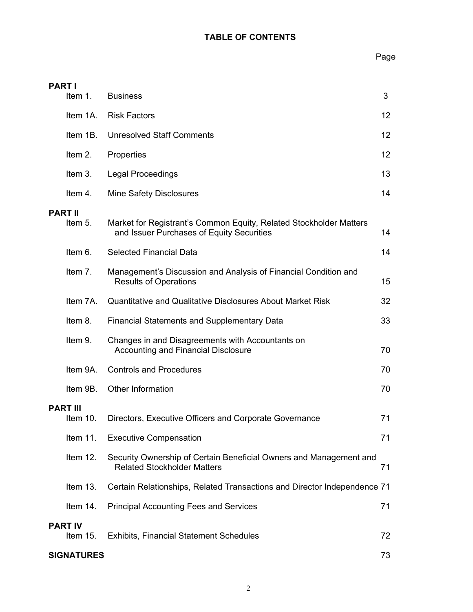### **TABLE OF CONTENTS**

### Page

| <b>PART I</b>               |                                                                                                                 |    |
|-----------------------------|-----------------------------------------------------------------------------------------------------------------|----|
| Item 1.                     | <b>Business</b>                                                                                                 | 3  |
| Item 1A.                    | <b>Risk Factors</b>                                                                                             | 12 |
| Item 1B.                    | <b>Unresolved Staff Comments</b>                                                                                | 12 |
| Item 2.                     | Properties                                                                                                      | 12 |
| Item 3.                     | <b>Legal Proceedings</b>                                                                                        | 13 |
| Item 4.                     | <b>Mine Safety Disclosures</b>                                                                                  | 14 |
| <b>PART II</b><br>Item 5.   | Market for Registrant's Common Equity, Related Stockholder Matters<br>and Issuer Purchases of Equity Securities | 14 |
| Item 6.                     | <b>Selected Financial Data</b>                                                                                  | 14 |
| Item 7.                     | Management's Discussion and Analysis of Financial Condition and<br><b>Results of Operations</b>                 | 15 |
| Item 7A.                    | <b>Quantitative and Qualitative Disclosures About Market Risk</b>                                               | 32 |
| Item 8.                     | <b>Financial Statements and Supplementary Data</b>                                                              | 33 |
| Item 9.                     | Changes in and Disagreements with Accountants on<br><b>Accounting and Financial Disclosure</b>                  | 70 |
| Item 9A.                    | <b>Controls and Procedures</b>                                                                                  | 70 |
| Item 9B.                    | Other Information                                                                                               | 70 |
| <b>PART III</b><br>Item 10. | Directors, Executive Officers and Corporate Governance                                                          | 71 |
| Item 11.                    | <b>Executive Compensation</b>                                                                                   | 71 |
| Item 12.                    | Security Ownership of Certain Beneficial Owners and Management and<br><b>Related Stockholder Matters</b>        | 71 |
| Item 13.                    | Certain Relationships, Related Transactions and Director Independence 71                                        |    |
| Item 14.                    | <b>Principal Accounting Fees and Services</b>                                                                   | 71 |
| <b>PART IV</b><br>Item 15.  | <b>Exhibits, Financial Statement Schedules</b>                                                                  | 72 |
| <b>SIGNATURES</b>           |                                                                                                                 | 73 |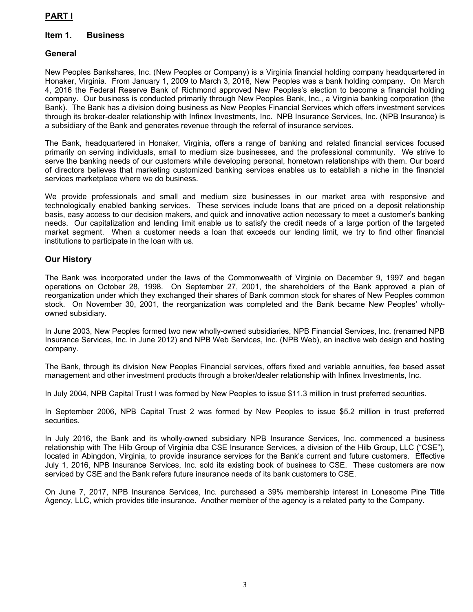### **PART I**

### **Item 1. Business**

### **General**

New Peoples Bankshares, Inc. (New Peoples or Company) is a Virginia financial holding company headquartered in Honaker, Virginia. From January 1, 2009 to March 3, 2016, New Peoples was a bank holding company. On March 4, 2016 the Federal Reserve Bank of Richmond approved New Peoples's election to become a financial holding company. Our business is conducted primarily through New Peoples Bank, Inc., a Virginia banking corporation (the Bank). The Bank has a division doing business as New Peoples Financial Services which offers investment services through its broker-dealer relationship with Infinex Investments, Inc. NPB Insurance Services, Inc. (NPB Insurance) is a subsidiary of the Bank and generates revenue through the referral of insurance services.

The Bank, headquartered in Honaker, Virginia, offers a range of banking and related financial services focused primarily on serving individuals, small to medium size businesses, and the professional community. We strive to serve the banking needs of our customers while developing personal, hometown relationships with them. Our board of directors believes that marketing customized banking services enables us to establish a niche in the financial services marketplace where we do business.

We provide professionals and small and medium size businesses in our market area with responsive and technologically enabled banking services. These services include loans that are priced on a deposit relationship basis, easy access to our decision makers, and quick and innovative action necessary to meet a customer's banking needs. Our capitalization and lending limit enable us to satisfy the credit needs of a large portion of the targeted market segment. When a customer needs a loan that exceeds our lending limit, we try to find other financial institutions to participate in the loan with us.

### **Our History**

The Bank was incorporated under the laws of the Commonwealth of Virginia on December 9, 1997 and began operations on October 28, 1998. On September 27, 2001, the shareholders of the Bank approved a plan of reorganization under which they exchanged their shares of Bank common stock for shares of New Peoples common stock. On November 30, 2001, the reorganization was completed and the Bank became New Peoples' whollyowned subsidiary.

In June 2003, New Peoples formed two new wholly-owned subsidiaries, NPB Financial Services, Inc. (renamed NPB Insurance Services, Inc. in June 2012) and NPB Web Services, Inc. (NPB Web), an inactive web design and hosting company.

The Bank, through its division New Peoples Financial services, offers fixed and variable annuities, fee based asset management and other investment products through a broker/dealer relationship with Infinex Investments, Inc.

In July 2004, NPB Capital Trust I was formed by New Peoples to issue \$11.3 million in trust preferred securities.

In September 2006, NPB Capital Trust 2 was formed by New Peoples to issue \$5.2 million in trust preferred securities.

In July 2016, the Bank and its wholly-owned subsidiary NPB Insurance Services, Inc. commenced a business relationship with The Hilb Group of Virginia dba CSE Insurance Services, a division of the Hilb Group, LLC ("CSE"), located in Abingdon, Virginia, to provide insurance services for the Bank's current and future customers. Effective July 1, 2016, NPB Insurance Services, Inc. sold its existing book of business to CSE. These customers are now serviced by CSE and the Bank refers future insurance needs of its bank customers to CSE.

On June 7, 2017, NPB Insurance Services, Inc. purchased a 39% membership interest in Lonesome Pine Title Agency, LLC, which provides title insurance. Another member of the agency is a related party to the Company.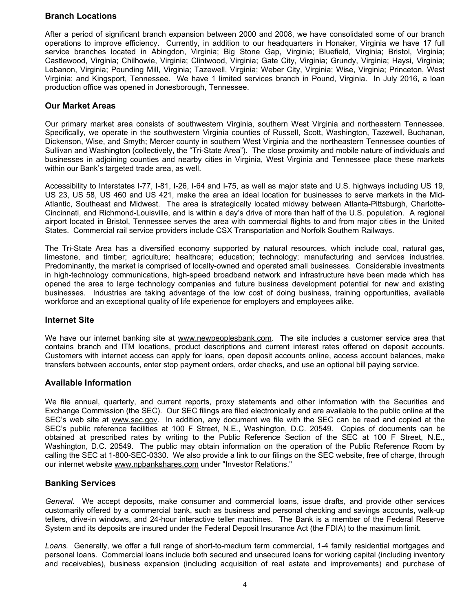### **Branch Locations**

After a period of significant branch expansion between 2000 and 2008, we have consolidated some of our branch operations to improve efficiency. Currently, in addition to our headquarters in Honaker, Virginia we have 17 full service branches located in Abingdon, Virginia; Big Stone Gap, Virginia; Bluefield, Virginia; Bristol, Virginia; Castlewood, Virginia; Chilhowie, Virginia; Clintwood, Virginia; Gate City, Virginia; Grundy, Virginia; Haysi, Virginia; Lebanon, Virginia; Pounding Mill, Virginia; Tazewell, Virginia; Weber City, Virginia; Wise, Virginia; Princeton, West Virginia; and Kingsport, Tennessee. We have 1 limited services branch in Pound, Virginia. In July 2016, a loan production office was opened in Jonesborough, Tennessee.

### **Our Market Areas**

Our primary market area consists of southwestern Virginia, southern West Virginia and northeastern Tennessee. Specifically, we operate in the southwestern Virginia counties of Russell, Scott, Washington, Tazewell, Buchanan, Dickenson, Wise, and Smyth; Mercer county in southern West Virginia and the northeastern Tennessee counties of Sullivan and Washington (collectively, the "Tri-State Area"). The close proximity and mobile nature of individuals and businesses in adjoining counties and nearby cities in Virginia, West Virginia and Tennessee place these markets within our Bank's targeted trade area, as well.

Accessibility to Interstates I-77, I-81, I-26, I-64 and I-75, as well as major state and U.S. highways including US 19, US 23, US 58, US 460 and US 421, make the area an ideal location for businesses to serve markets in the Mid-Atlantic, Southeast and Midwest. The area is strategically located midway between Atlanta-Pittsburgh, Charlotte-Cincinnati, and Richmond-Louisville, and is within a day's drive of more than half of the U.S. population. A regional airport located in Bristol, Tennessee serves the area with commercial flights to and from major cities in the United States. Commercial rail service providers include CSX Transportation and Norfolk Southern Railways.

The Tri-State Area has a diversified economy supported by natural resources, which include coal, natural gas, limestone, and timber; agriculture; healthcare; education; technology; manufacturing and services industries. Predominantly, the market is comprised of locally-owned and operated small businesses. Considerable investments in high-technology communications, high-speed broadband network and infrastructure have been made which has opened the area to large technology companies and future business development potential for new and existing businesses. Industries are taking advantage of the low cost of doing business, training opportunities, available workforce and an exceptional quality of life experience for employers and employees alike.

### **Internet Site**

We have our internet banking site at www.newpeoplesbank.com. The site includes a customer service area that contains branch and ITM locations, product descriptions and current interest rates offered on deposit accounts. Customers with internet access can apply for loans, open deposit accounts online, access account balances, make transfers between accounts, enter stop payment orders, order checks, and use an optional bill paying service.

### **Available Information**

We file annual, quarterly, and current reports, proxy statements and other information with the Securities and Exchange Commission (the SEC). Our SEC filings are filed electronically and are available to the public online at the SEC's web site at www.sec.gov. In addition, any document we file with the SEC can be read and copied at the SEC's public reference facilities at 100 F Street, N.E., Washington, D.C. 20549. Copies of documents can be obtained at prescribed rates by writing to the Public Reference Section of the SEC at 100 F Street, N.E., Washington, D.C. 20549. The public may obtain information on the operation of the Public Reference Room by calling the SEC at 1-800-SEC-0330. We also provide a link to our filings on the SEC website, free of charge, through our internet website www.npbankshares.com under "Investor Relations."

### **Banking Services**

*General*. We accept deposits, make consumer and commercial loans, issue drafts, and provide other services customarily offered by a commercial bank, such as business and personal checking and savings accounts, walk-up tellers, drive-in windows, and 24-hour interactive teller machines. The Bank is a member of the Federal Reserve System and its deposits are insured under the Federal Deposit Insurance Act (the FDIA) to the maximum limit.

*Loans.* Generally, we offer a full range of short-to-medium term commercial, 1-4 family residential mortgages and personal loans. Commercial loans include both secured and unsecured loans for working capital (including inventory and receivables), business expansion (including acquisition of real estate and improvements) and purchase of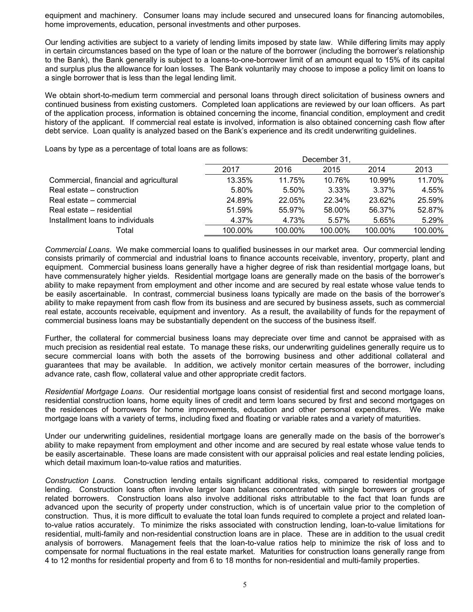equipment and machinery. Consumer loans may include secured and unsecured loans for financing automobiles, home improvements, education, personal investments and other purposes.

Our lending activities are subject to a variety of lending limits imposed by state law. While differing limits may apply in certain circumstances based on the type of loan or the nature of the borrower (including the borrower's relationship to the Bank), the Bank generally is subject to a loans-to-one-borrower limit of an amount equal to 15% of its capital and surplus plus the allowance for loan losses. The Bank voluntarily may choose to impose a policy limit on loans to a single borrower that is less than the legal lending limit.

We obtain short-to-medium term commercial and personal loans through direct solicitation of business owners and continued business from existing customers. Completed loan applications are reviewed by our loan officers. As part of the application process, information is obtained concerning the income, financial condition, employment and credit history of the applicant. If commercial real estate is involved, information is also obtained concerning cash flow after debt service. Loan quality is analyzed based on the Bank's experience and its credit underwriting guidelines.

|                                        | December 31, |         |          |         |         |  |  |  |  |  |  |
|----------------------------------------|--------------|---------|----------|---------|---------|--|--|--|--|--|--|
|                                        | 2017         | 2016    | 2015     | 2014    | 2013    |  |  |  |  |  |  |
| Commercial, financial and agricultural | 13.35%       | 11.75%  | 10.76%   | 10.99%  | 11.70%  |  |  |  |  |  |  |
| Real estate – construction             | 5.80%        | 5.50%   | $3.33\%$ | 3.37%   | 4.55%   |  |  |  |  |  |  |
| Real estate – commercial               | 24.89%       | 22.05%  | 22.34%   | 23.62%  | 25.59%  |  |  |  |  |  |  |
| Real estate – residential              | 51.59%       | 55.97%  | 58.00%   | 56.37%  | 52.87%  |  |  |  |  |  |  |
| Installment loans to individuals       | 4.37%        | 4.73%   | 5.57%    | 5.65%   | 5.29%   |  |  |  |  |  |  |
| Total                                  | 100.00%      | 100.00% | 100.00%  | 100.00% | 100.00% |  |  |  |  |  |  |

Loans by type as a percentage of total loans are as follows:

*Commercial Loans*. We make commercial loans to qualified businesses in our market area. Our commercial lending consists primarily of commercial and industrial loans to finance accounts receivable, inventory, property, plant and equipment. Commercial business loans generally have a higher degree of risk than residential mortgage loans, but have commensurately higher yields. Residential mortgage loans are generally made on the basis of the borrower's ability to make repayment from employment and other income and are secured by real estate whose value tends to be easily ascertainable. In contrast, commercial business loans typically are made on the basis of the borrower's ability to make repayment from cash flow from its business and are secured by business assets, such as commercial real estate, accounts receivable, equipment and inventory. As a result, the availability of funds for the repayment of commercial business loans may be substantially dependent on the success of the business itself.

Further, the collateral for commercial business loans may depreciate over time and cannot be appraised with as much precision as residential real estate. To manage these risks, our underwriting guidelines generally require us to secure commercial loans with both the assets of the borrowing business and other additional collateral and guarantees that may be available. In addition, we actively monitor certain measures of the borrower, including advance rate, cash flow, collateral value and other appropriate credit factors.

*Residential Mortgage Loans*. Our residential mortgage loans consist of residential first and second mortgage loans, residential construction loans, home equity lines of credit and term loans secured by first and second mortgages on the residences of borrowers for home improvements, education and other personal expenditures. We make mortgage loans with a variety of terms, including fixed and floating or variable rates and a variety of maturities.

Under our underwriting guidelines, residential mortgage loans are generally made on the basis of the borrower's ability to make repayment from employment and other income and are secured by real estate whose value tends to be easily ascertainable. These loans are made consistent with our appraisal policies and real estate lending policies, which detail maximum loan-to-value ratios and maturities.

*Construction Loans*. Construction lending entails significant additional risks, compared to residential mortgage lending. Construction loans often involve larger loan balances concentrated with single borrowers or groups of related borrowers. Construction loans also involve additional risks attributable to the fact that loan funds are advanced upon the security of property under construction, which is of uncertain value prior to the completion of construction. Thus, it is more difficult to evaluate the total loan funds required to complete a project and related loanto-value ratios accurately. To minimize the risks associated with construction lending, loan-to-value limitations for residential, multi-family and non-residential construction loans are in place. These are in addition to the usual credit analysis of borrowers. Management feels that the loan-to-value ratios help to minimize the risk of loss and to compensate for normal fluctuations in the real estate market. Maturities for construction loans generally range from 4 to 12 months for residential property and from 6 to 18 months for non-residential and multi-family properties.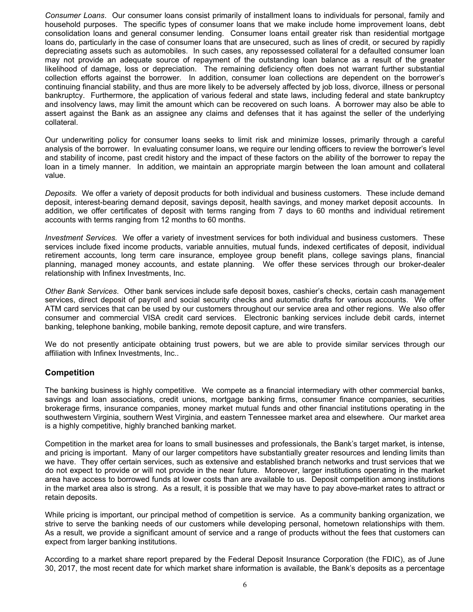*Consumer Loans*. Our consumer loans consist primarily of installment loans to individuals for personal, family and household purposes. The specific types of consumer loans that we make include home improvement loans, debt consolidation loans and general consumer lending. Consumer loans entail greater risk than residential mortgage loans do, particularly in the case of consumer loans that are unsecured, such as lines of credit, or secured by rapidly depreciating assets such as automobiles. In such cases, any repossessed collateral for a defaulted consumer loan may not provide an adequate source of repayment of the outstanding loan balance as a result of the greater likelihood of damage, loss or depreciation. The remaining deficiency often does not warrant further substantial collection efforts against the borrower. In addition, consumer loan collections are dependent on the borrower's continuing financial stability, and thus are more likely to be adversely affected by job loss, divorce, illness or personal bankruptcy. Furthermore, the application of various federal and state laws, including federal and state bankruptcy and insolvency laws, may limit the amount which can be recovered on such loans. A borrower may also be able to assert against the Bank as an assignee any claims and defenses that it has against the seller of the underlying collateral.

Our underwriting policy for consumer loans seeks to limit risk and minimize losses, primarily through a careful analysis of the borrower. In evaluating consumer loans, we require our lending officers to review the borrower's level and stability of income, past credit history and the impact of these factors on the ability of the borrower to repay the loan in a timely manner. In addition, we maintain an appropriate margin between the loan amount and collateral value.

*Deposits.* We offer a variety of deposit products for both individual and business customers. These include demand deposit, interest-bearing demand deposit, savings deposit, health savings, and money market deposit accounts. In addition, we offer certificates of deposit with terms ranging from 7 days to 60 months and individual retirement accounts with terms ranging from 12 months to 60 months.

*Investment Services.* We offer a variety of investment services for both individual and business customers. These services include fixed income products, variable annuities, mutual funds, indexed certificates of deposit, individual retirement accounts, long term care insurance, employee group benefit plans, college savings plans, financial planning, managed money accounts, and estate planning. We offer these services through our broker-dealer relationship with Infinex Investments, Inc.

*Other Bank Services*. Other bank services include safe deposit boxes, cashier's checks, certain cash management services, direct deposit of payroll and social security checks and automatic drafts for various accounts. We offer ATM card services that can be used by our customers throughout our service area and other regions. We also offer consumer and commercial VISA credit card services. Electronic banking services include debit cards, internet banking, telephone banking, mobile banking, remote deposit capture, and wire transfers.

We do not presently anticipate obtaining trust powers, but we are able to provide similar services through our affiliation with Infinex Investments, Inc..

### **Competition**

The banking business is highly competitive. We compete as a financial intermediary with other commercial banks, savings and loan associations, credit unions, mortgage banking firms, consumer finance companies, securities brokerage firms, insurance companies, money market mutual funds and other financial institutions operating in the southwestern Virginia, southern West Virginia, and eastern Tennessee market area and elsewhere. Our market area is a highly competitive, highly branched banking market.

Competition in the market area for loans to small businesses and professionals, the Bank's target market, is intense, and pricing is important. Many of our larger competitors have substantially greater resources and lending limits than we have. They offer certain services, such as extensive and established branch networks and trust services that we do not expect to provide or will not provide in the near future. Moreover, larger institutions operating in the market area have access to borrowed funds at lower costs than are available to us. Deposit competition among institutions in the market area also is strong. As a result, it is possible that we may have to pay above-market rates to attract or retain deposits.

While pricing is important, our principal method of competition is service. As a community banking organization, we strive to serve the banking needs of our customers while developing personal, hometown relationships with them. As a result, we provide a significant amount of service and a range of products without the fees that customers can expect from larger banking institutions.

According to a market share report prepared by the Federal Deposit Insurance Corporation (the FDIC), as of June 30, 2017, the most recent date for which market share information is available, the Bank's deposits as a percentage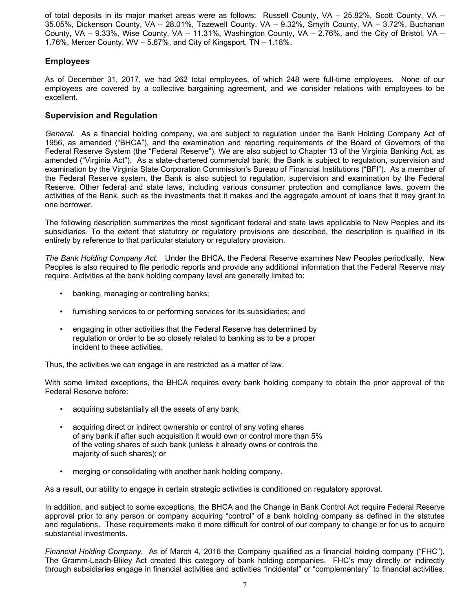of total deposits in its major market areas were as follows: Russell County, VA – 25.82%, Scott County, VA – 35.05%, Dickenson County, VA – 28.01%, Tazewell County, VA – 9.32%, Smyth County, VA – 3.72%, Buchanan County, VA – 9.33%, Wise County, VA – 11.31%, Washington County, VA – 2.76%, and the City of Bristol, VA – 1.76%, Mercer County, WV – 5.67%, and City of Kingsport, TN – 1.18%.

### **Employees**

As of December 31, 2017, we had 262 total employees, of which 248 were full-time employees. None of our employees are covered by a collective bargaining agreement, and we consider relations with employees to be excellent.

### **Supervision and Regulation**

*General.* As a financial holding company, we are subject to regulation under the Bank Holding Company Act of 1956, as amended ("BHCA"), and the examination and reporting requirements of the Board of Governors of the Federal Reserve System (the "Federal Reserve"). We are also subject to Chapter 13 of the Virginia Banking Act, as amended ("Virginia Act"). As a state-chartered commercial bank, the Bank is subject to regulation, supervision and examination by the Virginia State Corporation Commission's Bureau of Financial Institutions ("BFI"). As a member of the Federal Reserve system, the Bank is also subject to regulation, supervision and examination by the Federal Reserve. Other federal and state laws, including various consumer protection and compliance laws, govern the activities of the Bank, such as the investments that it makes and the aggregate amount of loans that it may grant to one borrower.

The following description summarizes the most significant federal and state laws applicable to New Peoples and its subsidiaries. To the extent that statutory or regulatory provisions are described, the description is qualified in its entirety by reference to that particular statutory or regulatory provision.

*The Bank Holding Company Act.* Under the BHCA, the Federal Reserve examines New Peoples periodically. New Peoples is also required to file periodic reports and provide any additional information that the Federal Reserve may require. Activities at the bank holding company level are generally limited to:

- banking, managing or controlling banks;
- furnishing services to or performing services for its subsidiaries; and
- engaging in other activities that the Federal Reserve has determined by regulation or order to be so closely related to banking as to be a proper incident to these activities.

Thus, the activities we can engage in are restricted as a matter of law.

With some limited exceptions, the BHCA requires every bank holding company to obtain the prior approval of the Federal Reserve before:

- acquiring substantially all the assets of any bank;
- acquiring direct or indirect ownership or control of any voting shares of any bank if after such acquisition it would own or control more than 5% of the voting shares of such bank (unless it already owns or controls the majority of such shares); or
- merging or consolidating with another bank holding company.

As a result, our ability to engage in certain strategic activities is conditioned on regulatory approval.

In addition, and subject to some exceptions, the BHCA and the Change in Bank Control Act require Federal Reserve approval prior to any person or company acquiring "control" of a bank holding company as defined in the statutes and regulations. These requirements make it more difficult for control of our company to change or for us to acquire substantial investments.

*Financial Holding Company.* As of March 4, 2016 the Company qualified as a financial holding company ("FHC"). The Gramm-Leach-Bliley Act created this category of bank holding companies. FHC's may directly or indirectly through subsidiaries engage in financial activities and activities "incidental" or "complementary" to financial activities.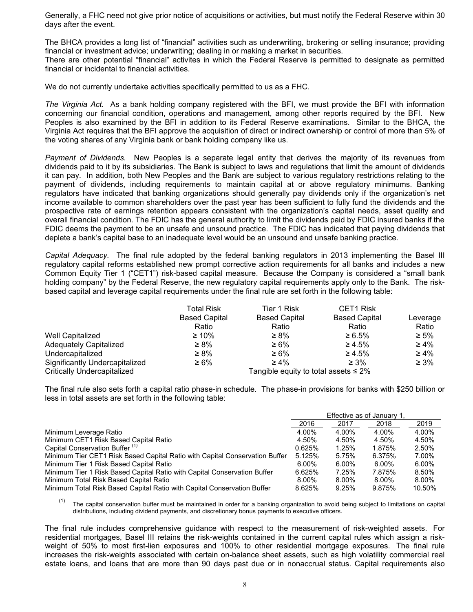Generally, a FHC need not give prior notice of acquisitions or activities, but must notify the Federal Reserve within 30 days after the event.

The BHCA provides a long list of "financial" activities such as underwriting, brokering or selling insurance; providing financial or investment advice; underwriting; dealing in or making a market in securities. There are other potential "financial" activites in which the Federal Reserve is permitted to designate as permitted financial or incidental to financial activities.

We do not currently undertake activities specifically permitted to us as a FHC.

*The Virginia Act.* As a bank holding company registered with the BFI, we must provide the BFI with information concerning our financial condition, operations and management, among other reports required by the BFI. New Peoples is also examined by the BFI in addition to its Federal Reserve examinations. Similar to the BHCA, the Virginia Act requires that the BFI approve the acquisition of direct or indirect ownership or control of more than 5% of the voting shares of any Virginia bank or bank holding company like us.

*Payment of Dividends.* New Peoples is a separate legal entity that derives the majority of its revenues from dividends paid to it by its subsidiaries. The Bank is subject to laws and regulations that limit the amount of dividends it can pay. In addition, both New Peoples and the Bank are subject to various regulatory restrictions relating to the payment of dividends, including requirements to maintain capital at or above regulatory minimums. Banking regulators have indicated that banking organizations should generally pay dividends only if the organization's net income available to common shareholders over the past year has been sufficient to fully fund the dividends and the prospective rate of earnings retention appears consistent with the organization's capital needs, asset quality and overall financial condition. The FDIC has the general authority to limit the dividends paid by FDIC insured banks if the FDIC deems the payment to be an unsafe and unsound practice. The FDIC has indicated that paying dividends that deplete a bank's capital base to an inadequate level would be an unsound and unsafe banking practice.

*Capital Adequacy.* The final rule adopted by the federal banking regulators in 2013 implementing the Basel III regulatory capital reforms established new prompt corrective action requirements for all banks and includes a new Common Equity Tier 1 ("CET1") risk-based capital measure. Because the Company is considered a "small bank holding company" by the Federal Reserve, the new regulatory capital requirements apply only to the Bank. The riskbased capital and leverage capital requirements under the final rule are set forth in the following table:

|                                    | <b>Total Risk</b>                          | Tier 1 Risk          | <b>CET1 Risk</b>     |            |
|------------------------------------|--------------------------------------------|----------------------|----------------------|------------|
|                                    | <b>Based Capital</b>                       | <b>Based Capital</b> | <b>Based Capital</b> | Leverage   |
|                                    | Ratio                                      | Ratio                | Ratio                | Ratio      |
| Well Capitalized                   | $\geq 10\%$                                | $\geq 8\%$           | $\geq 6.5\%$         | $\geq 5\%$ |
| Adequately Capitalized             | $\geq 8\%$                                 | $\geq 6\%$           | $\geq 4.5\%$         | $\geq 4\%$ |
| Undercapitalized                   | $\geq 8\%$                                 | $\geq 6\%$           | $\geq 4.5\%$         | $\geq 4\%$ |
| Significantly Undercapitalized     | $\geq 6\%$                                 | $\geq 4\%$           | $\geq 3\%$           | $\geq 3\%$ |
| <b>Critically Undercapitalized</b> | Tangible equity to total assets $\leq 2\%$ |                      |                      |            |

The final rule also sets forth a capital ratio phase-in schedule. The phase-in provisions for banks with \$250 billion or less in total assets are set forth in the following table:

|                                                                             | Effective as of January 1 |          |          |          |  |  |
|-----------------------------------------------------------------------------|---------------------------|----------|----------|----------|--|--|
|                                                                             | 2016                      | 2017     | 2018     | 2019     |  |  |
| Minimum Leverage Ratio                                                      | 4.00%                     | 4.00%    | 4.00%    | 4.00%    |  |  |
| Minimum CET1 Risk Based Capital Ratio                                       | 4.50%                     | 4.50%    | 4.50%    | 4.50%    |  |  |
| Capital Conservation Buffer <sup>(1)</sup>                                  | 0.625%                    | 1.25%    | 1.875%   | 2.50%    |  |  |
| Minimum Tier CET1 Risk Based Capital Ratio with Capital Conservation Buffer | 5.125%                    | 5.75%    | 6.375%   | 7.00%    |  |  |
| Minimum Tier 1 Risk Based Capital Ratio                                     | $6.00\%$                  | $6.00\%$ | $6.00\%$ | $6.00\%$ |  |  |
| Minimum Tier 1 Risk Based Capital Ratio with Capital Conservation Buffer    | 6.625%                    | 7.25%    | 7.875%   | 8.50%    |  |  |
| Minimum Total Risk Based Capital Ratio                                      | $8.00\%$                  | 8.00%    | $8.00\%$ | 8.00%    |  |  |
| Minimum Total Risk Based Capital Ratio with Capital Conservation Buffer     | 8.625%                    | 9.25%    | 9.875%   | 10.50%   |  |  |

 $(1)$  The capital conservation buffer must be maintained in order for a banking organization to avoid being subject to limitations on capital distributions, including dividend payments, and discretionary bonus payments to executive officers.

The final rule includes comprehensive guidance with respect to the measurement of risk-weighted assets. For residential mortgages, Basel III retains the risk-weights contained in the current capital rules which assign a riskweight of 50% to most first-lien exposures and 100% to other residential mortgage exposures. The final rule increases the risk-weights associated with certain on-balance sheet assets, such as high volatility commercial real estate loans, and loans that are more than 90 days past due or in nonaccrual status. Capital requirements also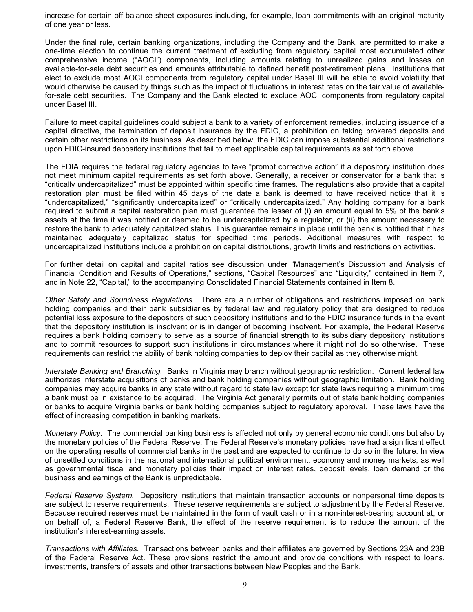increase for certain off-balance sheet exposures including, for example, loan commitments with an original maturity of one year or less.

Under the final rule, certain banking organizations, including the Company and the Bank, are permitted to make a one-time election to continue the current treatment of excluding from regulatory capital most accumulated other comprehensive income ("AOCI") components, including amounts relating to unrealized gains and losses on available-for-sale debt securities and amounts attributable to defined benefit post-retirement plans. Institutions that elect to exclude most AOCI components from regulatory capital under Basel III will be able to avoid volatility that would otherwise be caused by things such as the impact of fluctuations in interest rates on the fair value of availablefor-sale debt securities. The Company and the Bank elected to exclude AOCI components from regulatory capital under Basel III.

Failure to meet capital guidelines could subject a bank to a variety of enforcement remedies, including issuance of a capital directive, the termination of deposit insurance by the FDIC, a prohibition on taking brokered deposits and certain other restrictions on its business. As described below, the FDIC can impose substantial additional restrictions upon FDIC-insured depository institutions that fail to meet applicable capital requirements as set forth above.

The FDIA requires the federal regulatory agencies to take "prompt corrective action" if a depository institution does not meet minimum capital requirements as set forth above. Generally, a receiver or conservator for a bank that is "critically undercapitalized" must be appointed within specific time frames. The regulations also provide that a capital restoration plan must be filed within 45 days of the date a bank is deemed to have received notice that it is "undercapitalized," "significantly undercapitalized" or "critically undercapitalized." Any holding company for a bank required to submit a capital restoration plan must guarantee the lesser of (i) an amount equal to 5% of the bank's assets at the time it was notified or deemed to be undercapitalized by a regulator, or (ii) the amount necessary to restore the bank to adequately capitalized status. This guarantee remains in place until the bank is notified that it has maintained adequately capitalized status for specified time periods. Additional measures with respect to undercapitalized institutions include a prohibition on capital distributions, growth limits and restrictions on activities.

For further detail on capital and capital ratios see discussion under "Management's Discussion and Analysis of Financial Condition and Results of Operations," sections, "Capital Resources" and "Liquidity," contained in Item 7, and in Note 22, "Capital," to the accompanying Consolidated Financial Statements contained in Item 8.

*Other Safety and Soundness Regulations*. There are a number of obligations and restrictions imposed on bank holding companies and their bank subsidiaries by federal law and regulatory policy that are designed to reduce potential loss exposure to the depositors of such depository institutions and to the FDIC insurance funds in the event that the depository institution is insolvent or is in danger of becoming insolvent. For example, the Federal Reserve requires a bank holding company to serve as a source of financial strength to its subsidiary depository institutions and to commit resources to support such institutions in circumstances where it might not do so otherwise. These requirements can restrict the ability of bank holding companies to deploy their capital as they otherwise might.

*Interstate Banking and Branching.* Banks in Virginia may branch without geographic restriction. Current federal law authorizes interstate acquisitions of banks and bank holding companies without geographic limitation. Bank holding companies may acquire banks in any state without regard to state law except for state laws requiring a minimum time a bank must be in existence to be acquired. The Virginia Act generally permits out of state bank holding companies or banks to acquire Virginia banks or bank holding companies subject to regulatory approval. These laws have the effect of increasing competition in banking markets.

*Monetary Policy.* The commercial banking business is affected not only by general economic conditions but also by the monetary policies of the Federal Reserve. The Federal Reserve's monetary policies have had a significant effect on the operating results of commercial banks in the past and are expected to continue to do so in the future. In view of unsettled conditions in the national and international political environment, economy and money markets, as well as governmental fiscal and monetary policies their impact on interest rates, deposit levels, loan demand or the business and earnings of the Bank is unpredictable.

*Federal Reserve System.* Depository institutions that maintain transaction accounts or nonpersonal time deposits are subject to reserve requirements. These reserve requirements are subject to adjustment by the Federal Reserve. Because required reserves must be maintained in the form of vault cash or in a non-interest-bearing account at, or on behalf of, a Federal Reserve Bank, the effect of the reserve requirement is to reduce the amount of the institution's interest-earning assets.

*Transactions with Affiliates.* Transactions between banks and their affiliates are governed by Sections 23A and 23B of the Federal Reserve Act. These provisions restrict the amount and provide conditions with respect to loans, investments, transfers of assets and other transactions between New Peoples and the Bank.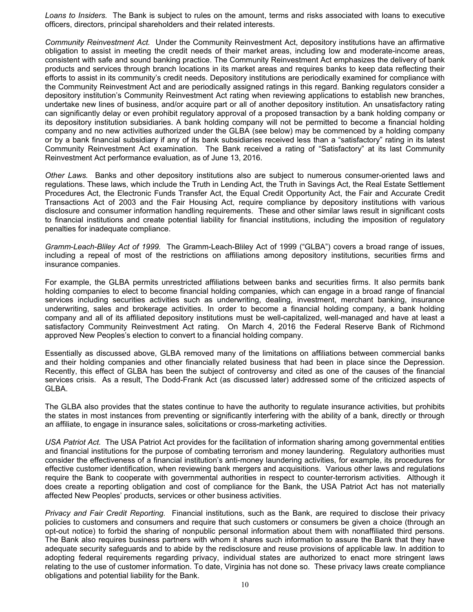*Loans to Insiders.* The Bank is subject to rules on the amount, terms and risks associated with loans to executive officers, directors, principal shareholders and their related interests.

*Community Reinvestment Act.* Under the Community Reinvestment Act, depository institutions have an affirmative obligation to assist in meeting the credit needs of their market areas, including low and moderate-income areas, consistent with safe and sound banking practice. The Community Reinvestment Act emphasizes the delivery of bank products and services through branch locations in its market areas and requires banks to keep data reflecting their efforts to assist in its community's credit needs. Depository institutions are periodically examined for compliance with the Community Reinvestment Act and are periodically assigned ratings in this regard. Banking regulators consider a depository institution's Community Reinvestment Act rating when reviewing applications to establish new branches, undertake new lines of business, and/or acquire part or all of another depository institution. An unsatisfactory rating can significantly delay or even prohibit regulatory approval of a proposed transaction by a bank holding company or its depository institution subsidiaries. A bank holding company will not be permitted to become a financial holding company and no new activities authorized under the GLBA (see below) may be commenced by a holding company or by a bank financial subsidiary if any of its bank subsidiaries received less than a "satisfactory" rating in its latest Community Reinvestment Act examination. The Bank received a rating of "Satisfactory" at its last Community Reinvestment Act performance evaluation, as of June 13, 2016.

*Other Laws.* Banks and other depository institutions also are subject to numerous consumer-oriented laws and regulations. These laws, which include the Truth in Lending Act, the Truth in Savings Act, the Real Estate Settlement Procedures Act, the Electronic Funds Transfer Act, the Equal Credit Opportunity Act, the Fair and Accurate Credit Transactions Act of 2003 and the Fair Housing Act, require compliance by depository institutions with various disclosure and consumer information handling requirements. These and other similar laws result in significant costs to financial institutions and create potential liability for financial institutions, including the imposition of regulatory penalties for inadequate compliance.

*Gramm-Leach-Bliley Act of 1999.* The Gramm-Leach-Bliley Act of 1999 ("GLBA") covers a broad range of issues, including a repeal of most of the restrictions on affiliations among depository institutions, securities firms and insurance companies.

For example, the GLBA permits unrestricted affiliations between banks and securities firms. It also permits bank holding companies to elect to become financial holding companies, which can engage in a broad range of financial services including securities activities such as underwriting, dealing, investment, merchant banking, insurance underwriting, sales and brokerage activities. In order to become a financial holding company, a bank holding company and all of its affiliated depository institutions must be well-capitalized, well-managed and have at least a satisfactory Community Reinvestment Act rating. On March 4, 2016 the Federal Reserve Bank of Richmond approved New Peoples's election to convert to a financial holding company.

Essentially as discussed above, GLBA removed many of the limitations on affiliations between commercial banks and their holding companies and other financially related business that had been in place since the Depression. Recently, this effect of GLBA has been the subject of controversy and cited as one of the causes of the financial services crisis. As a result, The Dodd-Frank Act (as discussed later) addressed some of the criticized aspects of GLBA.

The GLBA also provides that the states continue to have the authority to regulate insurance activities, but prohibits the states in most instances from preventing or significantly interfering with the ability of a bank, directly or through an affiliate, to engage in insurance sales, solicitations or cross-marketing activities.

*USA Patriot Act.* The USA Patriot Act provides for the facilitation of information sharing among governmental entities and financial institutions for the purpose of combating terrorism and money laundering. Regulatory authorities must consider the effectiveness of a financial institution's anti-money laundering activities, for example, its procedures for effective customer identification, when reviewing bank mergers and acquisitions. Various other laws and regulations require the Bank to cooperate with governmental authorities in respect to counter-terrorism activities. Although it does create a reporting obligation and cost of compliance for the Bank, the USA Patriot Act has not materially affected New Peoples' products, services or other business activities.

*Privacy and Fair Credit Reporting.* Financial institutions, such as the Bank, are required to disclose their privacy policies to customers and consumers and require that such customers or consumers be given a choice (through an opt-out notice) to forbid the sharing of nonpublic personal information about them with nonaffiliated third persons. The Bank also requires business partners with whom it shares such information to assure the Bank that they have adequate security safeguards and to abide by the redisclosure and reuse provisions of applicable law. In addition to adopting federal requirements regarding privacy, individual states are authorized to enact more stringent laws relating to the use of customer information. To date, Virginia has not done so. These privacy laws create compliance obligations and potential liability for the Bank.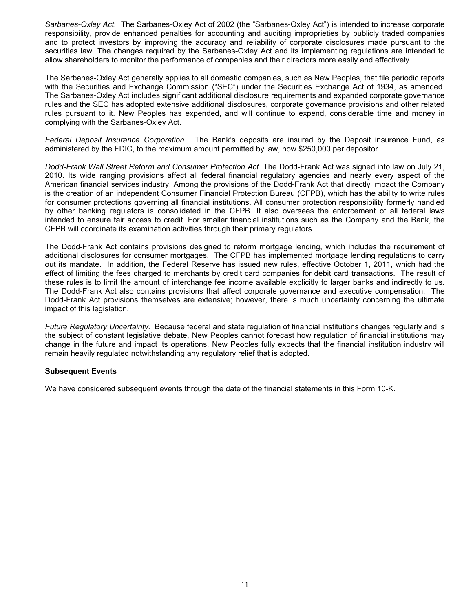*Sarbanes-Oxley Act.* The Sarbanes-Oxley Act of 2002 (the "Sarbanes-Oxley Act") is intended to increase corporate responsibility, provide enhanced penalties for accounting and auditing improprieties by publicly traded companies and to protect investors by improving the accuracy and reliability of corporate disclosures made pursuant to the securities law. The changes required by the Sarbanes-Oxley Act and its implementing regulations are intended to allow shareholders to monitor the performance of companies and their directors more easily and effectively.

The Sarbanes-Oxley Act generally applies to all domestic companies, such as New Peoples, that file periodic reports with the Securities and Exchange Commission ("SEC") under the Securities Exchange Act of 1934, as amended. The Sarbanes-Oxley Act includes significant additional disclosure requirements and expanded corporate governance rules and the SEC has adopted extensive additional disclosures, corporate governance provisions and other related rules pursuant to it. New Peoples has expended, and will continue to expend, considerable time and money in complying with the Sarbanes-Oxley Act.

*Federal Deposit Insurance Corporation.* The Bank's deposits are insured by the Deposit insurance Fund, as administered by the FDIC, to the maximum amount permitted by law, now \$250,000 per depositor.

*Dodd-Frank Wall Street Reform and Consumer Protection Act.* The Dodd-Frank Act was signed into law on July 21, 2010. Its wide ranging provisions affect all federal financial regulatory agencies and nearly every aspect of the American financial services industry. Among the provisions of the Dodd-Frank Act that directly impact the Company is the creation of an independent Consumer Financial Protection Bureau (CFPB), which has the ability to write rules for consumer protections governing all financial institutions. All consumer protection responsibility formerly handled by other banking regulators is consolidated in the CFPB. It also oversees the enforcement of all federal laws intended to ensure fair access to credit. For smaller financial institutions such as the Company and the Bank, the CFPB will coordinate its examination activities through their primary regulators.

The Dodd-Frank Act contains provisions designed to reform mortgage lending, which includes the requirement of additional disclosures for consumer mortgages. The CFPB has implemented mortgage lending regulations to carry out its mandate. In addition, the Federal Reserve has issued new rules, effective October 1, 2011, which had the effect of limiting the fees charged to merchants by credit card companies for debit card transactions. The result of these rules is to limit the amount of interchange fee income available explicitly to larger banks and indirectly to us. The Dodd-Frank Act also contains provisions that affect corporate governance and executive compensation. The Dodd-Frank Act provisions themselves are extensive; however, there is much uncertainty concerning the ultimate impact of this legislation.

*Future Regulatory Uncertainty.* Because federal and state regulation of financial institutions changes regularly and is the subject of constant legislative debate, New Peoples cannot forecast how regulation of financial institutions may change in the future and impact its operations. New Peoples fully expects that the financial institution industry will remain heavily regulated notwithstanding any regulatory relief that is adopted.

### **Subsequent Events**

We have considered subsequent events through the date of the financial statements in this Form 10-K.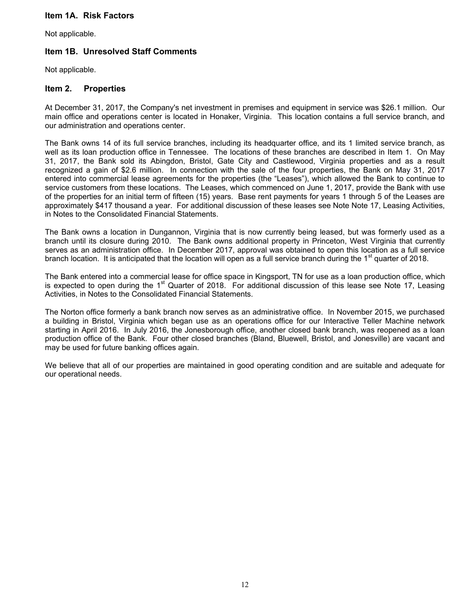### **Item 1A. Risk Factors**

Not applicable.

### **Item 1B. Unresolved Staff Comments**

Not applicable.

### **Item 2. Properties**

At December 31, 2017, the Company's net investment in premises and equipment in service was \$26.1 million. Our main office and operations center is located in Honaker, Virginia. This location contains a full service branch, and our administration and operations center.

The Bank owns 14 of its full service branches, including its headquarter office, and its 1 limited service branch, as well as its loan production office in Tennessee. The locations of these branches are described in Item 1. On May 31, 2017, the Bank sold its Abingdon, Bristol, Gate City and Castlewood, Virginia properties and as a result recognized a gain of \$2.6 million. In connection with the sale of the four properties, the Bank on May 31, 2017 entered into commercial lease agreements for the properties (the "Leases"), which allowed the Bank to continue to service customers from these locations. The Leases, which commenced on June 1, 2017, provide the Bank with use of the properties for an initial term of fifteen (15) years. Base rent payments for years 1 through 5 of the Leases are approximately \$417 thousand a year. For additional discussion of these leases see Note Note 17, Leasing Activities, in Notes to the Consolidated Financial Statements.

The Bank owns a location in Dungannon, Virginia that is now currently being leased, but was formerly used as a branch until its closure during 2010. The Bank owns additional property in Princeton, West Virginia that currently serves as an administration office. In December 2017, approval was obtained to open this location as a full service branch location. It is anticipated that the location will open as a full service branch during the  $1<sup>st</sup>$  quarter of 2018.

The Bank entered into a commercial lease for office space in Kingsport, TN for use as a loan production office, which is expected to open during the 1<sup>st</sup> Quarter of 2018. For additional discussion of this lease see Note 17, Leasing Activities, in Notes to the Consolidated Financial Statements.

The Norton office formerly a bank branch now serves as an administrative office. In November 2015, we purchased a building in Bristol, Virginia which began use as an operations office for our Interactive Teller Machine network starting in April 2016. In July 2016, the Jonesborough office, another closed bank branch, was reopened as a loan production office of the Bank. Four other closed branches (Bland, Bluewell, Bristol, and Jonesville) are vacant and may be used for future banking offices again.

We believe that all of our properties are maintained in good operating condition and are suitable and adequate for our operational needs.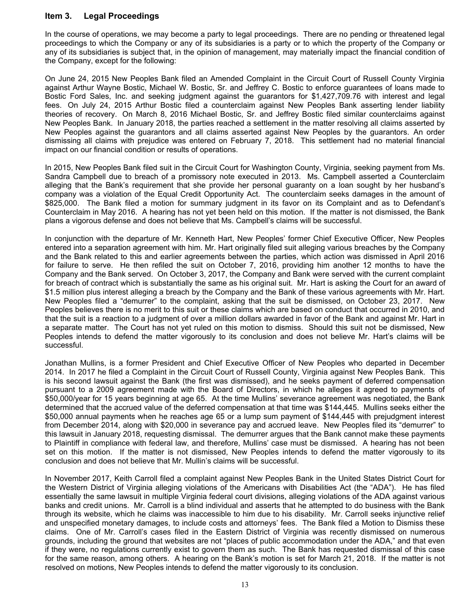### **Item 3. Legal Proceedings**

In the course of operations, we may become a party to legal proceedings. There are no pending or threatened legal proceedings to which the Company or any of its subsidiaries is a party or to which the property of the Company or any of its subsidiaries is subject that, in the opinion of management, may materially impact the financial condition of the Company, except for the following:

On June 24, 2015 New Peoples Bank filed an Amended Complaint in the Circuit Court of Russell County Virginia against Arthur Wayne Bostic, Michael W. Bostic, Sr. and Jeffrey C. Bostic to enforce guarantees of loans made to Bostic Ford Sales, Inc. and seeking judgment against the guarantors for \$1,427,709.76 with interest and legal fees. On July 24, 2015 Arthur Bostic filed a counterclaim against New Peoples Bank asserting lender liability theories of recovery. On March 8, 2016 Michael Bostic, Sr. and Jeffrey Bostic filed similar counterclaims against New Peoples Bank. In January 2018, the parties reached a settlement in the matter resolving all claims asserted by New Peoples against the guarantors and all claims asserted against New Peoples by the guarantors. An order dismissing all claims with prejudice was entered on February 7, 2018. This settlement had no material financial impact on our financial condition or results of operations.

In 2015, New Peoples Bank filed suit in the Circuit Court for Washington County, Virginia, seeking payment from Ms. Sandra Campbell due to breach of a promissory note executed in 2013. Ms. Campbell asserted a Counterclaim alleging that the Bank's requirement that she provide her personal guaranty on a loan sought by her husband's company was a violation of the Equal Credit Opportunity Act. The counterclaim seeks damages in the amount of \$825,000. The Bank filed a motion for summary judgment in its favor on its Complaint and as to Defendant's Counterclaim in May 2016. A hearing has not yet been held on this motion. If the matter is not dismissed, the Bank plans a vigorous defense and does not believe that Ms. Campbell's claims will be successful.

In conjunction with the departure of Mr. Kenneth Hart, New Peoples' former Chief Executive Officer, New Peoples entered into a separation agreement with him. Mr. Hart originally filed suit alleging various breaches by the Company and the Bank related to this and earlier agreements between the parties, which action was dismissed in April 2016 for failure to serve. He then refiled the suit on October 7, 2016, providing him another 12 months to have the Company and the Bank served. On October 3, 2017, the Company and Bank were served with the current complaint for breach of contract which is substantially the same as his original suit. Mr. Hart is asking the Court for an award of \$1.5 million plus interest alleging a breach by the Company and the Bank of these various agreements with Mr. Hart. New Peoples filed a "demurrer" to the complaint, asking that the suit be dismissed, on October 23, 2017. New Peoples believes there is no merit to this suit or these claims which are based on conduct that occurred in 2010, and that the suit is a reaction to a judgment of over a million dollars awarded in favor of the Bank and against Mr. Hart in a separate matter. The Court has not yet ruled on this motion to dismiss. Should this suit not be dismissed, New Peoples intends to defend the matter vigorously to its conclusion and does not believe Mr. Hart's claims will be successful.

Jonathan Mullins, is a former President and Chief Executive Officer of New Peoples who departed in December 2014. In 2017 he filed a Complaint in the Circuit Court of Russell County, Virginia against New Peoples Bank. This is his second lawsuit against the Bank (the first was dismissed), and he seeks payment of deferred compensation pursuant to a 2009 agreement made with the Board of Directors, in which he alleges it agreed to payments of \$50,000/year for 15 years beginning at age 65. At the time Mullins' severance agreement was negotiated, the Bank determined that the accrued value of the deferred compensation at that time was \$144,445. Mullins seeks either the \$50,000 annual payments when he reaches age 65 or a lump sum payment of \$144,445 with prejudgment interest from December 2014, along with \$20,000 in severance pay and accrued leave. New Peoples filed its "demurrer" to this lawsuit in January 2018, requesting dismissal. The demurrer argues that the Bank cannot make these payments to Plaintiff in compliance with federal law, and therefore, Mullins' case must be dismissed. A hearing has not been set on this motion. If the matter is not dismissed, New Peoples intends to defend the matter vigorously to its conclusion and does not believe that Mr. Mullin's claims will be successful.

In November 2017, Keith Carroll filed a complaint against New Peoples Bank in the United States District Court for the Western District of Virginia alleging violations of the Americans with Disabilities Act (the "ADA"). He has filed essentially the same lawsuit in multiple Virginia federal court divisions, alleging violations of the ADA against various banks and credit unions. Mr. Carroll is a blind individual and asserts that he attempted to do business with the Bank through its website, which he claims was inaccessible to him due to his disability. Mr. Carroll seeks injunctive relief and unspecified monetary damages, to include costs and attorneys' fees. The Bank filed a Motion to Dismiss these claims. One of Mr. Carroll's cases filed in the Eastern District of Virginia was recently dismissed on numerous grounds, including the ground that websites are not "places of public accommodation under the ADA," and that even if they were, no regulations currently exist to govern them as such. The Bank has requested dismissal of this case for the same reason, among others. A hearing on the Bank's motion is set for March 21, 2018. If the matter is not resolved on motions, New Peoples intends to defend the matter vigorously to its conclusion.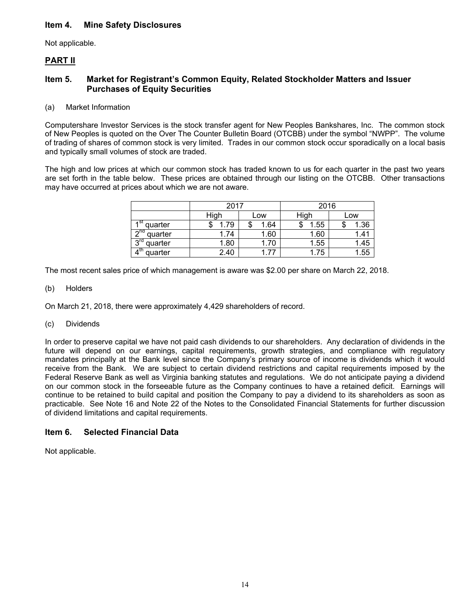### **Item 4. Mine Safety Disclosures**

Not applicable.

### **PART II**

### **Item 5. Market for Registrant's Common Equity, Related Stockholder Matters and Issuer Purchases of Equity Securities**

### (a) Market Information

Computershare Investor Services is the stock transfer agent for New Peoples Bankshares, Inc. The common stock of New Peoples is quoted on the Over The Counter Bulletin Board (OTCBB) under the symbol "NWPP". The volume of trading of shares of common stock is very limited. Trades in our common stock occur sporadically on a local basis and typically small volumes of stock are traded.

The high and low prices at which our common stock has traded known to us for each quarter in the past two years are set forth in the table below. These prices are obtained through our listing on the OTCBB. Other transactions may have occurred at prices about which we are not aware.

|                      | 2017      |           | 2016      |      |
|----------------------|-----------|-----------|-----------|------|
|                      | High      | Low       | High      | Low  |
| ⊿ st<br>quarter      | 1.79<br>Ψ | 1.64<br>S | 1.55<br>ง | 1.36 |
| $\sim$ nd<br>quarter | 1.74      | 1.60      | 1.60      | 1.41 |
| $3^{rd}$<br>quarter  | 1.80      | 1.70      | 1.55      | 1.45 |
| ⊿th<br>quarter       | 2.40      |           | 1.75      | 1.55 |

The most recent sales price of which management is aware was \$2.00 per share on March 22, 2018.

(b) Holders

On March 21, 2018, there were approximately 4,429 shareholders of record.

(c) Dividends

In order to preserve capital we have not paid cash dividends to our shareholders. Any declaration of dividends in the future will depend on our earnings, capital requirements, growth strategies, and compliance with regulatory mandates principally at the Bank level since the Company's primary source of income is dividends which it would receive from the Bank. We are subject to certain dividend restrictions and capital requirements imposed by the Federal Reserve Bank as well as Virginia banking statutes and regulations. We do not anticipate paying a dividend on our common stock in the forseeable future as the Company continues to have a retained deficit. Earnings will continue to be retained to build capital and position the Company to pay a dividend to its shareholders as soon as practicable. See Note 16 and Note 22 of the Notes to the Consolidated Financial Statements for further discussion of dividend limitations and capital requirements.

### **Item 6. Selected Financial Data**

Not applicable.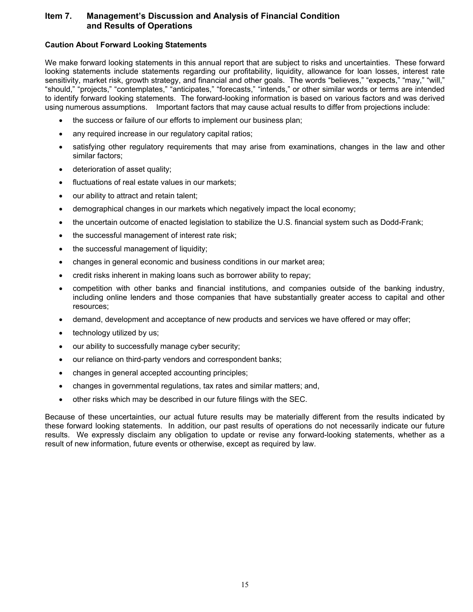### **Item 7. Management's Discussion and Analysis of Financial Condition and Results of Operations**

### **Caution About Forward Looking Statements**

We make forward looking statements in this annual report that are subject to risks and uncertainties. These forward looking statements include statements regarding our profitability, liquidity, allowance for loan losses, interest rate sensitivity, market risk, growth strategy, and financial and other goals. The words "believes," "expects," "may," "will," "should," "projects," "contemplates," "anticipates," "forecasts," "intends," or other similar words or terms are intended to identify forward looking statements. The forward-looking information is based on various factors and was derived using numerous assumptions. Important factors that may cause actual results to differ from projections include:

- the success or failure of our efforts to implement our business plan:
- any required increase in our regulatory capital ratios;
- satisfying other regulatory reguirements that may arise from examinations, changes in the law and other similar factors;
- $\bullet$  deterioration of asset quality;
- fluctuations of real estate values in our markets;
- our ability to attract and retain talent;
- demographical changes in our markets which negatively impact the local economy;
- the uncertain outcome of enacted legislation to stabilize the U.S. financial system such as Dodd-Frank;
- the successful management of interest rate risk;
- $\bullet$  the successful management of liquidity;
- changes in general economic and business conditions in our market area;
- credit risks inherent in making loans such as borrower ability to repay;
- competition with other banks and financial institutions, and companies outside of the banking industry, including online lenders and those companies that have substantially greater access to capital and other resources;
- demand, development and acceptance of new products and services we have offered or may offer;
- $\bullet$  technology utilized by us;
- our ability to successfully manage cyber security;
- our reliance on third-party vendors and correspondent banks;
- changes in general accepted accounting principles;
- changes in governmental regulations, tax rates and similar matters; and,
- other risks which may be described in our future filings with the SEC.

Because of these uncertainties, our actual future results may be materially different from the results indicated by these forward looking statements. In addition, our past results of operations do not necessarily indicate our future results. We expressly disclaim any obligation to update or revise any forward-looking statements, whether as a result of new information, future events or otherwise, except as required by law.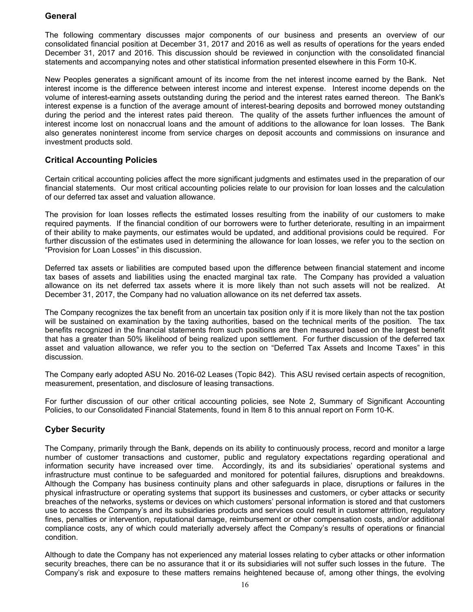### **General**

The following commentary discusses major components of our business and presents an overview of our consolidated financial position at December 31, 2017 and 2016 as well as results of operations for the years ended December 31, 2017 and 2016. This discussion should be reviewed in conjunction with the consolidated financial statements and accompanying notes and other statistical information presented elsewhere in this Form 10-K.

New Peoples generates a significant amount of its income from the net interest income earned by the Bank. Net interest income is the difference between interest income and interest expense. Interest income depends on the volume of interest-earning assets outstanding during the period and the interest rates earned thereon. The Bank's interest expense is a function of the average amount of interest-bearing deposits and borrowed money outstanding during the period and the interest rates paid thereon. The quality of the assets further influences the amount of interest income lost on nonaccrual loans and the amount of additions to the allowance for loan losses. The Bank also generates noninterest income from service charges on deposit accounts and commissions on insurance and investment products sold.

### **Critical Accounting Policies**

Certain critical accounting policies affect the more significant judgments and estimates used in the preparation of our financial statements. Our most critical accounting policies relate to our provision for loan losses and the calculation of our deferred tax asset and valuation allowance.

The provision for loan losses reflects the estimated losses resulting from the inability of our customers to make required payments. If the financial condition of our borrowers were to further deteriorate, resulting in an impairment of their ability to make payments, our estimates would be updated, and additional provisions could be required. For further discussion of the estimates used in determining the allowance for loan losses, we refer you to the section on "Provision for Loan Losses" in this discussion.

Deferred tax assets or liabilities are computed based upon the difference between financial statement and income tax bases of assets and liabilities using the enacted marginal tax rate. The Company has provided a valuation allowance on its net deferred tax assets where it is more likely than not such assets will not be realized. At December 31, 2017, the Company had no valuation allowance on its net deferred tax assets.

The Company recognizes the tax benefit from an uncertain tax position only if it is more likely than not the tax postion will be sustained on examination by the taxing authorities, based on the technical merits of the position. The tax benefits recognized in the financial statements from such positions are then measured based on the largest benefit that has a greater than 50% likelihood of being realized upon settlement. For further discussion of the deferred tax asset and valuation allowance, we refer you to the section on "Deferred Tax Assets and Income Taxes" in this discussion.

The Company early adopted ASU No. 2016-02 Leases (Topic 842). This ASU revised certain aspects of recognition, measurement, presentation, and disclosure of leasing transactions.

For further discussion of our other critical accounting policies, see Note 2, Summary of Significant Accounting Policies, to our Consolidated Financial Statements, found in Item 8 to this annual report on Form 10-K.

### **Cyber Security**

The Company, primarily through the Bank, depends on its ability to continuously process, record and monitor a large number of customer transactions and customer, public and regulatory expectations regarding operational and information security have increased over time. Accordingly, its and its subsidiaries' operational systems and infrastructure must continue to be safeguarded and monitored for potential failures, disruptions and breakdowns. Although the Company has business continuity plans and other safeguards in place, disruptions or failures in the physical infrastructure or operating systems that support its businesses and customers, or cyber attacks or security breaches of the networks, systems or devices on which customers' personal information is stored and that customers use to access the Company's and its subsidiaries products and services could result in customer attrition, regulatory fines, penalties or intervention, reputational damage, reimbursement or other compensation costs, and/or additional compliance costs, any of which could materially adversely affect the Company's results of operations or financial condition.

Although to date the Company has not experienced any material losses relating to cyber attacks or other information security breaches, there can be no assurance that it or its subsidiaries will not suffer such losses in the future. The Company's risk and exposure to these matters remains heightened because of, among other things, the evolving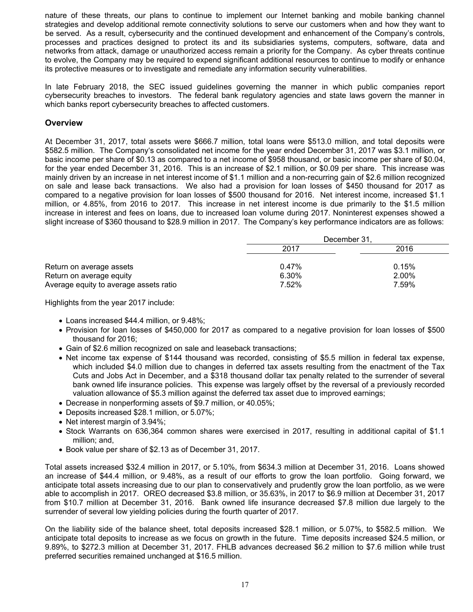nature of these threats, our plans to continue to implement our Internet banking and mobile banking channel strategies and develop additional remote connectivity solutions to serve our customers when and how they want to be served. As a result, cybersecurity and the continued development and enhancement of the Company's controls, processes and practices designed to protect its and its subsidiaries systems, computers, software, data and networks from attack, damage or unauthorized access remain a priority for the Company. As cyber threats continue to evolve, the Company may be required to expend significant additional resources to continue to modify or enhance its protective measures or to investigate and remediate any information security vulnerabilities.

In late February 2018, the SEC issued guidelines governing the manner in which public companies report cybersecurity breaches to investors. The federal bank regulatory agencies and state laws govern the manner in which banks report cybersecurity breaches to affected customers.

### **Overview**

At December 31, 2017, total assets were \$666.7 million, total loans were \$513.0 million, and total deposits were \$582.5 million. The Company's consolidated net income for the year ended December 31, 2017 was \$3.1 million, or basic income per share of \$0.13 as compared to a net income of \$958 thousand, or basic income per share of \$0.04, for the year ended December 31, 2016. This is an increase of \$2.1 million, or \$0.09 per share. This increase was mainly driven by an increase in net interest income of \$1.1 million and a non-recurring gain of \$2.6 million recognized on sale and lease back transactions. We also had a provision for loan losses of \$450 thousand for 2017 as compared to a negative provision for loan losses of \$500 thousand for 2016. Net interest income, increased \$1.1 million, or 4.85%, from 2016 to 2017. This increase in net interest income is due primarily to the \$1.5 million increase in interest and fees on loans, due to increased loan volume during 2017. Noninterest expenses showed a slight increase of \$360 thousand to \$28.9 million in 2017. The Company's key performance indicators are as follows:

|                                        | December 31 |       |  |  |  |
|----------------------------------------|-------------|-------|--|--|--|
|                                        | 2017        | 2016  |  |  |  |
| Return on average assets               | 0.47%       | 0.15% |  |  |  |
| Return on average equity               | 6.30%       | 2.00% |  |  |  |
| Average equity to average assets ratio | 7.52%       | 7.59% |  |  |  |

Highlights from the year 2017 include:

- Loans increased \$44.4 million, or 9.48%;
- Provision for loan losses of \$450,000 for 2017 as compared to a negative provision for loan losses of \$500 thousand for 2016;
- Gain of \$2.6 million recognized on sale and leaseback transactions;
- Net income tax expense of \$144 thousand was recorded, consisting of \$5.5 million in federal tax expense, which included \$4.0 million due to changes in deferred tax assets resulting from the enactment of the Tax Cuts and Jobs Act in December, and a \$318 thousand dollar tax penalty related to the surrender of several bank owned life insurance policies. This expense was largely offset by the reversal of a previously recorded valuation allowance of \$5.3 million against the deferred tax asset due to improved earnings;
- Decrease in nonperforming assets of \$9.7 million, or 40.05%;
- Deposits increased \$28.1 million, or 5.07%;
- Net interest margin of 3.94%;
- Stock Warrants on 636,364 common shares were exercised in 2017, resulting in additional capital of \$1.1 million; and,
- Book value per share of \$2.13 as of December 31, 2017.

Total assets increased \$32.4 million in 2017, or 5.10%, from \$634.3 million at December 31, 2016. Loans showed an increase of \$44.4 million, or 9.48%, as a result of our efforts to grow the loan portfolio. Going forward, we anticipate total assets increasing due to our plan to conservatively and prudently grow the loan portfolio, as we were able to accomplish in 2017. OREO decreased \$3.8 million, or 35.63%, in 2017 to \$6.9 million at December 31, 2017 from \$10.7 million at December 31, 2016. Bank owned life insurance decreased \$7.8 million due largely to the surrender of several low yielding policies during the fourth quarter of 2017.

On the liability side of the balance sheet, total deposits increased \$28.1 million, or 5.07%, to \$582.5 million. We anticipate total deposits to increase as we focus on growth in the future. Time deposits increased \$24.5 million, or 9.89%, to \$272.3 million at December 31, 2017. FHLB advances decreased \$6.2 million to \$7.6 million while trust preferred securities remained unchanged at \$16.5 million.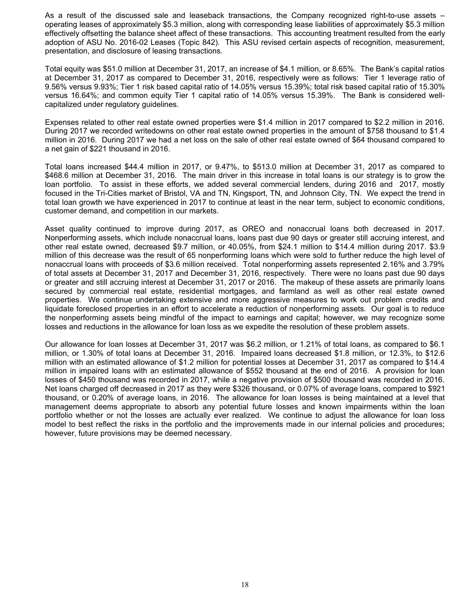As a result of the discussed sale and leaseback transactions, the Company recognized right-to-use assets – operating leases of approximately \$5.3 million, along with corresponding lease liabilities of approximately \$5.3 million effectively offsetting the balance sheet affect of these transactions. This accounting treatment resulted from the early adoption of ASU No. 2016-02 Leases (Topic 842). This ASU revised certain aspects of recognition, measurement, presentation, and disclosure of leasing transactions.

Total equity was \$51.0 million at December 31, 2017, an increase of \$4.1 million, or 8.65%. The Bank's capital ratios at December 31, 2017 as compared to December 31, 2016, respectively were as follows: Tier 1 leverage ratio of 9.56% versus 9.93%; Tier 1 risk based capital ratio of 14.05% versus 15.39%; total risk based capital ratio of 15.30% versus 16.64%; and common equity Tier 1 capital ratio of 14.05% versus 15.39%. The Bank is considered wellcapitalized under regulatory guidelines.

Expenses related to other real estate owned properties were \$1.4 million in 2017 compared to \$2.2 million in 2016. During 2017 we recorded writedowns on other real estate owned properties in the amount of \$758 thousand to \$1.4 million in 2016. During 2017 we had a net loss on the sale of other real estate owned of \$64 thousand compared to a net gain of \$221 thousand in 2016.

Total loans increased \$44.4 million in 2017, or 9.47%, to \$513.0 million at December 31, 2017 as compared to \$468.6 million at December 31, 2016. The main driver in this increase in total loans is our strategy is to grow the loan portfolio. To assist in these efforts, we added several commercial lenders, during 2016 and 2017, mostly focused in the Tri-Cities market of Bristol, VA and TN, Kingsport, TN, and Johnson City, TN. We expect the trend in total loan growth we have experienced in 2017 to continue at least in the near term, subject to economic conditions, customer demand, and competition in our markets.

Asset quality continued to improve during 2017, as OREO and nonaccrual loans both decreased in 2017. Nonperforming assets, which include nonaccrual loans, loans past due 90 days or greater still accruing interest, and other real estate owned, decreased \$9.7 million, or 40.05%, from \$24.1 million to \$14.4 million during 2017. \$3.9 million of this decrease was the result of 65 nonperforming loans which were sold to further reduce the high level of nonaccrual loans with proceeds of \$3.6 million received. Total nonperforming assets represented 2.16% and 3.79% of total assets at December 31, 2017 and December 31, 2016, respectively. There were no loans past due 90 days or greater and still accruing interest at December 31, 2017 or 2016. The makeup of these assets are primarily loans secured by commercial real estate, residential mortgages, and farmland as well as other real estate owned properties. We continue undertaking extensive and more aggressive measures to work out problem credits and liquidate foreclosed properties in an effort to accelerate a reduction of nonperforming assets. Our goal is to reduce the nonperforming assets being mindful of the impact to earnings and capital; however, we may recognize some losses and reductions in the allowance for loan loss as we expedite the resolution of these problem assets.

Our allowance for loan losses at December 31, 2017 was \$6.2 million, or 1.21% of total loans, as compared to \$6.1 million, or 1.30% of total loans at December 31, 2016. Impaired loans decreased \$1.8 million, or 12.3%, to \$12.6 million with an estimated allowance of \$1.2 million for potential losses at December 31, 2017 as compared to \$14.4 million in impaired loans with an estimated allowance of \$552 thousand at the end of 2016. A provision for loan losses of \$450 thousand was recorded in 2017, while a negative provision of \$500 thousand was recorded in 2016. Net loans charged off decreased in 2017 as they were \$326 thousand, or 0.07% of average loans, compared to \$921 thousand, or 0.20% of average loans, in 2016. The allowance for loan losses is being maintained at a level that management deems appropriate to absorb any potential future losses and known impairments within the loan portfolio whether or not the losses are actually ever realized. We continue to adjust the allowance for loan loss model to best reflect the risks in the portfolio and the improvements made in our internal policies and procedures; however, future provisions may be deemed necessary.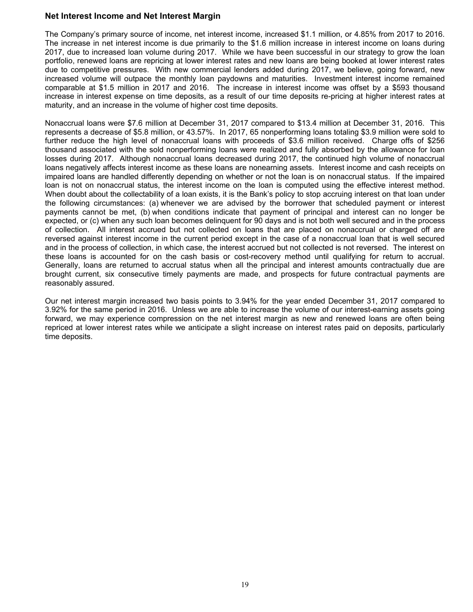### **Net Interest Income and Net Interest Margin**

The Company's primary source of income, net interest income, increased \$1.1 million, or 4.85% from 2017 to 2016. The increase in net interest income is due primarily to the \$1.6 million increase in interest income on loans during 2017, due to increased loan volume during 2017. While we have been successful in our strategy to grow the loan portfolio, renewed loans are repricing at lower interest rates and new loans are being booked at lower interest rates due to competitive pressures. With new commercial lenders added during 2017, we believe, going forward, new increased volume will outpace the monthly loan paydowns and maturities. Investment interest income remained comparable at \$1.5 million in 2017 and 2016. The increase in interest income was offset by a \$593 thousand increase in interest expense on time deposits, as a result of our time deposits re-pricing at higher interest rates at maturity, and an increase in the volume of higher cost time deposits.

Nonaccrual loans were \$7.6 million at December 31, 2017 compared to \$13.4 million at December 31, 2016. This represents a decrease of \$5.8 million, or 43.57%. In 2017, 65 nonperforming loans totaling \$3.9 million were sold to further reduce the high level of nonaccrual loans with proceeds of \$3.6 million received. Charge offs of \$256 thousand associated with the sold nonperforming loans were realized and fully absorbed by the allowance for loan losses during 2017. Although nonaccrual loans decreased during 2017, the continued high volume of nonaccrual loans negatively affects interest income as these loans are nonearning assets. Interest income and cash receipts on impaired loans are handled differently depending on whether or not the loan is on nonaccrual status. If the impaired loan is not on nonaccrual status, the interest income on the loan is computed using the effective interest method. When doubt about the collectability of a loan exists, it is the Bank's policy to stop accruing interest on that loan under the following circumstances: (a) whenever we are advised by the borrower that scheduled payment or interest payments cannot be met, (b) when conditions indicate that payment of principal and interest can no longer be expected, or (c) when any such loan becomes delinquent for 90 days and is not both well secured and in the process of collection. All interest accrued but not collected on loans that are placed on nonaccrual or charged off are reversed against interest income in the current period except in the case of a nonaccrual loan that is well secured and in the process of collection, in which case, the interest accrued but not collected is not reversed. The interest on these loans is accounted for on the cash basis or cost-recovery method until qualifying for return to accrual. Generally, loans are returned to accrual status when all the principal and interest amounts contractually due are brought current, six consecutive timely payments are made, and prospects for future contractual payments are reasonably assured.

Our net interest margin increased two basis points to 3.94% for the year ended December 31, 2017 compared to 3.92% for the same period in 2016. Unless we are able to increase the volume of our interest-earning assets going forward, we may experience compression on the net interest margin as new and renewed loans are often being repriced at lower interest rates while we anticipate a slight increase on interest rates paid on deposits, particularly time deposits.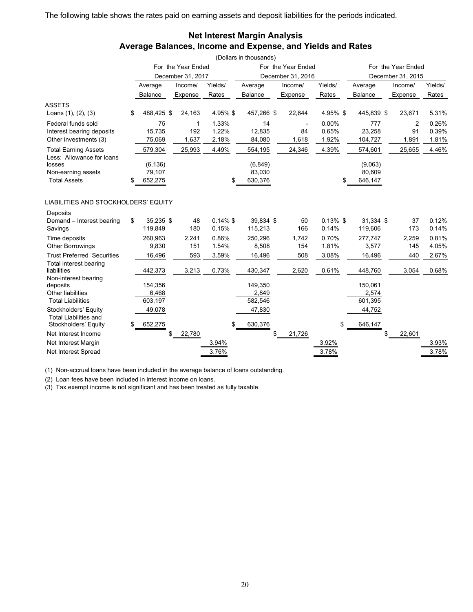The following table shows the rates paid on earning assets and deposit liabilities for the periods indicated.

### **Net Interest Margin Analysis Average Balances, Income and Expense, and Yields and Rates**

|                                      |    |            |                    |             | (Dollars in thousands) |                    |             |                   |                    |         |  |  |
|--------------------------------------|----|------------|--------------------|-------------|------------------------|--------------------|-------------|-------------------|--------------------|---------|--|--|
|                                      |    |            | For the Year Ended |             |                        | For the Year Ended |             |                   | For the Year Ended |         |  |  |
|                                      |    |            | December 31, 2017  |             |                        | December 31, 2016  |             | December 31, 2015 |                    |         |  |  |
|                                      |    | Average    | Income/            | Yields/     | Average                | Income/            | Yields/     | Average           | Income/            | Yields/ |  |  |
|                                      |    | Balance    | Expense            | Rates       | Balance                | Expense            | Rates       | Balance           | Expense            | Rates   |  |  |
| <b>ASSETS</b>                        |    |            |                    |             |                        |                    |             |                   |                    |         |  |  |
| Loans (1), (2), (3)                  | \$ | 488,425 \$ | 24,163             | 4.95%\$     | 457,266 \$             | 22,644             | 4.95% \$    | 445,839 \$        | 23,671             | 5.31%   |  |  |
| Federal funds sold                   |    | 75         | 1                  | 1.33%       | 14                     |                    | $0.00\%$    | 777               | $\overline{2}$     | 0.26%   |  |  |
| Interest bearing deposits            |    | 15,735     | 192                | 1.22%       | 12,835                 | 84                 | 0.65%       | 23,258            | 91                 | 0.39%   |  |  |
| Other investments (3)                |    | 75,069     | 1,637              | 2.18%       | 84,080                 | 1,618              | 1.92%       | 104,727           | 1,891              | 1.81%   |  |  |
| <b>Total Earning Assets</b>          |    | 579,304    | 25,993             | 4.49%       | 554,195                | 24,346             | 4.39%       | 574,601           | 25,655             | 4.46%   |  |  |
| Less: Allowance for loans<br>losses  |    | (6, 136)   |                    |             | (6, 849)               |                    |             | (9,063)           |                    |         |  |  |
| Non-earning assets                   |    | 79,107     |                    |             | 83,030                 |                    |             | 80,609            |                    |         |  |  |
| <b>Total Assets</b>                  | S  | 652,275    |                    | \$          | 630,376                |                    |             | 646,147           |                    |         |  |  |
|                                      |    |            |                    |             |                        |                    |             |                   |                    |         |  |  |
| LIABILITIES AND STOCKHOLDERS' EQUITY |    |            |                    |             |                        |                    |             |                   |                    |         |  |  |
| Deposits                             |    |            |                    |             |                        |                    |             |                   |                    |         |  |  |
| Demand - Interest bearing            | \$ | 35.235 \$  | 48                 | $0.14\%$ \$ | 39.834 \$              | 50                 | $0.13\%$ \$ | 31.334 \$         | 37                 | 0.12%   |  |  |
| Savings                              |    | 119,849    | 180                | 0.15%       | 115,213                | 166                | 0.14%       | 119,606           | 173                | 0.14%   |  |  |
| Time deposits                        |    | 260.963    | 2,241              | 0.86%       | 250.296                | 1,742              | 0.70%       | 277.747           | 2,259              | 0.81%   |  |  |
| <b>Other Borrowings</b>              |    | 9,830      | 151                | 1.54%       | 8,508                  | 154                | 1.81%       | 3,577             | 145                | 4.05%   |  |  |
| <b>Trust Preferred Securities</b>    |    | 16,496     | 593                | 3.59%       | 16,496                 | 508                | 3.08%       | 16,496            | 440                | 2.67%   |  |  |
| Total interest bearing               |    |            |                    |             |                        |                    |             |                   |                    |         |  |  |
| liabilities                          |    | 442,373    | 3,213              | 0.73%       | 430,347                | 2,620              | 0.61%       | 448,760           | 3,054              | 0.68%   |  |  |
| Non-interest bearing                 |    |            |                    |             |                        |                    |             |                   |                    |         |  |  |

| deposits                                             | 154.356 | 149.350 | 150.061 |        |
|------------------------------------------------------|---------|---------|---------|--------|
| Other liabilities                                    | 6,468   | 2,849   | 2,574   |        |
| <b>Total Liabilities</b>                             | 603.197 | 582.546 | 601,395 |        |
| Stockholders' Equity<br><b>Total Liabilities and</b> | 49,078  | 47,830  | 44,752  |        |
| Stockholders' Equity                                 | 652.275 | 630,376 | 646,147 |        |
| Net Interest Income                                  | 22,780  | 21,726  |         | 22,601 |
| Net Interest Margin                                  |         | 3.94%   | 3.92%   | 3.93%  |

Net Interest Spread 3.78% 3.78% 3.78%

(1) Non-accrual loans have been included in the average balance of loans outstanding.

(2) Loan fees have been included in interest income on loans.

(3) Tax exempt income is not significant and has been treated as fully taxable.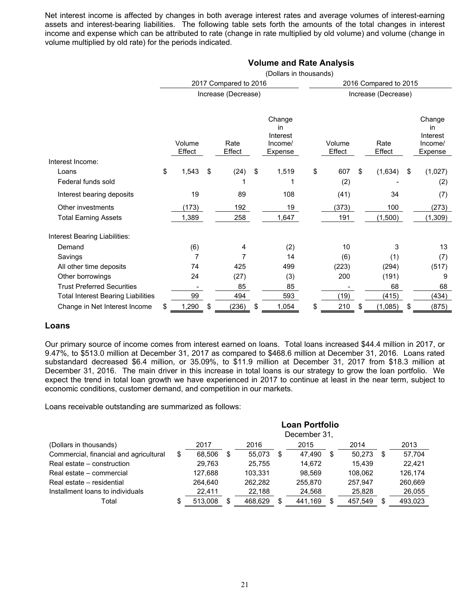Net interest income is affected by changes in both average interest rates and average volumes of interest-earning assets and interest-bearing liabilities. The following table sets forth the amounts of the total changes in interest income and expense which can be attributed to rate (change in rate multiplied by old volume) and volume (change in volume multiplied by old rate) for the periods indicated.

### **Volume and Rate Analysis**

|                                           |             |                       | (Dollars in thousands)              |                       |    |                     |    |                                     |  |
|-------------------------------------------|-------------|-----------------------|-------------------------------------|-----------------------|----|---------------------|----|-------------------------------------|--|
|                                           |             | 2017 Compared to 2016 |                                     | 2016 Compared to 2015 |    |                     |    |                                     |  |
|                                           |             | Increase (Decrease)   |                                     |                       |    | Increase (Decrease) |    |                                     |  |
|                                           | Volume      | Rate                  | Change<br>in<br>Interest<br>Income/ | Volume                |    | Rate                |    | Change<br>in<br>Interest<br>Income/ |  |
|                                           | Effect      | Effect                | Expense                             | Effect                |    | Effect              |    | Expense                             |  |
| Interest Income:<br>Loans                 | \$<br>1,543 | \$<br>(24)            | \$<br>1,519                         | \$<br>607             | \$ | (1,634)             | \$ | (1,027)                             |  |
| Federal funds sold                        |             |                       |                                     | (2)                   |    |                     |    | (2)                                 |  |
| Interest bearing deposits                 | 19          | 89                    | 108                                 | (41)                  |    | 34                  |    | (7)                                 |  |
| Other investments                         | (173)       | 192                   | 19                                  | (373)                 |    | 100                 |    | (273)                               |  |
| <b>Total Earning Assets</b>               | 1,389       | 258                   | 1,647                               | 191                   |    | (1,500)             |    | (1,309)                             |  |
| Interest Bearing Liabilities:             |             |                       |                                     |                       |    |                     |    |                                     |  |
| Demand                                    | (6)         | 4                     | (2)                                 | 10                    |    | 3                   |    | 13                                  |  |
| Savings                                   | 7           | 7                     | 14                                  | (6)                   |    | (1)                 |    | (7)                                 |  |
| All other time deposits                   | 74          | 425                   | 499                                 | (223)                 |    | (294)               |    | (517)                               |  |
| Other borrowings                          | 24          | (27)                  | (3)                                 | 200                   |    | (191)               |    | 9                                   |  |
| <b>Trust Preferred Securities</b>         |             | 85                    | 85                                  |                       |    | 68                  |    | 68                                  |  |
| <b>Total Interest Bearing Liabilities</b> | 99          | 494                   | 593                                 | (19)                  |    | (415)               |    | (434)                               |  |
| Change in Net Interest Income             | \$<br>1,290 | \$<br>(236)           | \$<br>1,054                         | \$<br>210             | S  | (1,085)             | \$ | (875)                               |  |

### **Loans**

Our primary source of income comes from interest earned on loans. Total loans increased \$44.4 million in 2017, or 9.47%, to \$513.0 million at December 31, 2017 as compared to \$468.6 million at December 31, 2016. Loans rated substandard decreased \$6.4 million, or 35.09%, to \$11.9 million at December 31, 2017 from \$18.3 million at December 31, 2016. The main driver in this increase in total loans is our strategy to grow the loan portfolio. We expect the trend in total loan growth we have experienced in 2017 to continue at least in the near term, subject to economic conditions, customer demand, and competition in our markets.

Loans receivable outstanding are summarized as follows:

|                                        | Loan Portfolio<br>December 31, |   |         |    |         |   |         |      |         |  |  |
|----------------------------------------|--------------------------------|---|---------|----|---------|---|---------|------|---------|--|--|
| (Dollars in thousands)                 | 2017                           |   | 2016    |    | 2015    |   | 2014    |      | 2013    |  |  |
| Commercial, financial and agricultural | \$<br>68.506                   | S | 55.073  | S  | 47.490  | S | 50.273  | - \$ | 57.704  |  |  |
| Real estate – construction             | 29.763                         |   | 25.755  |    | 14,672  |   | 15.439  |      | 22.421  |  |  |
| Real estate – commercial               | 127.688                        |   | 103.331 |    | 98,569  |   | 108,062 |      | 126.174 |  |  |
| Real estate – residential              | 264.640                        |   | 262.282 |    | 255,870 |   | 257.947 |      | 260,669 |  |  |
| Installment loans to individuals       | 22.411                         |   | 22,188  |    | 24,568  |   | 25,828  |      | 26,055  |  |  |
| Total                                  | 513.008                        |   | 468.629 | S. | 441.169 | S | 457.549 | \$   | 493.023 |  |  |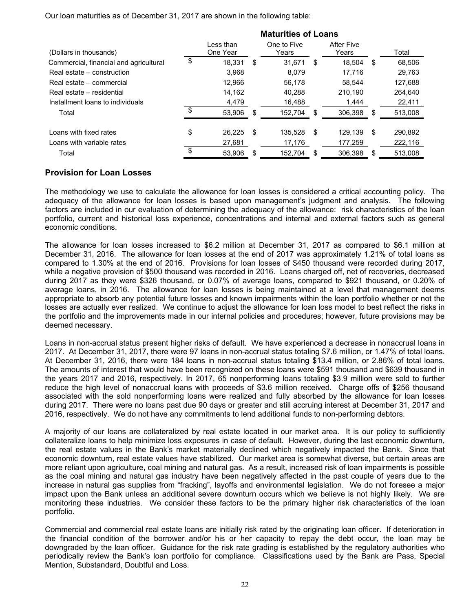Our loan maturities as of December 31, 2017 are shown in the following table:

|                                        | <b>Maturities of Loans</b> |    |                      |     |                     |    |         |  |  |  |  |  |
|----------------------------------------|----------------------------|----|----------------------|-----|---------------------|----|---------|--|--|--|--|--|
| (Dollars in thousands)                 | Less than<br>One Year      |    | One to Five<br>Years |     | After Five<br>Years |    | Total   |  |  |  |  |  |
| Commercial, financial and agricultural | \$<br>18.331               | \$ | 31.671               | \$  | 18.504              | S  | 68,506  |  |  |  |  |  |
| Real estate – construction             | 3.968                      |    | 8.079                |     | 17.716              |    | 29.763  |  |  |  |  |  |
| Real estate – commercial               | 12.966                     |    | 56,178               |     | 58.544              |    | 127,688 |  |  |  |  |  |
| Real estate – residential              | 14,162                     |    | 40,288               |     | 210,190             |    | 264,640 |  |  |  |  |  |
| Installment loans to individuals       | 4,479                      |    | 16,488               |     | 1,444               |    | 22,411  |  |  |  |  |  |
| Total                                  | \$<br>53,906               | \$ | 152,704              | \$. | 306,398             | S. | 513,008 |  |  |  |  |  |
|                                        |                            |    |                      |     |                     |    |         |  |  |  |  |  |
| Loans with fixed rates                 | \$<br>26.225               | \$ | 135,528              | \$  | 129.139             | \$ | 290,892 |  |  |  |  |  |
| Loans with variable rates              | 27.681                     |    | 17,176               |     | 177,259             |    | 222,116 |  |  |  |  |  |
| Total                                  | \$<br>53.906               | S  | 152,704              | S   | 306.398             | S  | 513.008 |  |  |  |  |  |

### **Provision for Loan Losses**

The methodology we use to calculate the allowance for loan losses is considered a critical accounting policy. The adequacy of the allowance for loan losses is based upon management's judgment and analysis. The following factors are included in our evaluation of determining the adequacy of the allowance: risk characteristics of the loan portfolio, current and historical loss experience, concentrations and internal and external factors such as general economic conditions.

The allowance for loan losses increased to \$6.2 million at December 31, 2017 as compared to \$6.1 million at December 31, 2016. The allowance for loan losses at the end of 2017 was approximately 1.21% of total loans as compared to 1.30% at the end of 2016. Provisions for loan losses of \$450 thousand were recorded during 2017, while a negative provision of \$500 thousand was recorded in 2016. Loans charged off, net of recoveries, decreased during 2017 as they were \$326 thousand, or 0.07% of average loans, compared to \$921 thousand, or 0.20% of average loans, in 2016. The allowance for loan losses is being maintained at a level that management deems appropriate to absorb any potential future losses and known impairments within the loan portfolio whether or not the losses are actually ever realized. We continue to adjust the allowance for loan loss model to best reflect the risks in the portfolio and the improvements made in our internal policies and procedures; however, future provisions may be deemed necessary.

Loans in non-accrual status present higher risks of default. We have experienced a decrease in nonaccrual loans in 2017. At December 31, 2017, there were 97 loans in non-accrual status totaling \$7.6 million, or 1.47% of total loans. At December 31, 2016, there were 184 loans in non-accrual status totaling \$13.4 million, or 2.86% of total loans. The amounts of interest that would have been recognized on these loans were \$591 thousand and \$639 thousand in the years 2017 and 2016, respectively. In 2017, 65 nonperforming loans totaling \$3.9 million were sold to further reduce the high level of nonaccrual loans with proceeds of \$3.6 million received. Charge offs of \$256 thousand associated with the sold nonperforming loans were realized and fully absorbed by the allowance for loan losses during 2017. There were no loans past due 90 days or greater and still accruing interest at December 31, 2017 and 2016, respectively. We do not have any commitments to lend additional funds to non-performing debtors.

A majority of our loans are collateralized by real estate located in our market area. It is our policy to sufficiently collateralize loans to help minimize loss exposures in case of default. However, during the last economic downturn, the real estate values in the Bank's market materially declined which negatively impacted the Bank. Since that economic downturn, real estate values have stabilized. Our market area is somewhat diverse, but certain areas are more reliant upon agriculture, coal mining and natural gas. As a result, increased risk of loan impairments is possible as the coal mining and natural gas industry have been negatively affected in the past couple of years due to the increase in natural gas supplies from "fracking", layoffs and environmental legislation. We do not foresee a major impact upon the Bank unless an additional severe downturn occurs which we believe is not highly likely. We are monitoring these industries. We consider these factors to be the primary higher risk characteristics of the loan portfolio.

Commercial and commercial real estate loans are initially risk rated by the originating loan officer. If deterioration in the financial condition of the borrower and/or his or her capacity to repay the debt occur, the loan may be downgraded by the loan officer. Guidance for the risk rate grading is established by the regulatory authorities who periodically review the Bank's loan portfolio for compliance. Classifications used by the Bank are Pass, Special Mention, Substandard, Doubtful and Loss.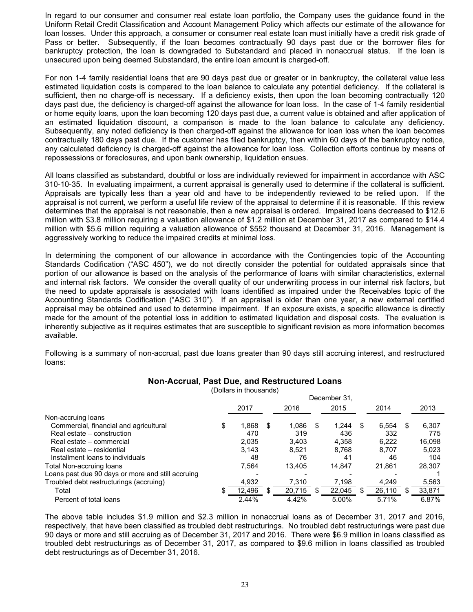In regard to our consumer and consumer real estate loan portfolio, the Company uses the guidance found in the Uniform Retail Credit Classification and Account Management Policy which affects our estimate of the allowance for loan losses. Under this approach, a consumer or consumer real estate loan must initially have a credit risk grade of Pass or better. Subsequently, if the loan becomes contractually 90 days past due or the borrower files for bankruptcy protection, the loan is downgraded to Substandard and placed in nonaccrual status. If the loan is unsecured upon being deemed Substandard, the entire loan amount is charged-off.

For non 1-4 family residential loans that are 90 days past due or greater or in bankruptcy, the collateral value less estimated liquidation costs is compared to the loan balance to calculate any potential deficiency. If the collateral is sufficient, then no charge-off is necessary. If a deficiency exists, then upon the loan becoming contractually 120 days past due, the deficiency is charged-off against the allowance for loan loss. In the case of 1-4 family residential or home equity loans, upon the loan becoming 120 days past due, a current value is obtained and after application of an estimated liquidation discount, a comparison is made to the loan balance to calculate any deficiency. Subsequently, any noted deficiency is then charged-off against the allowance for loan loss when the loan becomes contractually 180 days past due. If the customer has filed bankruptcy, then within 60 days of the bankruptcy notice, any calculated deficiency is charged-off against the allowance for loan loss. Collection efforts continue by means of repossessions or foreclosures, and upon bank ownership, liquidation ensues.

All loans classified as substandard, doubtful or loss are individually reviewed for impairment in accordance with ASC 310-10-35. In evaluating impairment, a current appraisal is generally used to determine if the collateral is sufficient. Appraisals are typically less than a year old and have to be independently reviewed to be relied upon. If the appraisal is not current, we perform a useful life review of the appraisal to determine if it is reasonable. If this review determines that the appraisal is not reasonable, then a new appraisal is ordered. Impaired loans decreased to \$12.6 million with \$3.8 million requiring a valuation allowance of \$1.2 million at December 31, 2017 as compared to \$14.4 million with \$5.6 million requiring a valuation allowance of \$552 thousand at December 31, 2016. Management is aggressively working to reduce the impaired credits at minimal loss.

In determining the component of our allowance in accordance with the Contingencies topic of the Accounting Standards Codification ("ASC 450"), we do not directly consider the potential for outdated appraisals since that portion of our allowance is based on the analysis of the performance of loans with similar characteristics, external and internal risk factors. We consider the overall quality of our underwriting process in our internal risk factors, but the need to update appraisals is associated with loans identified as impaired under the Receivables topic of the Accounting Standards Codification ("ASC 310"). If an appraisal is older than one year, a new external certified appraisal may be obtained and used to determine impairment. If an exposure exists, a specific allowance is directly made for the amount of the potential loss in addition to estimated liquidation and disposal costs. The evaluation is inherently subjective as it requires estimates that are susceptible to significant revision as more information becomes available.

Following is a summary of non-accrual, past due loans greater than 90 days still accruing interest, and restructured loans:

|                                                   |              | (Dollars in thousands) |   |        |   |        |   |        |   |        |
|---------------------------------------------------|--------------|------------------------|---|--------|---|--------|---|--------|---|--------|
|                                                   | December 31. |                        |   |        |   |        |   |        |   |        |
|                                                   |              | 2017                   |   | 2016   |   | 2015   |   | 2014   |   | 2013   |
| Non-accruing loans                                |              |                        |   |        |   |        |   |        |   |        |
| Commercial, financial and agricultural            | \$           | 1,868                  | S | 1.086  | S | 1.244  | S | 6.554  | S | 6.307  |
| Real estate – construction                        |              | 470                    |   | 319    |   | 436    |   | 332    |   | 775    |
| Real estate – commercial                          |              | 2.035                  |   | 3.403  |   | 4,358  |   | 6,222  |   | 16,098 |
| Real estate – residential                         |              | 3.143                  |   | 8.521  |   | 8.768  |   | 8.707  |   | 5,023  |
| Installment loans to individuals                  |              | 48                     |   | 76     |   | 41     |   | 46     |   | 104    |
| Total Non-accruing loans                          |              | 7,564                  |   | 13.405 |   | 14.847 |   | 21,861 |   | 28,307 |
| Loans past due 90 days or more and still accruing |              |                        |   |        |   |        |   |        |   |        |
| Troubled debt restructurings (accruing)           |              | 4,932                  |   | 7,310  |   | 7,198  |   | 4,249  |   | 5,563  |
| Total                                             |              | 12,496                 |   | 20,715 |   | 22,045 |   | 26,110 |   | 33,871 |
| Percent of total loans                            |              | 2.44%                  |   | 4.42%  |   | 5.00%  |   | 5.71%  |   | 6.87%  |

**Non-Accrual, Past Due, and Restructured Loans** 

The above table includes \$1.9 million and \$2.3 million in nonaccrual loans as of December 31, 2017 and 2016, respectively, that have been classified as troubled debt restructurings. No troubled debt restructurings were past due 90 days or more and still accruing as of December 31, 2017 and 2016. There were \$6.9 million in loans classified as troubled debt restructurings as of December 31, 2017, as compared to \$9.6 million in loans classified as troubled debt restructurings as of December 31, 2016.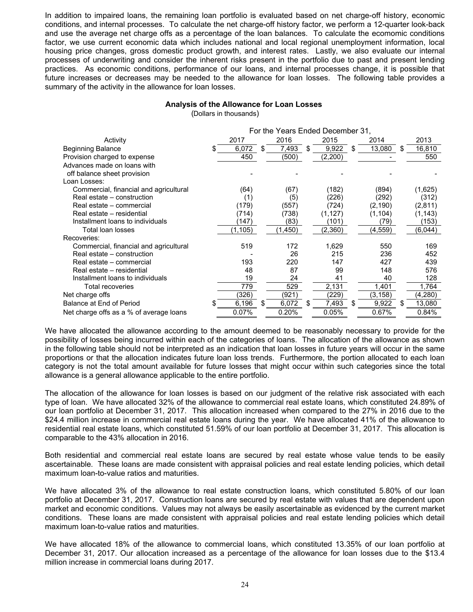In addition to impaired loans, the remaining loan portfolio is evaluated based on net charge-off history, economic conditions, and internal processes. To calculate the net charge-off history factor, we perform a 12-quarter look-back and use the average net charge offs as a percentage of the loan balances. To calculate the ecomomic conditions factor, we use current economic data which includes national and local regional unemployment information, local housing price changes, gross domestic product growth, and interest rates. Lastly, we also evaluate our internal processes of underwriting and consider the inherent risks present in the portfolio due to past and present lending practices. As economic conditions, performance of our loans, and internal processes change, it is possible that future increases or decreases may be needed to the allowance for loan losses. The following table provides a summary of the activity in the allowance for loan losses.

### **Analysis of the Allowance for Loan Losses**

(Dollars in thousands)

|                                         | For the Years Ended December 31. |          |    |          |    |          |     |          |     |          |
|-----------------------------------------|----------------------------------|----------|----|----------|----|----------|-----|----------|-----|----------|
| Activity                                |                                  | 2017     |    | 2016     |    | 2015     |     | 2014     |     | 2013     |
| <b>Beginning Balance</b>                |                                  | 6,072    | \$ | 7,493    | \$ | 9,922    | \$. | 13,080   | \$. | 16,810   |
| Provision charged to expense            |                                  | 450      |    | (500)    |    | (2, 200) |     |          |     | 550      |
| Advances made on loans with             |                                  |          |    |          |    |          |     |          |     |          |
| off balance sheet provision             |                                  |          |    |          |    |          |     |          |     |          |
| Loan Losses:                            |                                  |          |    |          |    |          |     |          |     |          |
| Commercial, financial and agricultural  |                                  | (64)     |    | (67)     |    | (182)    |     | (894)    |     | (1,625)  |
| Real estate – construction              |                                  | (1)      |    | (5)      |    | (226)    |     | (292)    |     | (312)    |
| Real estate - commercial                |                                  | (179)    |    | (557)    |    | (724)    |     | (2, 190) |     | (2,811)  |
| Real estate - residential               |                                  | (714)    |    | (738)    |    | (1, 127) |     | (1, 104) |     | (1, 143) |
| Installment loans to individuals        |                                  | (147)    |    | (83)     |    | (101)    |     | (79)     |     | (153)    |
| Total loan losses                       |                                  | (1, 105) |    | (1, 450) |    | (2,360)  |     | (4, 559) |     | (6,044)  |
| Recoveries:                             |                                  |          |    |          |    |          |     |          |     |          |
| Commercial, financial and agricultural  |                                  | 519      |    | 172      |    | 1,629    |     | 550      |     | 169      |
| Real estate – construction              |                                  |          |    | 26       |    | 215      |     | 236      |     | 452      |
| Real estate - commercial                |                                  | 193      |    | 220      |    | 147      |     | 427      |     | 439      |
| Real estate - residential               |                                  | 48       |    | 87       |    | 99       |     | 148      |     | 576      |
| Installment loans to individuals        |                                  | 19       |    | 24       |    | 41       |     | 40       |     | 128      |
| Total recoveries                        |                                  | 779      |    | 529      |    | 2,131    |     | 1,401    |     | 1,764    |
| Net charge offs                         |                                  | (326)    |    | (921     |    | (229)    |     | (3, 158) |     | (4,280)  |
| Balance at End of Period                | S                                | 6,196    | \$ | 6,072    | £. | 7,493    | \$. | 9,922    |     | 13,080   |
| Net charge offs as a % of average loans |                                  | 0.07%    |    | 0.20%    |    | 0.05%    |     | 0.67%    |     | 0.84%    |

We have allocated the allowance according to the amount deemed to be reasonably necessary to provide for the possibility of losses being incurred within each of the categories of loans. The allocation of the allowance as shown in the following table should not be interpreted as an indication that loan losses in future years will occur in the same proportions or that the allocation indicates future loan loss trends. Furthermore, the portion allocated to each loan category is not the total amount available for future losses that might occur within such categories since the total allowance is a general allowance applicable to the entire portfolio.

The allocation of the allowance for loan losses is based on our judgment of the relative risk associated with each type of loan. We have allocated 32% of the allowance to commercial real estate loans, which constituted 24.89% of our loan portfolio at December 31, 2017. This allocation increased when compared to the 27% in 2016 due to the \$24.4 million increase in commercial real estate loans during the year. We have allocated 41% of the allowance to residential real estate loans, which constituted 51.59% of our loan portfolio at December 31, 2017. This allocation is comparable to the 43% allocation in 2016.

Both residential and commercial real estate loans are secured by real estate whose value tends to be easily ascertainable. These loans are made consistent with appraisal policies and real estate lending policies, which detail maximum loan-to-value ratios and maturities.

We have allocated 3% of the allowance to real estate construction loans, which constituted 5.80% of our loan portfolio at December 31, 2017. Construction loans are secured by real estate with values that are dependent upon market and economic conditions. Values may not always be easily ascertainable as evidenced by the current market conditions. These loans are made consistent with appraisal policies and real estate lending policies which detail maximum loan-to-value ratios and maturities.

We have allocated 18% of the allowance to commercial loans, which constituted 13.35% of our loan portfolio at December 31, 2017. Our allocation increased as a percentage of the allowance for loan losses due to the \$13.4 million increase in commercial loans during 2017.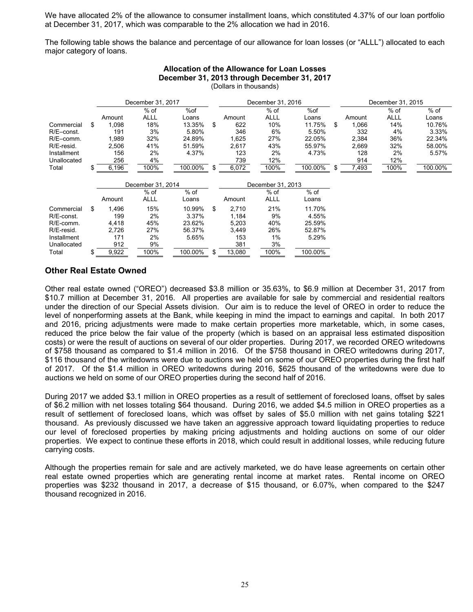We have allocated 2% of the allowance to consumer installment loans, which constituted 4.37% of our loan portfolio at December 31, 2017, which was comparable to the 2% allocation we had in 2016.

The following table shows the balance and percentage of our allowance for loan losses (or "ALLL") allocated to each major category of loans.

|             |    |        |                   |         | (Dollars in thousands) |                   | December 31, 2013 through December 31, 2017 |             |                   |         |
|-------------|----|--------|-------------------|---------|------------------------|-------------------|---------------------------------------------|-------------|-------------------|---------|
|             |    |        | December 31, 2017 |         |                        | December 31, 2016 |                                             |             | December 31, 2015 |         |
|             |    |        | $%$ of            | %of     |                        | $%$ of            | %of                                         |             | $%$ of            | $%$ of  |
|             |    | Amount | ALLL              | Loans   | Amount                 | ALLL              | Loans                                       | Amount      | ALLL              | Loans   |
| Commercial  | \$ | 1,098  | 18%               | 13.35%  | \$<br>622              | 10%               | 11.75%                                      | \$<br>1,066 | 14%               | 10.76%  |
| R/E-const.  |    | 191    | 3%                | 5.80%   | 346                    | 6%                | 5.50%                                       | 332         | 4%                | 3.33%   |
| R/E-comm.   |    | 1,989  | 32%               | 24.89%  | 1,625                  | 27%               | 22.05%                                      | 2,384       | 36%               | 22.34%  |
| R/E-resid.  |    | 2,506  | 41%               | 51.59%  | 2,617                  | 43%               | 55.97%                                      | 2,669       | 32%               | 58.00%  |
| Installment |    | 156    | 2%                | 4.37%   | 123                    | 2%                | 4.73%                                       | 128         | 2%                | 5.57%   |
| Unallocated |    | 256    | 4%                |         | 739                    | 12%               |                                             | 914         | 12%               |         |
| Total       | S  | 6,196  | 100%              | 100.00% | \$<br>6,072            | 100%              | 100.00%                                     | 7,493       | 100%              | 100.00% |
|             |    |        | December 31, 2014 |         |                        | December 31, 2013 |                                             |             |                   |         |
|             |    |        | $%$ of            | $%$ of  |                        | $%$ of            | $%$ of                                      |             |                   |         |
|             |    | Amount | ALLL              | Loans   | Amount                 | ALLL              | Loans                                       |             |                   |         |
| Commercial  | \$ | 1,496  | 15%               | 10.99%  | \$<br>2,710            | 21%               | 11.70%                                      |             |                   |         |
| R/E-const.  |    | 199    | 2%                | 3.37%   | 1,184                  | 9%                | 4.55%                                       |             |                   |         |
| R/E-comm.   |    | 4,418  | 45%               | 23.62%  | 5,203                  | 40%               | 25.59%                                      |             |                   |         |
| R/E-resid.  |    | 2,726  | 27%               | 56.37%  | 3,449                  | 26%               | 52.87%                                      |             |                   |         |
| Installment |    | 171    | 2%                | 5.65%   | 153                    | 1%                | 5.29%                                       |             |                   |         |
| Unallocated |    | 912    | 9%                |         | 381                    | 3%                |                                             |             |                   |         |
| Total       | \$ | 9,922  | 100%              | 100.00% | \$<br>13,080           | 100%              | 100.00%                                     |             |                   |         |

# **Allocation of the Allowance for Loan Losses**

### **Other Real Estate Owned**

Other real estate owned ("OREO") decreased \$3.8 million or 35.63%, to \$6.9 million at December 31, 2017 from \$10.7 million at December 31, 2016. All properties are available for sale by commercial and residential realtors under the direction of our Special Assets division. Our aim is to reduce the level of OREO in order to reduce the level of nonperforming assets at the Bank, while keeping in mind the impact to earnings and capital. In both 2017 and 2016, pricing adjustments were made to make certain properties more marketable, which, in some cases, reduced the price below the fair value of the property (which is based on an appraisal less estimated disposition costs) or were the result of auctions on several of our older properties. During 2017, we recorded OREO writedowns of \$758 thousand as compared to \$1.4 million in 2016. Of the \$758 thousand in OREO writedowns during 2017, \$116 thousand of the writedowns were due to auctions we held on some of our OREO properties during the first half of 2017. Of the \$1.4 million in OREO writedowns during 2016, \$625 thousand of the writedowns were due to auctions we held on some of our OREO properties during the second half of 2016.

During 2017 we added \$3.1 million in OREO properties as a result of settlement of foreclosed loans, offset by sales of \$6.2 million with net losses totaling \$64 thousand. During 2016, we added \$4.5 million in OREO properties as a result of settlement of foreclosed loans, which was offset by sales of \$5.0 million with net gains totaling \$221 thousand. As previously discussed we have taken an aggressive approach toward liquidating properties to reduce our level of foreclosed properties by making pricing adjustments and holding auctions on some of our older properties. We expect to continue these efforts in 2018, which could result in additional losses, while reducing future carrying costs.

Although the properties remain for sale and are actively marketed, we do have lease agreements on certain other real estate owned properties which are generating rental income at market rates. Rental income on OREO properties was \$232 thousand in 2017, a decrease of \$15 thousand, or 6.07%, when compared to the \$247 thousand recognized in 2016.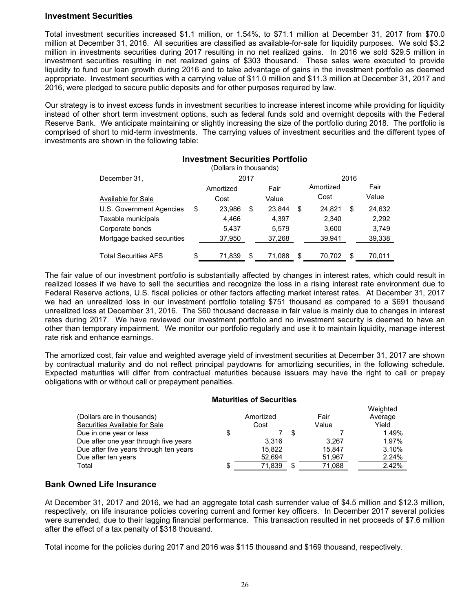### **Investment Securities**

Total investment securities increased \$1.1 million, or 1.54%, to \$71.1 million at December 31, 2017 from \$70.0 million at December 31, 2016. All securities are classified as available-for-sale for liquidity purposes. We sold \$3.2 million in investments securities during 2017 resulting in no net realized gains. In 2016 we sold \$29.5 million in investment securities resulting in net realized gains of \$303 thousand. These sales were executed to provide liquidity to fund our loan growth during 2016 and to take advantage of gains in the investment portfolio as deemed appropriate. Investment securities with a carrying value of \$11.0 million and \$11.3 million at December 31, 2017 and 2016, were pledged to secure public deposits and for other purposes required by law.

Our strategy is to invest excess funds in investment securities to increase interest income while providing for liquidity instead of other short term investment options, such as federal funds sold and overnight deposits with the Federal Reserve Bank. We anticipate maintaining or slightly increasing the size of the portfolio during 2018. The portfolio is comprised of short to mid-term investments. The carrying values of investment securities and the different types of investments are shown in the following table:

|                             | , Pullais III (HuusaHus) |      |        |      |           |    |        |
|-----------------------------|--------------------------|------|--------|------|-----------|----|--------|
| December 31.                |                          | 2017 |        | 2016 |           |    |        |
|                             | Amortized                |      | Fair   |      | Amortized |    | Fair   |
| Available for Sale          | Cost                     |      | Value  |      | Cost      |    | Value  |
| U.S. Government Agencies    | \$<br>23,986             | \$   | 23.844 | \$   | 24,821    | \$ | 24,632 |
| Taxable municipals          | 4,466                    |      | 4,397  |      | 2,340     |    | 2,292  |
| Corporate bonds             | 5.437                    |      | 5,579  |      | 3,600     |    | 3,749  |
| Mortgage backed securities  | 37,950                   |      | 37,268 |      | 39,941    |    | 39,338 |
| <b>Total Securities AFS</b> | \$<br>71.839             | \$   | 71,088 | \$   | 70.702    | \$ | 70,011 |
|                             |                          |      |        |      |           |    |        |

#### **Investment Securities Portfolio**  (Dollars in thousands)

The fair value of our investment portfolio is substantially affected by changes in interest rates, which could result in realized losses if we have to sell the securities and recognize the loss in a rising interest rate environment due to Federal Reserve actions, U.S. fiscal policies or other factors affecting market interest rates. At December 31, 2017 we had an unrealized loss in our investment portfolio totaling \$751 thousand as compared to a \$691 thousand unrealized loss at December 31, 2016. The \$60 thousand decrease in fair value is mainly due to changes in interest rates during 2017. We have reviewed our investment portfolio and no investment security is deemed to have an other than temporary impairment. We monitor our portfolio regularly and use it to maintain liquidity, manage interest rate risk and enhance earnings.

The amortized cost, fair value and weighted average yield of investment securities at December 31, 2017 are shown by contractual maturity and do not reflect principal paydowns for amortizing securities, in the following schedule. Expected maturities will differ from contractual maturities because issuers may have the right to call or prepay obligations with or without call or prepayment penalties.

### **Maturities of Securities**

| (Dollars are in thousands)<br><b>Securities Available for Sale</b> |   | Amortized<br>Cost |     | Fair<br>Value | Weighted<br>Average<br>Yield |
|--------------------------------------------------------------------|---|-------------------|-----|---------------|------------------------------|
| Due in one year or less                                            |   |                   | \$. |               | 1.49%                        |
| Due after one year through five years                              |   | 3.316             |     | 3.267         | 1.97%                        |
| Due after five years through ten years                             |   | 15.822            |     | 15.847        | 3.10%                        |
| Due after ten years                                                |   | 52.694            |     | 51.967        | 2.24%                        |
| Total                                                              | S | 71.839            |     | 71.088        | 2.42%                        |

### **Bank Owned Life Insurance**

At December 31, 2017 and 2016, we had an aggregate total cash surrender value of \$4.5 million and \$12.3 million, respectively, on life insurance policies covering current and former key officers. In December 2017 several policies were surrended, due to their lagging financial performance. This transaction resulted in net proceeds of \$7.6 million after the effect of a tax penalty of \$318 thousand.

Total income for the policies during 2017 and 2016 was \$115 thousand and \$169 thousand, respectively.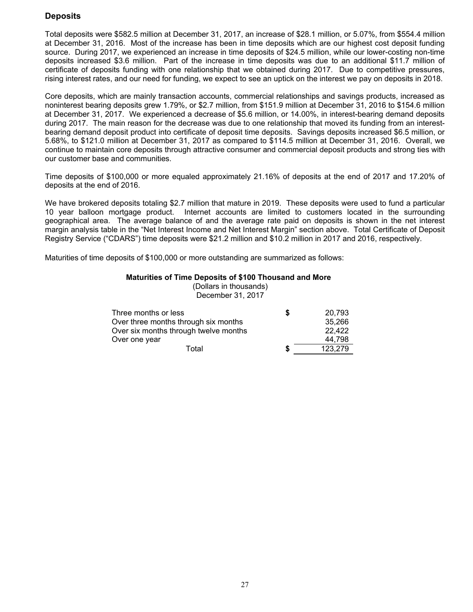### **Deposits**

Total deposits were \$582.5 million at December 31, 2017, an increase of \$28.1 million, or 5.07%, from \$554.4 million at December 31, 2016. Most of the increase has been in time deposits which are our highest cost deposit funding source. During 2017, we experienced an increase in time deposits of \$24.5 million, while our lower-costing non-time deposits increased \$3.6 million. Part of the increase in time deposits was due to an additional \$11.7 million of certificate of deposits funding with one relationship that we obtained during 2017. Due to competitive pressures, rising interest rates, and our need for funding, we expect to see an uptick on the interest we pay on deposits in 2018.

Core deposits, which are mainly transaction accounts, commercial relationships and savings products, increased as noninterest bearing deposits grew 1.79%, or \$2.7 million, from \$151.9 million at December 31, 2016 to \$154.6 million at December 31, 2017. We experienced a decrease of \$5.6 million, or 14.00%, in interest-bearing demand deposits during 2017. The main reason for the decrease was due to one relationship that moved its funding from an interestbearing demand deposit product into certificate of deposit time deposits. Savings deposits increased \$6.5 million, or 5.68%, to \$121.0 million at December 31, 2017 as compared to \$114.5 million at December 31, 2016. Overall, we continue to maintain core deposits through attractive consumer and commercial deposit products and strong ties with our customer base and communities.

Time deposits of \$100,000 or more equaled approximately 21.16% of deposits at the end of 2017 and 17.20% of deposits at the end of 2016.

We have brokered deposits totaling \$2.7 million that mature in 2019. These deposits were used to fund a particular 10 year balloon mortgage product. Internet accounts are limited to customers located in the surrounding geographical area. The average balance of and the average rate paid on deposits is shown in the net interest margin analysis table in the "Net Interest Income and Net Interest Margin" section above. Total Certificate of Deposit Registry Service ("CDARS") time deposits were \$21.2 million and \$10.2 million in 2017 and 2016, respectively.

Maturities of time deposits of \$100,000 or more outstanding are summarized as follows:

### **Maturities of Time Deposits of \$100 Thousand and More**

(Dollars in thousands) December 31, 2017

| Three months or less                  | S   | 20.793  |
|---------------------------------------|-----|---------|
| Over three months through six months  |     | 35.266  |
| Over six months through twelve months |     | 22.422  |
| Over one year                         |     | 44.798  |
| Total                                 | \$. | 123.279 |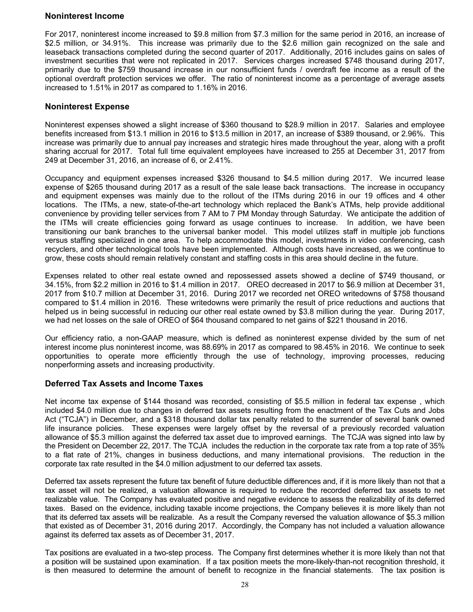### **Noninterest Income**

For 2017, noninterest income increased to \$9.8 million from \$7.3 million for the same period in 2016, an increase of \$2.5 million, or 34.91%. This increase was primarily due to the \$2.6 million gain recognized on the sale and leaseback transactions completed during the second quarter of 2017. Additionally, 2016 includes gains on sales of investment securities that were not replicated in 2017. Services charges increased \$748 thousand during 2017, primarily due to the \$759 thousand increase in our nonsufficient funds / overdraft fee income as a result of the optional overdraft protection services we offer. The ratio of noninterest income as a percentage of average assets increased to 1.51% in 2017 as compared to 1.16% in 2016.

### **Noninterest Expense**

Noninterest expenses showed a slight increase of \$360 thousand to \$28.9 million in 2017. Salaries and employee benefits increased from \$13.1 million in 2016 to \$13.5 million in 2017, an increase of \$389 thousand, or 2.96%. This increase was primarily due to annual pay increases and strategic hires made throughout the year, along with a profit sharing accrual for 2017. Total full time equivalent employees have increased to 255 at December 31, 2017 from 249 at December 31, 2016, an increase of 6, or 2.41%.

Occupancy and equipment expenses increased \$326 thousand to \$4.5 million during 2017. We incurred lease expense of \$265 thousand during 2017 as a result of the sale lease back transactions. The increase in occupancy and equipment expenses was mainly due to the rollout of the ITMs during 2016 in our 19 offices and 4 other locations. The ITMs, a new, state-of-the-art technology which replaced the Bank's ATMs, help provide additional convenience by providing teller services from 7 AM to 7 PM Monday through Saturday. We anticipate the addition of the ITMs will create efficiencies going forward as usage continues to increase. In addition, we have been transitioning our bank branches to the universal banker model. This model utilizes staff in multiple job functions versus staffing specialized in one area. To help accommodate this model, investments in video conferencing, cash recyclers, and other technological tools have been implemented. Although costs have increased, as we continue to grow, these costs should remain relatively constant and staffing costs in this area should decline in the future.

Expenses related to other real estate owned and repossessed assets showed a decline of \$749 thousand, or 34.15%, from \$2.2 million in 2016 to \$1.4 million in 2017. OREO decreased in 2017 to \$6.9 million at December 31, 2017 from \$10.7 million at December 31, 2016. During 2017 we recorded net OREO writedowns of \$758 thousand compared to \$1.4 million in 2016. These writedowns were primarily the result of price reductions and auctions that helped us in being successful in reducing our other real estate owned by \$3.8 million during the year. During 2017, we had net losses on the sale of OREO of \$64 thousand compared to net gains of \$221 thousand in 2016.

Our efficiency ratio, a non-GAAP measure, which is defined as noninterest expense divided by the sum of net interest income plus noninterest income, was 88.69% in 2017 as compared to 98.45% in 2016. We continue to seek opportunities to operate more efficiently through the use of technology, improving processes, reducing nonperforming assets and increasing productivity.

### **Deferred Tax Assets and Income Taxes**

Net income tax expense of \$144 thosand was recorded, consisting of \$5.5 million in federal tax expense , which included \$4.0 million due to changes in deferred tax assets resulting from the enactment of the Tax Cuts and Jobs Act ("TCJA") in December, and a \$318 thousand dollar tax penalty related to the surrender of several bank owned life insurance policies. These expenses were largely offset by the reversal of a previously recorded valuation allowance of \$5.3 million against the deferred tax asset due to improved earnings. The TCJA was signed into law by the President on December 22, 2017. The TCJA includes the reduction in the corporate tax rate from a top rate of 35% to a flat rate of 21%, changes in business deductions, and many international provisions. The reduction in the corporate tax rate resulted in the \$4.0 million adjustment to our deferred tax assets.

Deferred tax assets represent the future tax benefit of future deductible differences and, if it is more likely than not that a tax asset will not be realized, a valuation allowance is required to reduce the recorded deferred tax assets to net realizable value. The Company has evaluated positive and negative evidence to assess the realizability of its deferred taxes. Based on the evidence, including taxable income projections, the Company believes it is more likely than not that its deferred tax assets will be realizable. As a result the Company reversed the valuation allowance of \$5.3 million that existed as of December 31, 2016 during 2017. Accordingly, the Company has not included a valuation allowance against its deferred tax assets as of December 31, 2017.

Tax positions are evaluated in a two-step process. The Company first determines whether it is more likely than not that a position will be sustained upon examination. If a tax position meets the more-likely-than-not recognition threshold, it is then measured to determine the amount of benefit to recognize in the financial statements. The tax position is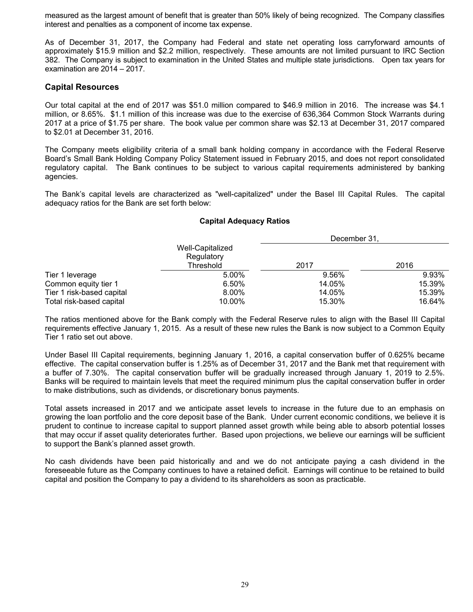measured as the largest amount of benefit that is greater than 50% likely of being recognized. The Company classifies interest and penalties as a component of income tax expense.

As of December 31, 2017, the Company had Federal and state net operating loss carryforward amounts of approximately \$15.9 million and \$2.2 million, respectively. These amounts are not limited pursuant to IRC Section 382. The Company is subject to examination in the United States and multiple state jurisdictions. Open tax years for examination are 2014 – 2017.

### **Capital Resources**

Our total capital at the end of 2017 was \$51.0 million compared to \$46.9 million in 2016. The increase was \$4.1 million, or 8.65%. \$1.1 million of this increase was due to the exercise of 636,364 Common Stock Warrants during 2017 at a price of \$1.75 per share. The book value per common share was \$2.13 at December 31, 2017 compared to \$2.01 at December 31, 2016.

The Company meets eligibility criteria of a small bank holding company in accordance with the Federal Reserve Board's Small Bank Holding Company Policy Statement issued in February 2015, and does not report consolidated regulatory capital. The Bank continues to be subject to various capital requirements administered by banking agencies.

The Bank's capital levels are characterized as "well-capitalized" under the Basel III Capital Rules. The capital adequacy ratios for the Bank are set forth below:

### December 31, Well-Capitalized **Regulatory**  Threshold 2017 2016 Tier 1 leverage 5.00% 9.56% 9.93% Common equity tier 1 6.50% 14.05% 15.39% Tier 1 risk-based capital 8.00% 14.05% 15.39% Total risk-based capital 10.00% 15.30% 16.64%

### **Capital Adequacy Ratios**

The ratios mentioned above for the Bank comply with the Federal Reserve rules to align with the Basel III Capital requirements effective January 1, 2015. As a result of these new rules the Bank is now subject to a Common Equity Tier 1 ratio set out above.

Under Basel III Capital requirements, beginning January 1, 2016, a capital conservation buffer of 0.625% became effective. The capital conservation buffer is 1.25% as of December 31, 2017 and the Bank met that requirement with a buffer of 7.30%. The capital conservation buffer will be gradually increased through January 1, 2019 to 2.5%. Banks will be required to maintain levels that meet the required minimum plus the capital conservation buffer in order to make distributions, such as dividends, or discretionary bonus payments.

Total assets increased in 2017 and we anticipate asset levels to increase in the future due to an emphasis on growing the loan portfolio and the core deposit base of the Bank. Under current economic conditions, we believe it is prudent to continue to increase capital to support planned asset growth while being able to absorb potential losses that may occur if asset quality deteriorates further. Based upon projections, we believe our earnings will be sufficient to support the Bank's planned asset growth.

No cash dividends have been paid historically and and we do not anticipate paying a cash dividend in the foreseeable future as the Company continues to have a retained deficit. Earnings will continue to be retained to build capital and position the Company to pay a dividend to its shareholders as soon as practicable.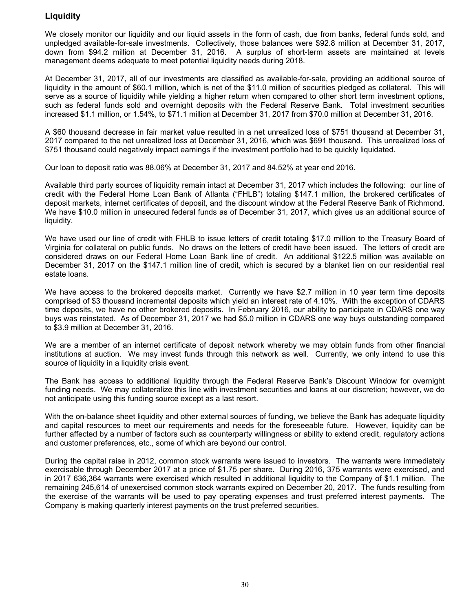### **Liquidity**

We closely monitor our liquidity and our liquid assets in the form of cash, due from banks, federal funds sold, and unpledged available-for-sale investments. Collectively, those balances were \$92.8 million at December 31, 2017, down from \$94.2 million at December 31, 2016. A surplus of short-term assets are maintained at levels management deems adequate to meet potential liquidity needs during 2018.

At December 31, 2017, all of our investments are classified as available-for-sale, providing an additional source of liquidity in the amount of \$60.1 million, which is net of the \$11.0 million of securities pledged as collateral. This will serve as a source of liquidity while yielding a higher return when compared to other short term investment options, such as federal funds sold and overnight deposits with the Federal Reserve Bank. Total investment securities increased \$1.1 million, or 1.54%, to \$71.1 million at December 31, 2017 from \$70.0 million at December 31, 2016.

A \$60 thousand decrease in fair market value resulted in a net unrealized loss of \$751 thousand at December 31, 2017 compared to the net unrealized loss at December 31, 2016, which was \$691 thousand. This unrealized loss of \$751 thousand could negatively impact earnings if the investment portfolio had to be quickly liquidated.

Our loan to deposit ratio was 88.06% at December 31, 2017 and 84.52% at year end 2016.

Available third party sources of liquidity remain intact at December 31, 2017 which includes the following: our line of credit with the Federal Home Loan Bank of Atlanta ("FHLB") totaling \$147.1 million, the brokered certificates of deposit markets, internet certificates of deposit, and the discount window at the Federal Reserve Bank of Richmond. We have \$10.0 million in unsecured federal funds as of December 31, 2017, which gives us an additional source of liquidity.

We have used our line of credit with FHLB to issue letters of credit totaling \$17.0 million to the Treasury Board of Virginia for collateral on public funds. No draws on the letters of credit have been issued. The letters of credit are considered draws on our Federal Home Loan Bank line of credit. An additional \$122.5 million was available on December 31, 2017 on the \$147.1 million line of credit, which is secured by a blanket lien on our residential real estate loans.

We have access to the brokered deposits market. Currently we have \$2.7 million in 10 year term time deposits comprised of \$3 thousand incremental deposits which yield an interest rate of 4.10%. With the exception of CDARS time deposits, we have no other brokered deposits. In February 2016, our ability to participate in CDARS one way buys was reinstated. As of December 31, 2017 we had \$5.0 million in CDARS one way buys outstanding compared to \$3.9 million at December 31, 2016.

We are a member of an internet certificate of deposit network whereby we may obtain funds from other financial institutions at auction. We may invest funds through this network as well. Currently, we only intend to use this source of liquidity in a liquidity crisis event.

The Bank has access to additional liquidity through the Federal Reserve Bank's Discount Window for overnight funding needs. We may collateralize this line with investment securities and loans at our discretion; however, we do not anticipate using this funding source except as a last resort.

With the on-balance sheet liquidity and other external sources of funding, we believe the Bank has adequate liquidity and capital resources to meet our requirements and needs for the foreseeable future. However, liquidity can be further affected by a number of factors such as counterparty willingness or ability to extend credit, regulatory actions and customer preferences, etc., some of which are beyond our control.

During the capital raise in 2012, common stock warrants were issued to investors. The warrants were immediately exercisable through December 2017 at a price of \$1.75 per share. During 2016, 375 warrants were exercised, and in 2017 636,364 warrants were exercised which resulted in additional liquidity to the Company of \$1.1 million. The remaining 245,614 of unexercised common stock warrants expired on December 20, 2017. The funds resulting from the exercise of the warrants will be used to pay operating expenses and trust preferred interest payments. The Company is making quarterly interest payments on the trust preferred securities.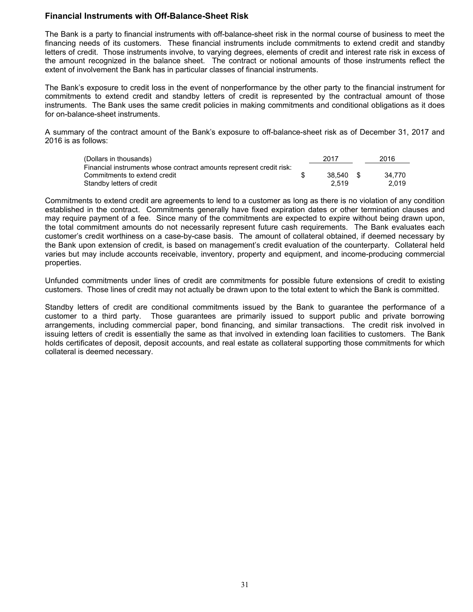### **Financial Instruments with Off-Balance-Sheet Risk**

The Bank is a party to financial instruments with off-balance-sheet risk in the normal course of business to meet the financing needs of its customers. These financial instruments include commitments to extend credit and standby letters of credit. Those instruments involve, to varying degrees, elements of credit and interest rate risk in excess of the amount recognized in the balance sheet. The contract or notional amounts of those instruments reflect the extent of involvement the Bank has in particular classes of financial instruments.

The Bank's exposure to credit loss in the event of nonperformance by the other party to the financial instrument for commitments to extend credit and standby letters of credit is represented by the contractual amount of those instruments. The Bank uses the same credit policies in making commitments and conditional obligations as it does for on-balance-sheet instruments.

A summary of the contract amount of the Bank's exposure to off-balance-sheet risk as of December 31, 2017 and 2016 is as follows:

| (Dollars in thousands)                                              | 2017      | 2016   |
|---------------------------------------------------------------------|-----------|--------|
| Financial instruments whose contract amounts represent credit risk: |           |        |
| Commitments to extend credit                                        | 38.540 \$ | 34.770 |
| Standby letters of credit                                           | 2.519     | 2.019  |

Commitments to extend credit are agreements to lend to a customer as long as there is no violation of any condition established in the contract. Commitments generally have fixed expiration dates or other termination clauses and may require payment of a fee. Since many of the commitments are expected to expire without being drawn upon, the total commitment amounts do not necessarily represent future cash requirements. The Bank evaluates each customer's credit worthiness on a case-by-case basis. The amount of collateral obtained, if deemed necessary by the Bank upon extension of credit, is based on management's credit evaluation of the counterparty. Collateral held varies but may include accounts receivable, inventory, property and equipment, and income-producing commercial properties.

Unfunded commitments under lines of credit are commitments for possible future extensions of credit to existing customers. Those lines of credit may not actually be drawn upon to the total extent to which the Bank is committed.

Standby letters of credit are conditional commitments issued by the Bank to guarantee the performance of a customer to a third party. Those guarantees are primarily issued to support public and private borrowing arrangements, including commercial paper, bond financing, and similar transactions. The credit risk involved in issuing letters of credit is essentially the same as that involved in extending loan facilities to customers. The Bank holds certificates of deposit, deposit accounts, and real estate as collateral supporting those commitments for which collateral is deemed necessary.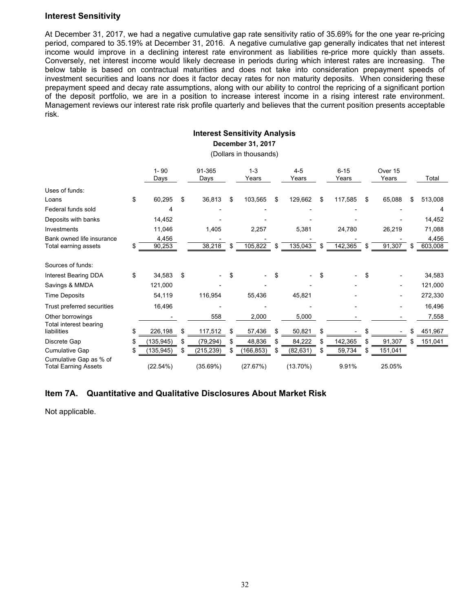### **Interest Sensitivity**

At December 31, 2017, we had a negative cumulative gap rate sensitivity ratio of 35.69% for the one year re-pricing period, compared to 35.19% at December 31, 2016. A negative cumulative gap generally indicates that net interest income would improve in a declining interest rate environment as liabilities re-price more quickly than assets. Conversely, net interest income would likely decrease in periods during which interest rates are increasing. The below table is based on contractual maturities and does not take into consideration prepayment speeds of investment securities and loans nor does it factor decay rates for non maturity deposits. When considering these prepayment speed and decay rate assumptions, along with our ability to control the repricing of a significant portion of the deposit portfolio, we are in a position to increase interest income in a rising interest rate environment. Management reviews our interest rate risk profile quarterly and believes that the current position presents acceptable risk.

## **Interest Sensitivity Analysis**

**December 31, 2017** 

|  | (Dollars in thousands) |
|--|------------------------|
|--|------------------------|

|                                                |     | $1 - 90$<br><b>Days</b> | 91-365<br>Days  | $1 - 3$<br>Years |     | $4 - 5$<br>Years | $6 - 15$<br>Years | Over 15<br>Years |    | Total   |
|------------------------------------------------|-----|-------------------------|-----------------|------------------|-----|------------------|-------------------|------------------|----|---------|
| Uses of funds:                                 |     |                         |                 |                  |     |                  |                   |                  |    |         |
| Loans                                          | \$  | 60,295                  | \$<br>36,813    | \$<br>103,565    | \$  | 129,662          | \$<br>117,585     | \$<br>65,088     | \$ | 513,008 |
| Federal funds sold                             |     | 4                       |                 |                  |     |                  |                   |                  |    | 4       |
| Deposits with banks                            |     | 14,452                  |                 |                  |     |                  |                   |                  |    | 14,452  |
| Investments                                    |     | 11,046                  | 1,405           | 2,257            |     | 5,381            | 24,780            | 26,219           |    | 71,088  |
| Bank owned life insurance                      |     | 4,456                   |                 |                  |     |                  |                   |                  |    | 4,456   |
| Total earning assets                           | \$  | 90,253                  | 38,218          | \$<br>105,822    |     | 135,043          | 142,365           | 91,307           | S  | 603,008 |
| Sources of funds:                              |     |                         |                 |                  |     |                  |                   |                  |    |         |
| <b>Interest Bearing DDA</b>                    | \$  | 34,583                  | \$              |                  | \$  |                  | \$                | \$               |    | 34,583  |
| Savings & MMDA                                 |     | 121,000                 |                 |                  |     |                  |                   |                  |    | 121,000 |
| <b>Time Deposits</b>                           |     | 54,119                  | 116,954         | 55,436           |     | 45,821           |                   |                  |    | 272,330 |
| Trust preferred securities                     |     | 16,496                  |                 |                  |     |                  |                   |                  |    | 16,496  |
| Other borrowings                               |     |                         | 558             | 2,000            |     | 5,000            |                   |                  |    | 7,558   |
| Total interest bearing<br>liabilities          | \$. | 226,198                 | \$<br>117,512   | \$<br>57,436     | \$. | 50,821           |                   |                  | \$ | 451,967 |
| Discrete Gap                                   | \$  | (135,945)               | \$<br>(79, 294) | \$<br>48,836     |     | 84,222           | 142,365           | \$<br>91,307     | \$ | 151,041 |
| Cumulative Gap                                 | \$  | (135, 945)              | (215, 239)      | (166, 853)       |     | (82, 631)        | 59,734            | 151,041          |    |         |
| Cumulative Gap as % of<br>Total Earning Assets |     | (22.54%)                | (35.69%)        | (27.67%)         |     | $(13.70\%)$      | 9.91%             | 25.05%           |    |         |

### **Item 7A. Quantitative and Qualitative Disclosures About Market Risk**

Not applicable.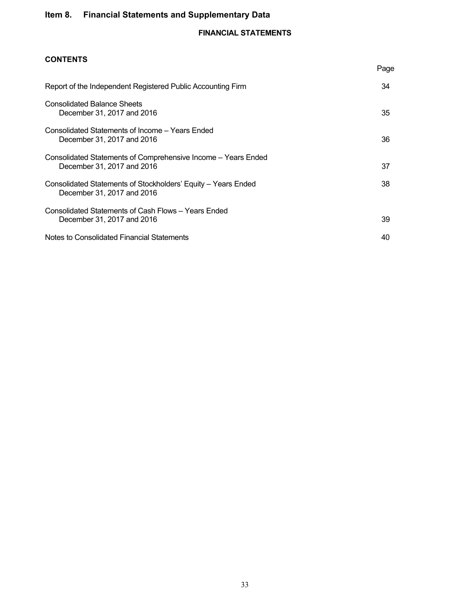### **Item 8. Financial Statements and Supplementary Data**

### **FINANCIAL STATEMENTS**

### **CONTENTS**

|                                                                                             | Page |
|---------------------------------------------------------------------------------------------|------|
| Report of the Independent Registered Public Accounting Firm                                 | 34   |
| <b>Consolidated Balance Sheets</b><br>December 31, 2017 and 2016                            | 35   |
| Consolidated Statements of Income - Years Ended<br>December 31, 2017 and 2016               | 36   |
| Consolidated Statements of Comprehensive Income – Years Ended<br>December 31, 2017 and 2016 | 37   |
| Consolidated Statements of Stockholders' Equity - Years Ended<br>December 31, 2017 and 2016 | 38   |
| Consolidated Statements of Cash Flows - Years Ended<br>December 31, 2017 and 2016           | 39   |
| Notes to Consolidated Financial Statements                                                  | 40   |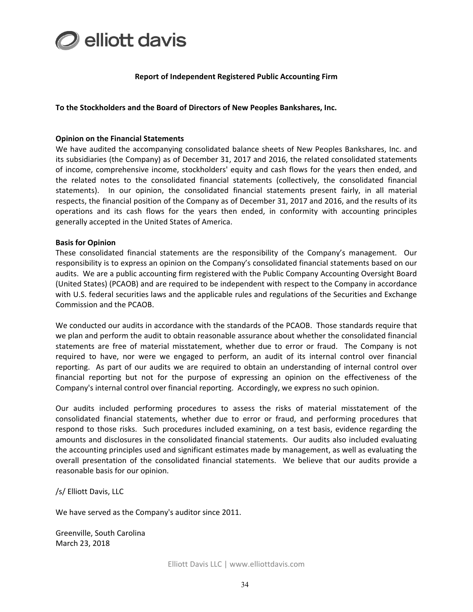

### **Report of Independent Registered Public Accounting Firm**

### **To the Stockholders and the Board of Directors of New Peoples Bankshares, Inc.**

### **Opinion on the Financial Statements**

We have audited the accompanying consolidated balance sheets of New Peoples Bankshares, Inc. and its subsidiaries (the Company) as of December 31, 2017 and 2016, the related consolidated statements of income, comprehensive income, stockholders' equity and cash flows for the years then ended, and the related notes to the consolidated financial statements (collectively, the consolidated financial statements). In our opinion, the consolidated financial statements present fairly, in all material respects, the financial position of the Company as of December 31, 2017 and 2016, and the results of its operations and its cash flows for the years then ended, in conformity with accounting principles generally accepted in the United States of America.

### **Basis for Opinion**

These consolidated financial statements are the responsibility of the Company's management. Our responsibility is to express an opinion on the Company's consolidated financial statements based on our audits.We are a public accounting firm registered with the Public Company Accounting Oversight Board (United States) (PCAOB) and are required to be independent with respect to the Company in accordance with U.S. federal securities laws and the applicable rules and regulations of the Securities and Exchange Commission and the PCAOB.

We conducted our audits in accordance with the standards of the PCAOB. Those standards require that we plan and perform the audit to obtain reasonable assurance about whether the consolidated financial statements are free of material misstatement, whether due to error or fraud. The Company is not required to have, nor were we engaged to perform, an audit of its internal control over financial reporting. As part of our audits we are required to obtain an understanding of internal control over financial reporting but not for the purpose of expressing an opinion on the effectiveness of the Company's internal control over financial reporting. Accordingly, we express no such opinion.

Our audits included performing procedures to assess the risks of material misstatement of the consolidated financial statements, whether due to error or fraud, and performing procedures that respond to those risks. Such procedures included examining, on a test basis, evidence regarding the amounts and disclosures in the consolidated financial statements. Our audits also included evaluating the accounting principles used and significant estimates made by management, as well as evaluating the overall presentation of the consolidated financial statements. We believe that our audits provide a reasonable basis for our opinion.

/s/ Elliott Davis, LLC

We have served as the Company's auditor since 2011.

Greenville, South Carolina March 23, 2018

Elliott Davis LLC | www.elliottdavis.com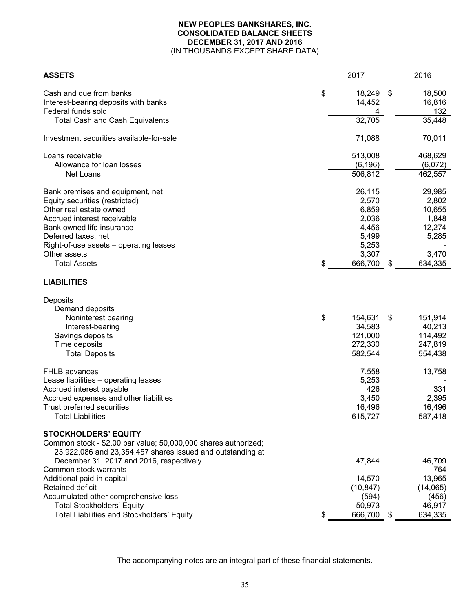### **NEW PEOPLES BANKSHARES, INC. CONSOLIDATED BALANCE SHEETS DECEMBER 31, 2017 AND 2016**  (IN THOUSANDS EXCEPT SHARE DATA)

| <b>ASSETS</b>                                                  | 2017             |      | 2016     |
|----------------------------------------------------------------|------------------|------|----------|
| Cash and due from banks                                        | \$<br>18,249     | - \$ | 18,500   |
| Interest-bearing deposits with banks                           | 14,452           |      | 16,816   |
| Federal funds sold                                             | 4                |      | 132      |
| <b>Total Cash and Cash Equivalents</b>                         | 32,705           |      | 35,448   |
| Investment securities available-for-sale                       | 71,088           |      | 70,011   |
| Loans receivable                                               | 513,008          |      | 468,629  |
| Allowance for loan losses                                      | (6, 196)         |      | (6,072)  |
| <b>Net Loans</b>                                               | 506,812          |      | 462,557  |
| Bank premises and equipment, net                               | 26,115           |      | 29,985   |
| Equity securities (restricted)                                 | 2,570            |      | 2,802    |
| Other real estate owned                                        | 6,859            |      | 10,655   |
| Accrued interest receivable                                    | 2,036            |      | 1,848    |
| Bank owned life insurance                                      | 4,456            |      | 12,274   |
| Deferred taxes, net                                            | 5,499            |      | 5,285    |
| Right-of-use assets – operating leases                         | 5,253            |      |          |
| Other assets                                                   | 3,307            |      | 3,470    |
| <b>Total Assets</b>                                            | \$<br>666,700    | \$   | 634,335  |
| <b>LIABILITIES</b>                                             |                  |      |          |
| Deposits                                                       |                  |      |          |
| Demand deposits                                                |                  |      |          |
| Noninterest bearing                                            | \$<br>154,631    | \$   | 151,914  |
| Interest-bearing                                               | 34,583           |      | 40,213   |
| Savings deposits                                               | 121,000          |      | 114,492  |
| Time deposits                                                  | 272,330          |      | 247,819  |
| <b>Total Deposits</b>                                          | 582,544          |      | 554,438  |
| <b>FHLB</b> advances                                           | 7,558            |      | 13,758   |
| Lease liabilities - operating leases                           | 5,253            |      |          |
| Accrued interest payable                                       | 426              |      | 331      |
| Accrued expenses and other liabilities                         | 3,450            |      | 2,395    |
| Trust preferred securities                                     | 16,496           |      | 16,496   |
| <b>Total Liabilities</b>                                       | 615,727          |      | 587,418  |
| <b>STOCKHOLDERS' EQUITY</b>                                    |                  |      |          |
| Common stock - \$2.00 par value; 50,000,000 shares authorized; |                  |      |          |
| 23,922,086 and 23,354,457 shares issued and outstanding at     |                  |      |          |
| December 31, 2017 and 2016, respectively                       | 47,844           |      | 46,709   |
| Common stock warrants                                          |                  |      | 764      |
| Additional paid-in capital                                     | 14,570           |      | 13,965   |
| Retained deficit                                               | (10, 847)        |      | (14,065) |
| Accumulated other comprehensive loss                           | (594)            |      | (456)    |
| <b>Total Stockholders' Equity</b>                              | 50,973           |      | 46,917   |
| Total Liabilities and Stockholders' Equity                     | \$<br>666,700 \$ |      | 634,335  |

The accompanying notes are an integral part of these financial statements.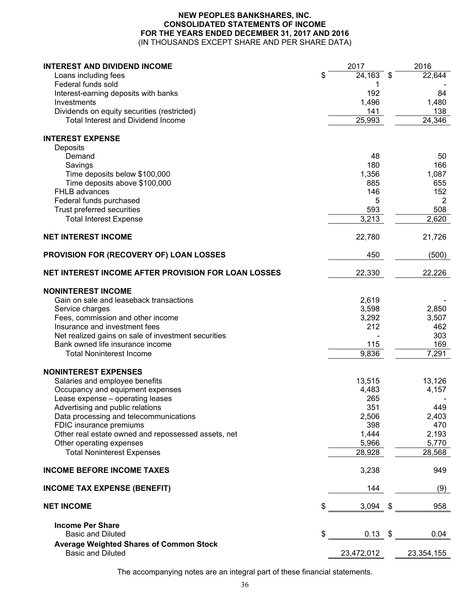### **NEW PEOPLES BANKSHARES, INC. CONSOLIDATED STATEMENTS OF INCOME FOR THE YEARS ENDED DECEMBER 31, 2017 AND 2016**  (IN THOUSANDS EXCEPT SHARE AND PER SHARE DATA)

| <b>INTEREST AND DIVIDEND INCOME</b>                                 |               | 2017                    | 2016                  |
|---------------------------------------------------------------------|---------------|-------------------------|-----------------------|
| Loans including fees                                                | \$            | 24,163                  | \$<br>22,644          |
| Federal funds sold                                                  |               |                         |                       |
| Interest-earning deposits with banks                                |               | 192                     | 84                    |
| Investments<br>Dividends on equity securities (restricted)          |               | 1,496<br>141            | 1,480<br>138          |
| <b>Total Interest and Dividend Income</b>                           |               | 25,993                  | $\overline{2}$ 4,346  |
|                                                                     |               |                         |                       |
| <b>INTEREST EXPENSE</b>                                             |               |                         |                       |
| Deposits                                                            |               |                         |                       |
| Demand                                                              |               | 48                      | 50                    |
| Savings                                                             |               | 180                     | 166                   |
| Time deposits below \$100,000                                       |               | 1,356                   | 1,087                 |
| Time deposits above \$100,000                                       |               | 885                     | 655                   |
| FHLB advances                                                       |               | 146                     | 152<br>$\overline{2}$ |
| Federal funds purchased<br>Trust preferred securities               |               | 5<br>593                | 508                   |
| <b>Total Interest Expense</b>                                       |               | 3,213                   | 2,620                 |
|                                                                     |               |                         |                       |
| <b>NET INTEREST INCOME</b>                                          |               | 22,780                  | 21,726                |
| <b>PROVISION FOR (RECOVERY OF) LOAN LOSSES</b>                      |               | 450                     | (500)                 |
|                                                                     |               |                         |                       |
| NET INTEREST INCOME AFTER PROVISION FOR LOAN LOSSES                 |               | 22,330                  | 22,226                |
| <b>NONINTEREST INCOME</b>                                           |               |                         |                       |
| Gain on sale and leaseback transactions                             |               | 2,619                   |                       |
| Service charges                                                     |               | 3,598                   | 2,850                 |
| Fees, commission and other income                                   |               | 3,292                   | 3,507                 |
| Insurance and investment fees                                       |               | 212                     | 462                   |
| Net realized gains on sale of investment securities                 |               |                         | 303                   |
| Bank owned life insurance income<br><b>Total Noninterest Income</b> |               | 115<br>9,836            | 169<br>7,291          |
|                                                                     |               |                         |                       |
| <b>NONINTEREST EXPENSES</b>                                         |               |                         |                       |
| Salaries and employee benefits                                      |               | 13,515                  | 13,126                |
| Occupancy and equipment expenses                                    |               | 4,483                   | 4,157                 |
| Lease expense - operating leases                                    |               | 265                     |                       |
| Advertising and public relations                                    |               | 351                     | 449                   |
| Data processing and telecommunications                              |               | 2,506                   | 2,403                 |
| FDIC insurance premiums                                             |               | 398                     | 470                   |
| Other real estate owned and repossessed assets, net                 |               | 1,444                   | 2,193                 |
| Other operating expenses                                            |               | 5,966                   | 5,770                 |
| <b>Total Noninterest Expenses</b>                                   |               | 28,928                  | 28,568                |
| <b>INCOME BEFORE INCOME TAXES</b>                                   |               | 3,238                   | 949                   |
| <b>INCOME TAX EXPENSE (BENEFIT)</b>                                 |               | 144                     | (9)                   |
| <b>NET INCOME</b>                                                   | $\frac{1}{2}$ | $3,094$ \$              | 958                   |
|                                                                     |               |                         |                       |
| <b>Income Per Share</b>                                             |               |                         |                       |
| <b>Basic and Diluted</b>                                            |               | $\frac{12}{10}$ 0.13 \$ | 0.04                  |
| <b>Average Weighted Shares of Common Stock</b>                      |               |                         |                       |
| <b>Basic and Diluted</b>                                            |               | 23,472,012              | 23,354,155            |

The accompanying notes are an integral part of these financial statements.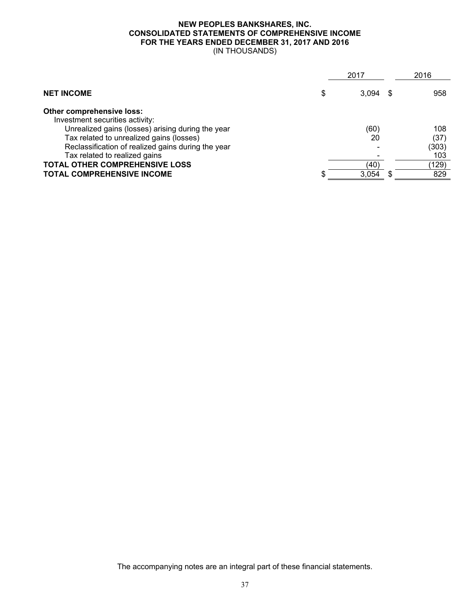#### **NEW PEOPLES BANKSHARES, INC. CONSOLIDATED STATEMENTS OF COMPREHENSIVE INCOME FOR THE YEARS ENDED DECEMBER 31, 2017 AND 2016**  (IN THOUSANDS)

|                                                                                      | 2017        |      | 2016  |  |
|--------------------------------------------------------------------------------------|-------------|------|-------|--|
| <b>NET INCOME</b>                                                                    | \$<br>3,094 | - \$ | 958   |  |
| <b>Other comprehensive loss:</b>                                                     |             |      |       |  |
| Investment securities activity:<br>Unrealized gains (losses) arising during the year | (60)        |      | 108   |  |
| Tax related to unrealized gains (losses)                                             | 20          |      | (37)  |  |
| Reclassification of realized gains during the year                                   |             |      | (303) |  |
| Tax related to realized gains                                                        |             |      | 103   |  |
| <b>TOTAL OTHER COMPREHENSIVE LOSS</b>                                                | (40)        |      | (129) |  |
| <b>TOTAL COMPREHENSIVE INCOME</b>                                                    | \$<br>3,054 | \$.  | 829   |  |

The accompanying notes are an integral part of these financial statements.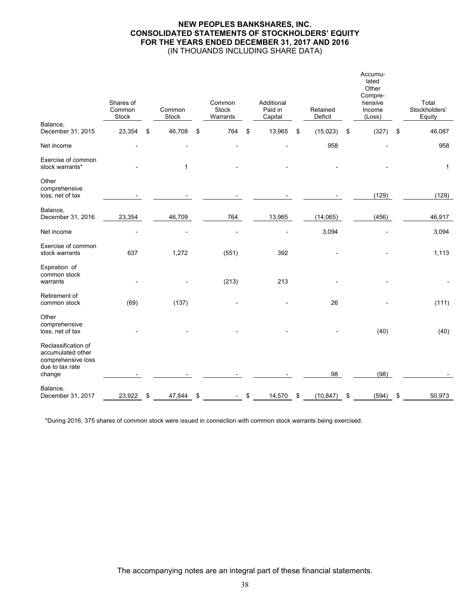#### **NEW PEOPLES BANKSHARES, INC. CONSOLIDATED STATEMENTS OF STOCKHOLDERS' EQUITY FOR THE YEARS ENDED DECEMBER 31, 2017 AND 2016**  (IN THOUANDS INCLUDING SHARE DATA)

|                                                                                             | Shares of<br>Common<br>Stock | Common<br>Stock | Common<br>Stock<br>Warrants | Additional<br>Paid in<br>Capital | Retained<br>Deficit | Accumu-<br>lated<br>Other<br>Compre-<br>hensive<br>Income<br>(Loss) | Total<br>Stockholders'<br>Equity |
|---------------------------------------------------------------------------------------------|------------------------------|-----------------|-----------------------------|----------------------------------|---------------------|---------------------------------------------------------------------|----------------------------------|
| Balance,<br>December 31, 2015                                                               | 23,354                       | \$<br>46,708    | \$<br>764<br>\$             | 13,965                           | \$<br>(15, 023)     | \$<br>(327)                                                         | \$<br>46,087                     |
| Net income                                                                                  |                              |                 |                             |                                  | 958                 |                                                                     | 958                              |
| Exercise of common<br>stock warrants*                                                       |                              | 1               |                             |                                  |                     |                                                                     | 1                                |
| Other<br>comprehensive<br>loss, net of tax                                                  |                              |                 |                             |                                  |                     | (129)                                                               | (129)                            |
| Balance,<br>December 31, 2016                                                               | 23,354                       | 46,709          | 764                         | 13,965                           | (14,065)            | (456)                                                               | 46,917                           |
| Net income                                                                                  | Ĭ.                           |                 |                             |                                  | 3,094               |                                                                     | 3,094                            |
| Exercise of common<br>stock warrants                                                        | 637                          | 1,272           | (551)                       | 392                              |                     |                                                                     | 1,113                            |
| Expiration of<br>common stock<br>warrants                                                   |                              |                 | (213)                       | 213                              |                     |                                                                     |                                  |
| Retirement of<br>common stock                                                               | (69)                         | (137)           |                             |                                  | 26                  |                                                                     | (111)                            |
| Other<br>comprehensive<br>loss, net of tax                                                  |                              |                 |                             |                                  |                     | (40)                                                                | (40)                             |
| Reclassification of<br>accumulated other<br>comprehensive loss<br>due to tax rate<br>change |                              |                 |                             |                                  | 98                  | (98)                                                                |                                  |
| Balance,<br>December 31, 2017                                                               | 23,922                       | \$<br>47,844    | \$                          | \$<br>14,570                     | \$<br>(10, 847)     | \$<br>(594)                                                         | \$<br>50,973                     |

\*During 2016, 375 shares of common stock were issued in connection with common stock warrants being exercised.

The accompanying notes are an integral part of these financial statements.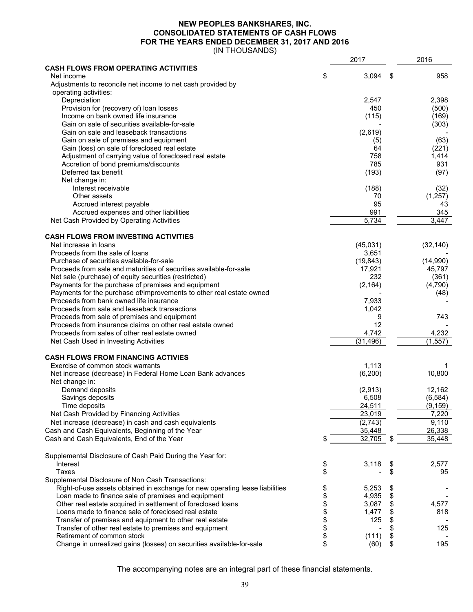# **NEW PEOPLES BANKSHARES, INC. CONSOLIDATED STATEMENTS OF CASH FLOWS FOR THE YEARS ENDED DECEMBER 31, 2017 AND 2016**

(IN THOUSANDS)

|                                                                                |            | 2017      |     | 2016      |
|--------------------------------------------------------------------------------|------------|-----------|-----|-----------|
| <b>CASH FLOWS FROM OPERATING ACTIVITIES</b>                                    |            |           |     |           |
| Net income<br>Adjustments to reconcile net income to net cash provided by      | \$         | 3,094     | -\$ | 958       |
| operating activities:                                                          |            |           |     |           |
| Depreciation                                                                   |            | 2,547     |     | 2,398     |
| Provision for (recovery of) loan losses                                        |            | 450       |     | (500)     |
| Income on bank owned life insurance                                            |            | (115)     |     | (169)     |
| Gain on sale of securities available-for-sale                                  |            |           |     | (303)     |
| Gain on sale and leaseback transactions                                        |            | (2,619)   |     |           |
| Gain on sale of premises and equipment                                         |            | (5)       |     | (63)      |
| Gain (loss) on sale of foreclosed real estate                                  |            | 64        |     | (221)     |
| Adjustment of carrying value of foreclosed real estate                         |            | 758       |     | 1,414     |
| Accretion of bond premiums/discounts                                           |            | 785       |     | 931       |
| Deferred tax benefit                                                           |            | (193)     |     | (97)      |
| Net change in:                                                                 |            |           |     |           |
| Interest receivable                                                            |            | (188)     |     | (32)      |
| Other assets                                                                   |            | 70        |     | (1, 257)  |
| Accrued interest payable                                                       |            | 95        |     | 43        |
| Accrued expenses and other liabilities                                         |            | 991       |     | 345       |
| Net Cash Provided by Operating Activities                                      |            | 5,734     |     | 3,447     |
| <b>CASH FLOWS FROM INVESTING ACTIVITIES</b>                                    |            |           |     |           |
| Net increase in loans                                                          |            | (45,031)  |     | (32, 140) |
| Proceeds from the sale of loans                                                |            | 3,651     |     |           |
| Purchase of securities available-for-sale                                      |            | (19, 843) |     | (14,990)  |
| Proceeds from sale and maturities of securities available-for-sale             |            | 17,921    |     | 45,797    |
| Net sale (purchase) of equity securities (restricted)                          |            | 232       |     | (361)     |
| Payments for the purchase of premises and equipment                            |            | (2, 164)  |     | (4,790)   |
| Payments for the purchase of/improvements to other real estate owned           |            |           |     | (48)      |
| Proceeds from bank owned life insurance                                        |            | 7,933     |     |           |
| Proceeds from sale and leaseback transactions                                  |            | 1,042     |     |           |
| Proceeds from sale of premises and equipment                                   |            | 9         |     | 743       |
| Proceeds from insurance claims on other real estate owned                      |            | 12        |     |           |
| Proceeds from sales of other real estate owned                                 |            | 4,742     |     | 4,232     |
| Net Cash Used in Investing Activities                                          |            | (31, 496) |     | (1, 557)  |
|                                                                                |            |           |     |           |
| <b>CASH FLOWS FROM FINANCING ACTIVIES</b><br>Exercise of common stock warrants |            | 1,113     |     |           |
| Net increase (decrease) in Federal Home Loan Bank advances                     |            | (6,200)   |     | 10,800    |
| Net change in:                                                                 |            |           |     |           |
| Demand deposits                                                                |            | (2,913)   |     | 12,162    |
| Savings deposits                                                               |            | 6,508     |     | (6, 584)  |
| I ime deposits                                                                 |            | 24,511    |     | (9,159)   |
| Net Cash Provided by Financing Activities                                      |            | 23,019    |     | 7,220     |
| Net increase (decrease) in cash and cash equivalents                           |            | (2,743)   |     | 9,110     |
| Cash and Cash Equivalents, Beginning of the Year                               |            | 35,448    |     | 26,338    |
| Cash and Cash Equivalents, End of the Year                                     | \$         | 32,705    | \$  | 35,448    |
|                                                                                |            |           |     |           |
| Supplemental Disclosure of Cash Paid During the Year for:                      |            |           |     |           |
| Interest                                                                       | \$         | 3,118     | \$  | 2,577     |
| Taxes                                                                          | \$         |           | \$  | 95        |
| Supplemental Disclosure of Non Cash Transactions:                              |            |           |     |           |
| Right-of-use assets obtained in exchange for new operating lease liabilities   | \$         | 5,253     | \$  |           |
| Loan made to finance sale of premises and equipment                            |            | 4,935     | \$  |           |
| Other real estate acquired in settlement of foreclosed loans                   | \$\$\$\$\$ | 3,087     | \$  | 4,577     |
| Loans made to finance sale of foreclosed real estate                           |            | 1,477     | \$  | 818       |
| Transfer of premises and equipment to other real estate                        |            | 125       | \$  |           |
| Transfer of other real estate to premises and equipment                        |            |           | \$  | 125       |
| Retirement of common stock                                                     | \$         | (111)     | \$  |           |
| Change in unrealized gains (losses) on securities available-for-sale           | \$         | (60)      | \$  | 195       |

The accompanying notes are an integral part of these financial statements.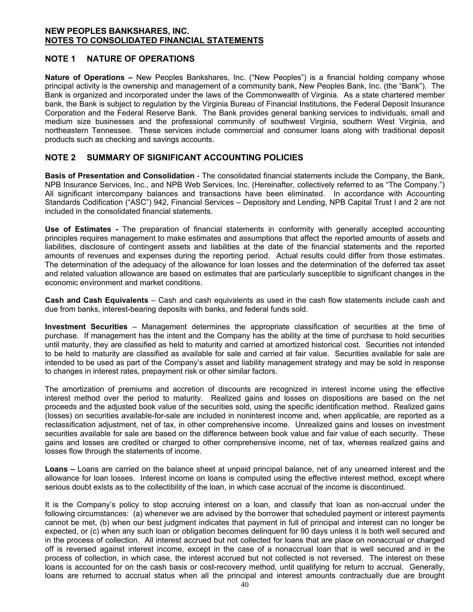#### **NEW PEOPLES BANKSHARES, INC. NOTES TO CONSOLIDATED FINANCIAL STATEMENTS**

# **NOTE 1 NATURE OF OPERATIONS**

**Nature of Operations –** New Peoples Bankshares, Inc. ("New Peoples") is a financial holding company whose principal activity is the ownership and management of a community bank, New Peoples Bank, Inc. (the "Bank"). The Bank is organized and incorporated under the laws of the Commonwealth of Virginia. As a state chartered member bank, the Bank is subject to regulation by the Virginia Bureau of Financial Institutions, the Federal Deposit Insurance Corporation and the Federal Reserve Bank. The Bank provides general banking services to individuals, small and medium size businesses and the professional community of southwest Virginia, southern West Virginia, and northeastern Tennessee. These services include commercial and consumer loans along with traditional deposit products such as checking and savings accounts.

### **NOTE 2 SUMMARY OF SIGNIFICANT ACCOUNTING POLICIES**

**Basis of Presentation and Consolidation** - The consolidated financial statements include the Company, the Bank, NPB Insurance Services, Inc., and NPB Web Services, Inc. (Hereinafter, collectively referred to as "The Company.") All significant intercompany balances and transactions have been eliminated. In accordance with Accounting Standards Codification ("ASC") 942, Financial Services – Depository and Lending, NPB Capital Trust I and 2 are not included in the consolidated financial statements.

**Use of Estimates -** The preparation of financial statements in conformity with generally accepted accounting principles requires management to make estimates and assumptions that affect the reported amounts of assets and liabilities, disclosure of contingent assets and liabilities at the date of the financial statements and the reported amounts of revenues and expenses during the reporting period. Actual results could differ from those estimates. The determination of the adequacy of the allowance for loan losses and the determination of the deferred tax asset and related valuation allowance are based on estimates that are particularly susceptible to significant changes in the economic environment and market conditions.

**Cash and Cash Equivalents** – Cash and cash equivalents as used in the cash flow statements include cash and due from banks, interest-bearing deposits with banks, and federal funds sold.

**Investment Securities** – Management determines the appropriate classification of securities at the time of purchase. If management has the intent and the Company has the ability at the time of purchase to hold securities until maturity, they are classified as held to maturity and carried at amortized historical cost. Securities not intended to be held to maturity are classified as available for sale and carried at fair value. Securities available for sale are intended to be used as part of the Company's asset and liability management strategy and may be sold in response to changes in interest rates, prepayment risk or other similar factors.

The amortization of premiums and accretion of discounts are recognized in interest income using the effective interest method over the period to maturity. Realized gains and losses on dispositions are based on the net proceeds and the adjusted book value of the securities sold, using the specific identification method. Realized gains (losses) on securities available-for-sale are included in noninterest income and, when applicable, are reported as a reclassification adjustment, net of tax, in other comprehensive income. Unrealized gains and losses on investment securities available for sale are based on the difference between book value and fair value of each security. These gains and losses are credited or charged to other comprehensive income, net of tax, whereas realized gains and losses flow through the statements of income.

**Loans –** Loans are carried on the balance sheet at unpaid principal balance, net of any unearned interest and the allowance for loan losses. Interest income on loans is computed using the effective interest method, except where serious doubt exists as to the collectibility of the loan, in which case accrual of the income is discontinued.

It is the Company's policy to stop accruing interest on a loan, and classify that loan as non-accrual under the following circumstances: (a) whenever we are advised by the borrower that scheduled payment or interest payments cannot be met, (b) when our best judgment indicates that payment in full of principal and interest can no longer be expected, or (c) when any such loan or obligation becomes delinquent for 90 days unless it is both well secured and in the process of collection. All interest accrued but not collected for loans that are place on nonaccrual or charged off is reversed against interest income, except in the case of a nonaccrual loan that is well secured and in the process of collection, in which case, the interest accrued but not collected is not reversed. The interest on these loans is accounted for on the cash basis or cost-recovery method, until qualifying for return to accrual. Generally, loans are returned to accrual status when all the principal and interest amounts contractually due are brought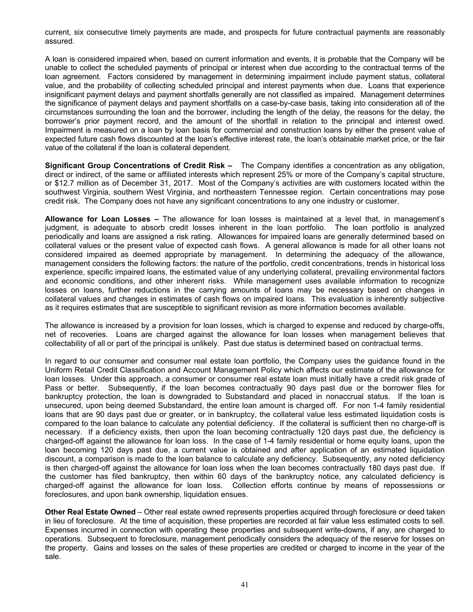current, six consecutive timely payments are made, and prospects for future contractual payments are reasonably assured.

A loan is considered impaired when, based on current information and events, it is probable that the Company will be unable to collect the scheduled payments of principal or interest when due according to the contractual terms of the loan agreement. Factors considered by management in determining impairment include payment status, collateral value, and the probability of collecting scheduled principal and interest payments when due. Loans that experience insignificant payment delays and payment shortfalls generally are not classified as impaired. Management determines the significance of payment delays and payment shortfalls on a case-by-case basis, taking into consideration all of the circumstances surrounding the loan and the borrower, including the length of the delay, the reasons for the delay, the borrower's prior payment record, and the amount of the shortfall in relation to the principal and interest owed. Impairment is measured on a loan by loan basis for commercial and construction loans by either the present value of expected future cash flows discounted at the loan's effective interest rate, the loan's obtainable market price, or the fair value of the collateral if the loan is collateral dependent.

**Significant Group Concentrations of Credit Risk –** The Company identifies a concentration as any obligation, direct or indirect, of the same or affiliated interests which represent 25% or more of the Company's capital structure, or \$12.7 million as of December 31, 2017. Most of the Company's activities are with customers located within the southwest Virginia, southern West Virginia, and northeastern Tennessee region. Certain concentrations may pose credit risk. The Company does not have any significant concentrations to any one industry or customer.

**Allowance for Loan Losses –** The allowance for loan losses is maintained at a level that, in management's judgment, is adequate to absorb credit losses inherent in the loan portfolio. The loan portfolio is analyzed periodically and loans are assigned a risk rating. Allowances for impaired loans are generally determined based on collateral values or the present value of expected cash flows. A general allowance is made for all other loans not considered impaired as deemed appropriate by management. In determining the adequacy of the allowance, management considers the following factors: the nature of the portfolio, credit concentrations, trends in historical loss experience, specific impaired loans, the estimated value of any underlying collateral, prevailing environmental factors and economic conditions, and other inherent risks. While management uses available information to recognize losses on loans, further reductions in the carrying amounts of loans may be necessary based on changes in collateral values and changes in estimates of cash flows on impaired loans. This evaluation is inherently subjective as it requires estimates that are susceptible to significant revision as more information becomes available.

The allowance is increased by a provision for loan losses, which is charged to expense and reduced by charge-offs, net of recoveries. Loans are charged against the allowance for loan losses when management believes that collectability of all or part of the principal is unlikely. Past due status is determined based on contractual terms.

In regard to our consumer and consumer real estate loan portfolio, the Company uses the guidance found in the Uniform Retail Credit Classification and Account Management Policy which affects our estimate of the allowance for loan losses. Under this approach, a consumer or consumer real estate loan must initially have a credit risk grade of Pass or better. Subsequently, if the loan becomes contractually 90 days past due or the borrower files for bankruptcy protection, the loan is downgraded to Substandard and placed in nonaccrual status. If the loan is unsecured, upon being deemed Substandard, the entire loan amount is charged off. For non 1-4 family residential loans that are 90 days past due or greater, or in bankruptcy, the collateral value less estimated liquidation costs is compared to the loan balance to calculate any potential deficiency. If the collateral is sufficient then no charge-off is necessary. If a deficiency exists, then upon the loan becoming contractually 120 days past due, the deficiency is charged-off against the allowance for loan loss. In the case of 1-4 family residential or home equity loans, upon the loan becoming 120 days past due, a current value is obtained and after application of an estimated liquidation discount, a comparison is made to the loan balance to calculate any deficiency. Subsequently, any noted deficiency is then charged-off against the allowance for loan loss when the loan becomes contractually 180 days past due. If the customer has filed bankruptcy, then within 60 days of the bankruptcy notice, any calculated deficiency is charged-off against the allowance for loan loss. Collection efforts continue by means of repossessions or foreclosures, and upon bank ownership, liquidation ensues.

**Other Real Estate Owned** – Other real estate owned represents properties acquired through foreclosure or deed taken in lieu of foreclosure. At the time of acquisition, these properties are recorded at fair value less estimated costs to sell. Expenses incurred in connection with operating these properties and subsequent write-downs, if any, are charged to operations. Subsequent to foreclosure, management periodically considers the adequacy of the reserve for losses on the property. Gains and losses on the sales of these properties are credited or charged to income in the year of the sale.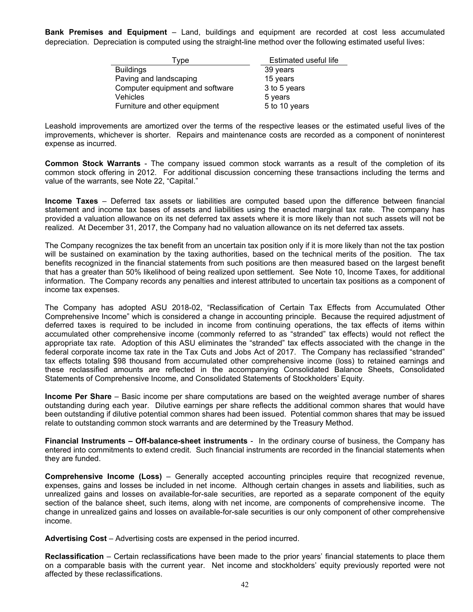**Bank Premises and Equipment** – Land, buildings and equipment are recorded at cost less accumulated depreciation. Depreciation is computed using the straight-line method over the following estimated useful lives:

| Type                            | Estimated useful life |
|---------------------------------|-----------------------|
| <b>Buildings</b>                | 39 years              |
| Paving and landscaping          | 15 years              |
| Computer equipment and software | 3 to 5 years          |
| <b>Vehicles</b>                 | 5 years               |
| Furniture and other equipment   | 5 to 10 years         |

Leashold improvements are amortized over the terms of the respective leases or the estimated useful lives of the improvements, whichever is shorter. Repairs and maintenance costs are recorded as a component of noninterest expense as incurred.

**Common Stock Warrants** - The company issued common stock warrants as a result of the completion of its common stock offering in 2012. For additional discussion concerning these transactions including the terms and value of the warrants, see Note 22, "Capital."

**Income Taxes** – Deferred tax assets or liabilities are computed based upon the difference between financial statement and income tax bases of assets and liabilities using the enacted marginal tax rate. The company has provided a valuation allowance on its net deferred tax assets where it is more likely than not such assets will not be realized. At December 31, 2017, the Company had no valuation allowance on its net deferred tax assets.

The Company recognizes the tax benefit from an uncertain tax position only if it is more likely than not the tax postion will be sustained on examination by the taxing authorities, based on the technical merits of the position. The tax benefits recognized in the financial statements from such positions are then measured based on the largest benefit that has a greater than 50% likelihood of being realized upon settlement. See Note 10, Income Taxes, for additional information. The Company records any penalties and interest attributed to uncertain tax positions as a component of income tax expenses.

The Company has adopted ASU 2018-02, "Reclassification of Certain Tax Effects from Accumulated Other Comprehensive Income" which is considered a change in accounting principle. Because the required adjustment of deferred taxes is required to be included in income from continuing operations, the tax effects of items within accumulated other comprehensive income (commonly referred to as "stranded" tax effects) would not reflect the appropriate tax rate. Adoption of this ASU eliminates the "stranded" tax effects associated with the change in the federal corporate income tax rate in the Tax Cuts and Jobs Act of 2017. The Company has reclassified "stranded" tax effects totaling \$98 thousand from accumulated other comprehensive income (loss) to retained earnings and these reclassified amounts are reflected in the accompanying Consolidated Balance Sheets, Consolidated Statements of Comprehensive Income, and Consolidated Statements of Stockholders' Equity.

**Income Per Share** – Basic income per share computations are based on the weighted average number of shares outstanding during each year. Dilutive earnings per share reflects the additional common shares that would have been outstanding if dilutive potential common shares had been issued. Potential common shares that may be issued relate to outstanding common stock warrants and are determined by the Treasury Method.

**Financial Instruments – Off-balance-sheet instruments** - In the ordinary course of business, the Company has entered into commitments to extend credit. Such financial instruments are recorded in the financial statements when they are funded.

**Comprehensive Income (Loss)** – Generally accepted accounting principles require that recognized revenue, expenses, gains and losses be included in net income. Although certain changes in assets and liabilities, such as unrealized gains and losses on available-for-sale securities, are reported as a separate component of the equity section of the balance sheet, such items, along with net income, are components of comprehensive income. The change in unrealized gains and losses on available-for-sale securities is our only component of other comprehensive income.

**Advertising Cost** – Advertising costs are expensed in the period incurred.

**Reclassification** – Certain reclassifications have been made to the prior years' financial statements to place them on a comparable basis with the current year. Net income and stockholders' equity previously reported were not affected by these reclassifications.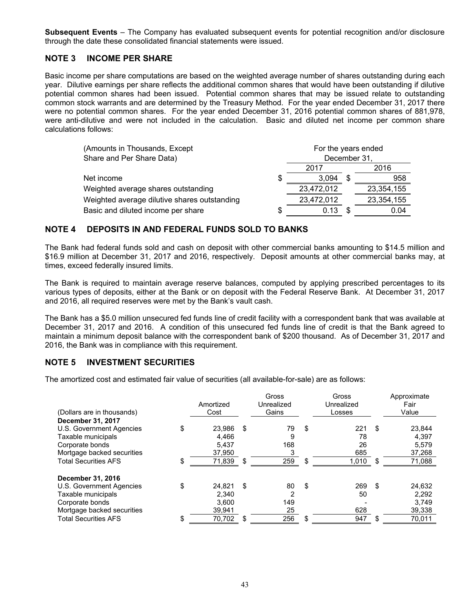**Subsequent Events** – The Company has evaluated subsequent events for potential recognition and/or disclosure through the date these consolidated financial statements were issued.

# **NOTE 3 INCOME PER SHARE**

Basic income per share computations are based on the weighted average number of shares outstanding during each year. Dilutive earnings per share reflects the additional common shares that would have been outstanding if dilutive potential common shares had been issued. Potential common shares that may be issued relate to outstanding common stock warrants and are determined by the Treasury Method. For the year ended December 31, 2017 there were no potential common shares. For the year ended December 31, 2016 potential common shares of 881,978, were anti-dilutive and were not included in the calculation. Basic and diluted net income per common share calculations follows:

| (Amounts in Thousands, Except                |   | For the years ended |    |            |  |  |  |
|----------------------------------------------|---|---------------------|----|------------|--|--|--|
| Share and Per Share Data)                    |   | December 31,        |    |            |  |  |  |
|                                              |   | 2017                |    | 2016       |  |  |  |
| Net income                                   | S | 3.094               | -S | 958        |  |  |  |
| Weighted average shares outstanding          |   | 23,472,012          |    | 23,354,155 |  |  |  |
| Weighted average dilutive shares outstanding |   | 23,472,012          |    | 23,354,155 |  |  |  |
| Basic and diluted income per share           | S | 0.13                |    | 0.04       |  |  |  |

### **NOTE 4 DEPOSITS IN AND FEDERAL FUNDS SOLD TO BANKS**

The Bank had federal funds sold and cash on deposit with other commercial banks amounting to \$14.5 million and \$16.9 million at December 31, 2017 and 2016, respectively. Deposit amounts at other commercial banks may, at times, exceed federally insured limits.

The Bank is required to maintain average reserve balances, computed by applying prescribed percentages to its various types of deposits, either at the Bank or on deposit with the Federal Reserve Bank. At December 31, 2017 and 2016, all required reserves were met by the Bank's vault cash.

The Bank has a \$5.0 million unsecured fed funds line of credit facility with a correspondent bank that was available at December 31, 2017 and 2016. A condition of this unsecured fed funds line of credit is that the Bank agreed to maintain a minimum deposit balance with the correspondent bank of \$200 thousand. As of December 31, 2017 and 2016, the Bank was in compliance with this requirement.

### **NOTE 5 INVESTMENT SECURITIES**

The amortized cost and estimated fair value of securities (all available-for-sale) are as follows:

| (Dollars are in thousands)<br>December 31, 2017 | Amortized<br>Cost |    | Gross<br>Unrealized<br>Gains | Gross<br>Unrealized<br>Losses |     | Approximate<br>Fair<br>Value |
|-------------------------------------------------|-------------------|----|------------------------------|-------------------------------|-----|------------------------------|
| U.S. Government Agencies                        | \$<br>23.986      | \$ | 79                           | \$<br>221                     | \$  | 23,844                       |
| Taxable municipals                              | 4.466             |    | 9                            | 78                            |     | 4.397                        |
| Corporate bonds                                 | 5,437             |    | 168                          | 26                            |     | 5,579                        |
| Mortgage backed securities                      | 37,950            |    | 3                            | 685                           |     | 37,268                       |
| <b>Total Securities AFS</b>                     | \$<br>71,839      | -S | 259                          | \$<br>1,010                   | \$. | 71,088                       |
| <b>December 31, 2016</b>                        |                   |    |                              |                               |     |                              |
| U.S. Government Agencies                        | \$<br>24.821      | \$ | 80                           | \$<br>269                     | \$  | 24,632                       |
| Taxable municipals                              | 2.340             |    | $\overline{2}$               | 50                            |     | 2,292                        |
| Corporate bonds                                 | 3.600             |    | 149                          |                               |     | 3.749                        |
| Mortgage backed securities                      | 39,941            |    | 25                           | 628                           |     | 39,338                       |
| <b>Total Securities AFS</b>                     | \$<br>70,702      |    | 256                          | 947                           |     | 70,011                       |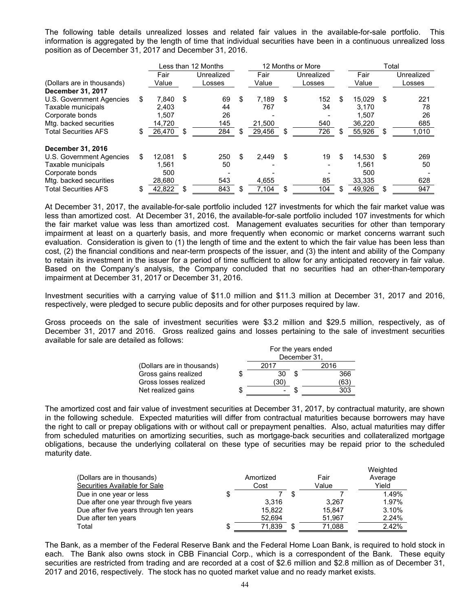The following table details unrealized losses and related fair values in the available-for-sale portfolio. This information is aggregated by the length of time that individual securities have been in a continuous unrealized loss position as of December 31, 2017 and December 31, 2016.

|                             |    |        |     | ess than 12 Months | 12 Months or More |        |    |            |     | Total  |   |            |  |
|-----------------------------|----|--------|-----|--------------------|-------------------|--------|----|------------|-----|--------|---|------------|--|
|                             |    | Fair   |     | Unrealized         |                   | Fair   |    | Unrealized |     | Fair   |   | Unrealized |  |
| (Dollars are in thousands)  |    | Value  |     | Losses             |                   | Value  |    | Losses     |     | Value  |   | Losses     |  |
| December 31, 2017           |    |        |     |                    |                   |        |    |            |     |        |   |            |  |
| U.S. Government Agencies    | \$ | 7,840  | \$. | 69                 | \$                | 7,189  | \$ | 152        | \$. | 15.029 | S | 221        |  |
| Taxable municipals          |    | 2.403  |     | 44                 |                   | 767    |    | 34         |     | 3.170  |   | 78         |  |
| Corporate bonds             |    | 1,507  |     | 26                 |                   |        |    |            |     | 1,507  |   | 26         |  |
| Mtg. backed securities      |    | 14,720 |     | 145                |                   | 21,500 |    | 540        |     | 36,220 |   | 685        |  |
| <b>Total Securities AFS</b> | S  | 26,470 | æ.  | 284                | S                 | 29,456 | \$ | 726        | -SS | 55,926 | S | 1,010      |  |
| December 31, 2016           |    |        |     |                    |                   |        |    |            |     |        |   |            |  |
| U.S. Government Agencies    | \$ | 12.081 | \$  | 250                | \$                | 2.449  | \$ | 19         | \$  | 14.530 | S | 269        |  |
| Taxable municipals          |    | 1.561  |     | 50                 |                   |        |    |            |     | 1.561  |   | 50         |  |
| Corporate bonds             |    | 500    |     |                    |                   |        |    |            |     | 500    |   |            |  |
| Mtg. backed securities      |    | 28,680 |     | 543                |                   | 4,655  |    | 85         |     | 33,335 |   | 628        |  |
| <b>Total Securities AFS</b> | \$ | 42,822 | \$. | 843                | S                 | 7,104  | \$ | 104        |     | 49,926 | S | 947        |  |

At December 31, 2017, the available-for-sale portfolio included 127 investments for which the fair market value was less than amortized cost. At December 31, 2016, the available-for-sale portfolio included 107 investments for which the fair market value was less than amortized cost. Management evaluates securities for other than temporary impairment at least on a quarterly basis, and more frequently when economic or market concerns warrant such evaluation. Consideration is given to (1) the length of time and the extent to which the fair value has been less than cost, (2) the financial conditions and near-term prospects of the issuer, and (3) the intent and ability of the Company to retain its investment in the issuer for a period of time sufficient to allow for any anticipated recovery in fair value. Based on the Company's analysis, the Company concluded that no securities had an other-than-temporary impairment at December 31, 2017 or December 31, 2016.

Investment securities with a carrying value of \$11.0 million and \$11.3 million at December 31, 2017 and 2016, respectively, were pledged to secure public deposits and for other purposes required by law.

Gross proceeds on the sale of investment securities were \$3.2 million and \$29.5 million, respectively, as of December 31, 2017 and 2016. Gross realized gains and losses pertaining to the sale of investment securities available for sale are detailed as follows: For the years ended

|                            | For the years ended<br>December 31, |  |      |  |  |  |  |  |
|----------------------------|-------------------------------------|--|------|--|--|--|--|--|
| (Dollars are in thousands) | 2017                                |  | 2016 |  |  |  |  |  |
| Gross gains realized       | 30                                  |  | 366  |  |  |  |  |  |
| Gross losses realized      | (30)                                |  | (63) |  |  |  |  |  |
| Net realized gains         |                                     |  | 303  |  |  |  |  |  |

The amortized cost and fair value of investment securities at December 31, 2017, by contractual maturity, are shown in the following schedule. Expected maturities will differ from contractual maturities because borrowers may have the right to call or prepay obligations with or without call or prepayment penalties. Also, actual maturities may differ from scheduled maturities on amortizing securities, such as mortgage-back securities and collateralized mortgage obligations, because the underlying collateral on these type of securities may be repaid prior to the scheduled maturity date.

Weighted

| Amortized<br>Cost | Fair<br>Value | <i>vveignted</i><br>Average<br>Yield |
|-------------------|---------------|--------------------------------------|
|                   |               | 1.49%                                |
| 3.316             | 3.267         | 1.97%                                |
| 15.822            | 15.847        | 3.10%                                |
| 52.694            | 51.967        | 2.24%                                |
| 71.839            | 71.088        | 2.42%                                |
|                   |               |                                      |

The Bank, as a member of the Federal Reserve Bank and the Federal Home Loan Bank, is required to hold stock in each. The Bank also owns stock in CBB Financial Corp., which is a correspondent of the Bank. These equity securities are restricted from trading and are recorded at a cost of \$2.6 million and \$2.8 million as of December 31, 2017 and 2016, respectively. The stock has no quoted market value and no ready market exists.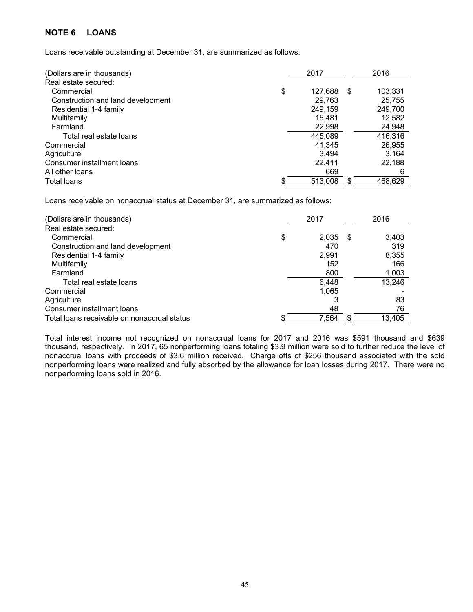# **NOTE 6 LOANS**

Loans receivable outstanding at December 31, are summarized as follows:

| (Dollars are in thousands)        |    |         | 2016 |         |
|-----------------------------------|----|---------|------|---------|
| Real estate secured:              |    |         |      |         |
| Commercial                        | \$ | 127,688 | - \$ | 103,331 |
| Construction and land development |    | 29,763  |      | 25,755  |
| Residential 1-4 family            |    | 249,159 |      | 249.700 |
| Multifamily                       |    | 15.481  |      | 12,582  |
| Farmland                          |    | 22,998  |      | 24,948  |
| Total real estate loans           |    | 445.089 |      | 416,316 |
| Commercial                        |    | 41,345  |      | 26,955  |
| Agriculture                       |    | 3.494   |      | 3.164   |
| Consumer installment loans        |    | 22.411  |      | 22.188  |
| All other loans                   |    | 669     |      | 6       |
| Total loans                       |    | 513,008 | S    | 468,629 |

Loans receivable on nonaccrual status at December 31, are summarized as follows:

| (Dollars are in thousands)                  |    | 2017  |      | 2016   |  |  |
|---------------------------------------------|----|-------|------|--------|--|--|
| Real estate secured:                        |    |       |      |        |  |  |
| Commercial                                  | \$ | 2,035 | - \$ | 3,403  |  |  |
| Construction and land development           |    | 470   |      | 319    |  |  |
| Residential 1-4 family                      |    | 2,991 |      | 8,355  |  |  |
| Multifamily                                 |    | 152   |      | 166    |  |  |
| Farmland                                    |    | 800   |      | 1,003  |  |  |
| Total real estate loans                     |    | 6,448 |      | 13,246 |  |  |
| Commercial                                  |    | 1.065 |      |        |  |  |
| Agriculture                                 |    |       |      | 83     |  |  |
| Consumer installment loans                  |    | 48    |      | 76     |  |  |
| Total loans receivable on nonaccrual status | S  | 7.564 | S    | 13,405 |  |  |

Total interest income not recognized on nonaccrual loans for 2017 and 2016 was \$591 thousand and \$639 thousand, respectively. In 2017, 65 nonperforming loans totaling \$3.9 million were sold to further reduce the level of nonaccrual loans with proceeds of \$3.6 million received. Charge offs of \$256 thousand associated with the sold nonperforming loans were realized and fully absorbed by the allowance for loan losses during 2017. There were no nonperforming loans sold in 2016.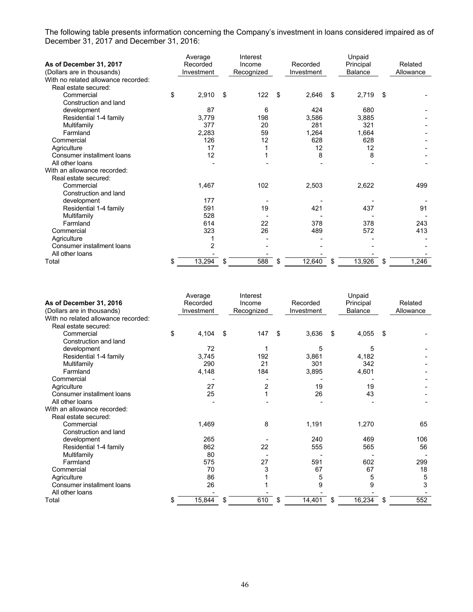The following table presents information concerning the Company's investment in loans considered impaired as of December 31, 2017 and December 31, 2016:

| As of December 31, 2017<br>(Dollars are in thousands)       | Average<br>Recorded<br>Investment | Interest<br>Income<br>Recognized | Recorded<br>Investment | Unpaid<br>Principal<br>Balance | Related<br>Allowance |
|-------------------------------------------------------------|-----------------------------------|----------------------------------|------------------------|--------------------------------|----------------------|
| With no related allowance recorded:<br>Real estate secured: |                                   |                                  |                        |                                |                      |
| Commercial                                                  | \$<br>2,910                       | \$<br>122                        | \$<br>2,646            | \$<br>2,719                    | \$                   |
| Construction and land                                       |                                   |                                  |                        |                                |                      |
| development                                                 | 87                                | 6                                | 424                    | 680                            |                      |
| Residential 1-4 family                                      | 3,779                             | 198                              | 3,586                  | 3,885                          |                      |
| Multifamily                                                 | 377                               | 20                               | 281                    | 321                            |                      |
| Farmland                                                    | 2,283                             | 59                               | 1,264                  | 1,664                          |                      |
| Commercial                                                  | 126                               | 12                               | 628                    | 628                            |                      |
| Agriculture                                                 | 17                                |                                  | 12                     | 12                             |                      |
| Consumer installment loans                                  | 12                                |                                  | 8                      | 8                              |                      |
| All other loans                                             |                                   |                                  |                        |                                |                      |
| With an allowance recorded:                                 |                                   |                                  |                        |                                |                      |
| Real estate secured:                                        |                                   |                                  |                        |                                |                      |
| Commercial                                                  | 1,467                             | 102                              | 2,503                  | 2,622                          | 499                  |
| Construction and land                                       |                                   |                                  |                        |                                |                      |
| development                                                 | 177                               |                                  |                        |                                |                      |
| Residential 1-4 family                                      | 591                               | 19                               | 421                    | 437                            | 91                   |
| Multifamily                                                 | 528                               |                                  |                        |                                |                      |
| Farmland                                                    | 614                               | 22                               | 378                    | 378                            | 243                  |
| Commercial                                                  | 323                               | 26                               | 489                    | 572                            | 413                  |
| Agriculture                                                 |                                   |                                  |                        |                                |                      |
| Consumer installment loans                                  | 2                                 |                                  |                        |                                |                      |
| All other loans                                             |                                   |                                  |                        |                                |                      |
| Total                                                       | \$<br>13,294                      | \$<br>588                        | \$<br>12,640           | \$<br>13,926                   | \$<br>1,246          |

|                                     | Average      |    | Interest   |              | Unpaid         |           |
|-------------------------------------|--------------|----|------------|--------------|----------------|-----------|
| As of December 31, 2016             | Recorded     |    | Income     | Recorded     | Principal      | Related   |
| (Dollars are in thousands)          | Investment   |    | Recognized | Investment   | <b>Balance</b> | Allowance |
| With no related allowance recorded: |              |    |            |              |                |           |
| Real estate secured:                |              |    |            |              |                |           |
| Commercial                          | \$<br>4,104  | \$ | 147        | \$<br>3,636  | \$<br>4,055    | \$        |
| Construction and land               |              |    |            |              |                |           |
| development                         | 72           |    |            | 5            | 5              |           |
| Residential 1-4 family              | 3,745        |    | 192        | 3,861        | 4,182          |           |
| Multifamily                         | 290          |    | 21         | 301          | 342            |           |
| Farmland                            | 4,148        |    | 184        | 3,895        | 4,601          |           |
| Commercial                          |              |    |            |              |                |           |
| Agriculture                         | 27           |    | 2          | 19           | 19             |           |
| Consumer installment loans          | 25           |    |            | 26           | 43             |           |
| All other loans                     |              |    |            |              |                |           |
| With an allowance recorded:         |              |    |            |              |                |           |
| Real estate secured:                |              |    |            |              |                |           |
| Commercial                          | 1,469        |    | 8          | 1,191        | 1,270          | 65        |
| Construction and land               |              |    |            |              |                |           |
| development                         | 265          |    |            | 240          | 469            | 106       |
| Residential 1-4 family              | 862          |    | 22         | 555          | 565            | 56        |
| Multifamily                         | 80           |    |            |              |                |           |
| Farmland                            | 575          |    | 27         | 591          | 602            | 299       |
| Commercial                          | 70           |    | 3          | 67           | 67             | 18        |
| Agriculture                         | 86           |    |            | 5            | 5              | 5         |
| Consumer installment loans          | 26           |    |            | 9            | 9              | 3         |
| All other loans                     |              |    |            |              |                |           |
| Total                               | \$<br>15,844 | S  | 610        | \$<br>14,401 | \$<br>16,234   | \$<br>552 |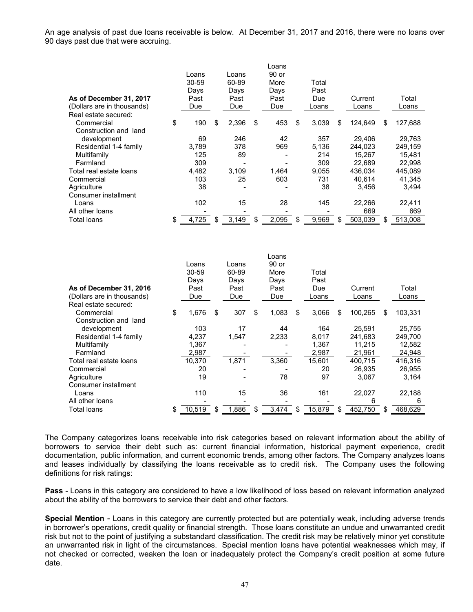An age analysis of past due loans receivable is below. At December 31, 2017 and 2016, there were no loans over 90 days past due that were accruing.

|                            |             |             | Loans       |    |       |    |         |    |         |
|----------------------------|-------------|-------------|-------------|----|-------|----|---------|----|---------|
|                            | Loans       | Loans       | 90 or       |    |       |    |         |    |         |
|                            | 30-59       | 60-89       | More        |    | Total |    |         |    |         |
|                            | Days        | Days        | Days        |    | Past  |    |         |    |         |
| As of December 31, 2017    | Past        | Past        | Past        |    | Due   |    | Current |    | Total   |
| (Dollars are in thousands) | Due         | Due         | Due         |    | Loans |    | Loans   |    | Loans   |
| Real estate secured:       |             |             |             |    |       |    |         |    |         |
| Commercial                 | \$<br>190   | \$<br>2,396 | \$<br>453   | \$ | 3,039 | \$ | 124,649 | \$ | 127,688 |
| Construction and land      |             |             |             |    |       |    |         |    |         |
| development                | 69          | 246         | 42          |    | 357   |    | 29.406  |    | 29,763  |
| Residential 1-4 family     | 3,789       | 378         | 969         |    | 5,136 |    | 244,023 |    | 249,159 |
| Multifamily                | 125         | 89          |             |    | 214   |    | 15.267  |    | 15.481  |
| Farmland                   | 309         |             |             |    | 309   |    | 22,689  |    | 22,998  |
| Total real estate loans    | 4,482       | 3,109       | 1.464       |    | 9,055 |    | 436.034 |    | 445,089 |
| Commercial                 | 103         | 25          | 603         |    | 731   |    | 40.614  |    | 41,345  |
| Agriculture                | 38          |             |             |    | 38    |    | 3,456   |    | 3.494   |
| Consumer installment       |             |             |             |    |       |    |         |    |         |
| Loans                      | 102         | 15          | 28          |    | 145   |    | 22,266  |    | 22,411  |
| All other loans            |             |             |             |    |       |    | 669     |    | 669     |
| Total loans                | \$<br>4,725 | 3,149       | \$<br>2.095 | S  | 9,969 | S  | 503,039 | S  | 513,008 |

| As of December 31, 2016                                     | Loans<br>30-59<br>Days<br>Past |    | Loans<br>60-89<br>Days<br>Past |    | Loans<br>90 or<br>More<br>Days<br>Past | Total<br>Past<br>Due |    | Current |    | Total   |
|-------------------------------------------------------------|--------------------------------|----|--------------------------------|----|----------------------------------------|----------------------|----|---------|----|---------|
| (Dollars are in thousands)                                  | Due                            |    | Due                            |    | Due                                    | Loans                |    | Loans   |    | Loans   |
| Real estate secured:<br>Commercial<br>Construction and land | \$<br>1,676                    | \$ | 307                            | \$ | 1,083                                  | \$<br>3,066          | \$ | 100,265 | \$ | 103,331 |
| development                                                 | 103                            |    | 17                             |    | 44                                     | 164                  |    | 25.591  |    | 25,755  |
| Residential 1-4 family                                      | 4,237                          |    | 1,547                          |    | 2,233                                  | 8,017                |    | 241.683 |    | 249,700 |
| Multifamily                                                 | 1,367                          |    |                                |    |                                        | 1,367                |    | 11,215  |    | 12,582  |
| Farmland                                                    | 2,987                          |    |                                |    |                                        | 2,987                |    | 21,961  |    | 24,948  |
| Total real estate loans                                     | 10,370                         |    | 1,871                          |    | 3,360                                  | 15,601               |    | 400,715 |    | 416.316 |
| Commercial                                                  | 20                             |    |                                |    |                                        | 20                   |    | 26,935  |    | 26,955  |
| Agriculture                                                 | 19                             |    |                                |    | 78                                     | 97                   |    | 3,067   |    | 3,164   |
| Consumer installment                                        |                                |    |                                |    |                                        |                      |    |         |    |         |
| Loans                                                       | 110                            |    | 15                             |    | 36                                     | 161                  |    | 22,027  |    | 22,188  |
| All other loans                                             |                                |    |                                |    |                                        |                      |    | 6       |    | 6       |
| Total loans                                                 | \$<br>10,519                   | S  | 1,886                          | S  | 3,474                                  | \$<br>15,879         | S  | 452,750 | S  | 468,629 |

The Company categorizes loans receivable into risk categories based on relevant information about the ability of borrowers to service their debt such as: current financial information, historical payment experience, credit documentation, public information, and current economic trends, among other factors. The Company analyzes loans and leases individually by classifying the loans receivable as to credit risk. The Company uses the following definitions for risk ratings:

**Pass** - Loans in this category are considered to have a low likelihood of loss based on relevant information analyzed about the ability of the borrowers to service their debt and other factors.

**Special Mention** - Loans in this category are currently protected but are potentially weak, including adverse trends in borrower's operations, credit quality or financial strength. Those loans constitute an undue and unwarranted credit risk but not to the point of justifying a substandard classification. The credit risk may be relatively minor yet constitute an unwarranted risk in light of the circumstances. Special mention loans have potential weaknesses which may, if not checked or corrected, weaken the loan or inadequately protect the Company's credit position at some future date.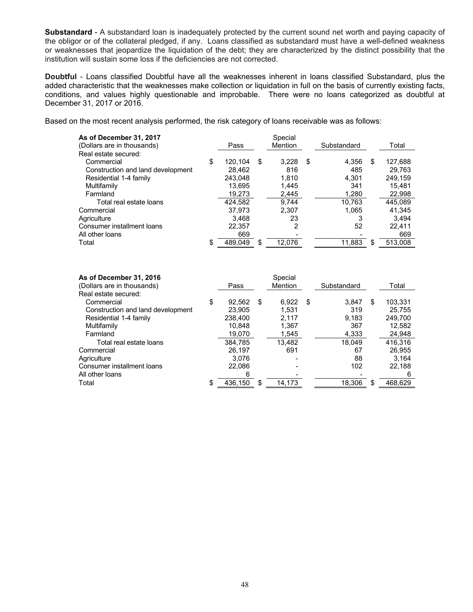**Substandard** - A substandard loan is inadequately protected by the current sound net worth and paying capacity of the obligor or of the collateral pledged, if any. Loans classified as substandard must have a well-defined weakness or weaknesses that jeopardize the liquidation of the debt; they are characterized by the distinct possibility that the institution will sustain some loss if the deficiencies are not corrected.

**Doubtful** - Loans classified Doubtful have all the weaknesses inherent in loans classified Substandard, plus the added characteristic that the weaknesses make collection or liquidation in full on the basis of currently existing facts, conditions, and values highly questionable and improbable. There were no loans categorized as doubtful at December 31, 2017 or 2016.

Based on the most recent analysis performed, the risk category of loans receivable was as follows:

| As of December 31, 2017           |    |         |    | Special        |             |   |         |
|-----------------------------------|----|---------|----|----------------|-------------|---|---------|
| (Dollars are in thousands)        |    | Pass    |    | <b>Mention</b> | Substandard |   | Total   |
| Real estate secured:              |    |         |    |                |             |   |         |
| Commercial                        | \$ | 120.104 | \$ | 3,228          | \$<br>4,356 | S | 127,688 |
| Construction and land development |    | 28.462  |    | 816            | 485         |   | 29.763  |
| Residential 1-4 family            |    | 243.048 |    | 1.810          | 4.301       |   | 249.159 |
| Multifamily                       |    | 13.695  |    | 1.445          | 341         |   | 15.481  |
| Farmland                          |    | 19,273  |    | 2,445          | 1,280       |   | 22,998  |
| Total real estate loans           |    | 424,582 |    | 9.744          | 10.763      |   | 445.089 |
| Commercial                        |    | 37.973  |    | 2.307          | 1.065       |   | 41.345  |
| Agriculture                       |    | 3.468   |    | 23             | 3           |   | 3.494   |
| Consumer installment loans        |    | 22.357  |    | 2              | 52          |   | 22.411  |
| All other loans                   |    | 669     |    |                |             |   | 669     |
| Total                             | S  | 489,049 | S  | 12.076         | 11,883      | S | 513.008 |

| As of December 31, 2016           |               | Special      |    |             |    |         |
|-----------------------------------|---------------|--------------|----|-------------|----|---------|
| (Dollars are in thousands)        | Pass          | Mention      |    | Substandard |    | Total   |
| Real estate secured:              |               |              |    |             |    |         |
| Commercial                        | \$<br>92.562  | \$<br>6.922  | -S | 3.847       | \$ | 103,331 |
| Construction and land development | 23,905        | 1,531        |    | 319         |    | 25,755  |
| Residential 1-4 family            | 238,400       | 2.117        |    | 9,183       |    | 249.700 |
| Multifamily                       | 10,848        | 1.367        |    | 367         |    | 12,582  |
| Farmland                          | 19,070        | 1,545        |    | 4,333       |    | 24,948  |
| Total real estate loans           | 384.785       | 13.482       |    | 18.049      |    | 416.316 |
| Commercial                        | 26,197        | 691          |    | 67          |    | 26,955  |
| Agriculture                       | 3.076         |              |    | 88          |    | 3.164   |
| Consumer installment loans        | 22.086        |              |    | 102         |    | 22.188  |
| All other loans                   | 6             |              |    |             |    | 6       |
| Total                             | \$<br>436,150 | \$<br>14,173 |    | 18,306      | S. | 468,629 |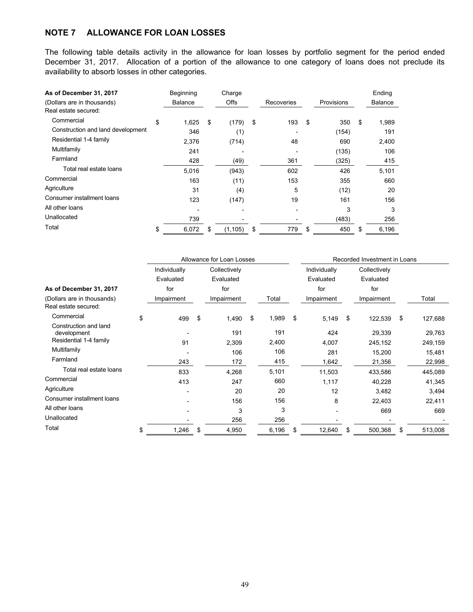# **NOTE 7 ALLOWANCE FOR LOAN LOSSES**

The following table details activity in the allowance for loan losses by portfolio segment for the period ended December 31, 2017. Allocation of a portion of the allowance to one category of loans does not preclude its availability to absorb losses in other categories.

| As of December 31, 2017                            | Beginning      | Charge         |            |            | Ending         |
|----------------------------------------------------|----------------|----------------|------------|------------|----------------|
| (Dollars are in thousands)<br>Real estate secured: | <b>Balance</b> | <b>Offs</b>    | Recoveries | Provisions | <b>Balance</b> |
|                                                    |                |                |            |            |                |
| Commercial                                         | \$<br>1,625    | \$<br>(179)    | \$<br>193  | \$<br>350  | \$<br>1,989    |
| Construction and land development                  | 346            | (1)            |            | (154)      | 191            |
| Residential 1-4 family                             | 2,376          | (714)          | 48         | 690        | 2,400          |
| Multifamily                                        | 241            |                |            | (135)      | 106            |
| Farmland                                           | 428            | (49)           | 361        | (325)      | 415            |
| Total real estate loans                            | 5,016          | (943)          | 602        | 426        | 5,101          |
| Commercial                                         | 163            | (11)           | 153        | 355        | 660            |
| Agriculture                                        | 31             | (4)            | 5          | (12)       | 20             |
| Consumer installment loans                         | 123            | (147)          | 19         | 161        | 156            |
| All other loans                                    |                |                |            | 3          | 3              |
| Unallocated                                        | 739            |                |            | (483)      | 256            |
| Total                                              | \$<br>6,072    | \$<br>(1, 105) | \$<br>779  | \$<br>450  | \$<br>6,196    |

|                                                                |                          | Allowance for Loan Losses |              | Recorded Investment in Loans |              |              |    |                   |    |                   |
|----------------------------------------------------------------|--------------------------|---------------------------|--------------|------------------------------|--------------|--------------|----|-------------------|----|-------------------|
|                                                                | Individually             |                           | Collectively |                              |              | Individually |    | Collectively      |    |                   |
|                                                                | Evaluated                |                           | Evaluated    |                              |              | Evaluated    |    | Evaluated         |    |                   |
| As of December 31, 2017                                        | for                      |                           | for          |                              |              | for          |    | for               |    |                   |
| (Dollars are in thousands)<br>Real estate secured:             | Impairment               |                           | Impairment   |                              | Total        | Impairment   |    | Impairment        |    | Total             |
| Commercial                                                     | \$<br>499                | \$                        | 1,490        | \$                           | 1,989        | \$<br>5,149  | \$ | 122,539           | \$ | 127,688           |
| Construction and land<br>development<br>Residential 1-4 family | 91                       |                           | 191<br>2,309 |                              | 191<br>2,400 | 424<br>4,007 |    | 29,339<br>245,152 |    | 29,763<br>249,159 |
| Multifamily                                                    |                          |                           | 106          |                              | 106          | 281          |    | 15,200            |    |                   |
| Farmland                                                       | 243                      |                           | 172          |                              | 415          | 1,642        |    | 21,356            |    | 15,481<br>22,998  |
| Total real estate loans                                        | 833                      |                           | 4,268        |                              | 5,101        | 11,503       |    | 433,586           |    | 445,089           |
| Commercial                                                     | 413                      |                           | 247          |                              | 660          | 1,117        |    | 40,228            |    | 41,345            |
| Agriculture                                                    | $\overline{\phantom{a}}$ |                           | 20           |                              | 20           | 12           |    | 3,482             |    | 3,494             |
| Consumer installment loans                                     | $\overline{\phantom{a}}$ |                           | 156          |                              | 156          | 8            |    | 22,403            |    | 22,411            |
| All other loans                                                | $\overline{\phantom{a}}$ |                           | 3            |                              | 3            |              |    | 669               |    | 669               |
| Unallocated                                                    |                          |                           | 256          |                              | 256          |              |    |                   |    |                   |
| Total                                                          | \$<br>1,246              | \$                        | 4,950        |                              | 6,196        | \$<br>12,640 | \$ | 500,368           | \$ | 513,008           |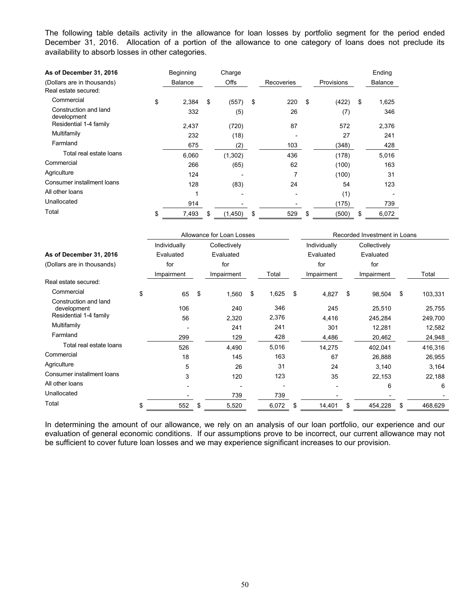The following table details activity in the allowance for loan losses by portfolio segment for the period ended December 31, 2016. Allocation of a portion of the allowance to one category of loans does not preclude its availability to absorb losses in other categories.

| As of December 31, 2016              | Beginning      | Charge        |            |             | Ending         |
|--------------------------------------|----------------|---------------|------------|-------------|----------------|
| (Dollars are in thousands)           | <b>Balance</b> | Offs          | Recoveries | Provisions  | <b>Balance</b> |
| Real estate secured:                 |                |               |            |             |                |
| Commercial                           | \$<br>2,384    | \$<br>(557)   | \$<br>220  | \$<br>(422) | \$<br>1,625    |
| Construction and land<br>development | 332            | (5)           | 26         | (7)         | 346            |
| Residential 1-4 family               | 2,437          | (720)         | 87         | 572         | 2,376          |
| Multifamily                          | 232            | (18)          |            | 27          | 241            |
| Farmland                             | 675            | (2)           | 103        | (348)       | 428            |
| Total real estate loans              | 6,060          | (1,302)       | 436        | (178)       | 5,016          |
| Commercial                           | 266            | (65)          | 62         | (100)       | 163            |
| Agriculture                          | 124            |               |            | (100)       | 31             |
| Consumer installment loans           | 128            | (83)          | 24         | 54          | 123            |
| All other loans                      |                |               |            | (1)         |                |
| Unallocated                          | 914            |               |            | (175)       | 739            |
| Total                                | \$<br>7,493    | \$<br>(1,450) | \$<br>529  | \$<br>(500) | \$<br>6,072    |

|                                      |              | Allowance for Loan Losses |    |       | Recorded Investment in Loans |              |    |              |    |  |         |
|--------------------------------------|--------------|---------------------------|----|-------|------------------------------|--------------|----|--------------|----|--|---------|
|                                      | Individually | Collectively              |    |       |                              | Individually |    | Collectively |    |  |         |
| As of December 31, 2016              | Evaluated    | Evaluated                 |    |       |                              | Evaluated    |    | Evaluated    |    |  |         |
| (Dollars are in thousands)           | for          | for                       |    |       |                              | for          |    | for          |    |  |         |
|                                      | Impairment   | Impairment                |    | Total |                              | Impairment   |    | Impairment   |    |  | Total   |
| Real estate secured:                 |              |                           |    |       |                              |              |    |              |    |  |         |
| Commercial                           | \$<br>65     | \$<br>1,560               | \$ | 1,625 | \$                           | 4,827        | \$ | 98,504       | \$ |  | 103,331 |
| Construction and land<br>development | 106          | 240                       |    | 346   |                              | 245          |    | 25,510       |    |  | 25,755  |
| Residential 1-4 family               | 56           | 2,320                     |    | 2,376 |                              | 4,416        |    | 245,284      |    |  | 249,700 |
| Multifamily                          |              | 241                       |    | 241   |                              | 301          |    | 12,281       |    |  | 12,582  |
| Farmland                             | 299          | 129                       |    | 428   |                              | 4,486        |    | 20,462       |    |  | 24,948  |
| Total real estate loans              | 526          | 4,490                     |    | 5,016 |                              | 14,275       |    | 402,041      |    |  | 416,316 |
| Commercial                           | 18           | 145                       |    | 163   |                              | 67           |    | 26,888       |    |  | 26,955  |
| Agriculture                          | 5            | 26                        |    | 31    |                              | 24           |    | 3,140        |    |  | 3,164   |
| Consumer installment loans           | 3            | 120                       |    | 123   |                              | 35           |    | 22,153       |    |  | 22,188  |
| All other loans                      |              |                           |    |       |                              |              |    | 6            |    |  | 6       |
| Unallocated                          |              | 739                       |    | 739   |                              |              |    |              |    |  |         |
| Total                                | \$<br>552    | \$<br>5,520               |    | 6,072 | S                            | 14,401       | S  | 454,228      | \$ |  | 468,629 |

In determining the amount of our allowance, we rely on an analysis of our loan portfolio, our experience and our evaluation of general economic conditions. If our assumptions prove to be incorrect, our current allowance may not be sufficient to cover future loan losses and we may experience significant increases to our provision.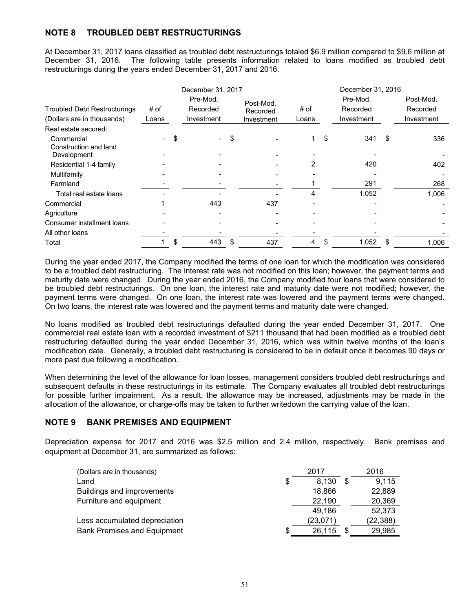# **NOTE 8 TROUBLED DEBT RESTRUCTURINGS**

At December 31, 2017 loans classified as troubled debt restructurings totaled \$6.9 million compared to \$9.6 million at December 31, 2016. The following table presents information related to loans modified as troubled debt restructurings during the years ended December 31, 2017 and 2016.

|                                     |       | December 31, 2017 |     |            |       | December 31, 2016 |             |
|-------------------------------------|-------|-------------------|-----|------------|-------|-------------------|-------------|
|                                     |       | Pre-Mod.          |     | Post-Mod.  |       | Pre-Mod.          | Post-Mod.   |
| <b>Troubled Debt Restructurings</b> | # of  | Recorded          |     | Recorded   | # of  | Recorded          | Recorded    |
| (Dollars are in thousands)          | Loans | Investment        |     | Investment | Loans | Investment        | Investment  |
| Real estate secured:                |       |                   |     |            |       |                   |             |
| Commercial<br>Construction and land |       |                   |     |            |       | \$<br>341         | \$<br>336   |
| Development                         |       |                   |     |            |       |                   |             |
| Residential 1-4 family              |       |                   |     |            | 2     | 420               | 402         |
| Multifamily                         |       |                   |     |            |       |                   |             |
| Farmland                            |       |                   |     |            |       | 291               | 268         |
| Total real estate loans             |       |                   |     |            | 4     | 1,052             | 1,006       |
| Commercial                          |       | 443               |     | 437        |       |                   |             |
| Agriculture                         |       |                   |     |            |       |                   |             |
| Consumer installment loans          |       |                   |     |            |       |                   |             |
| All other loans                     |       |                   |     |            |       |                   |             |
| Total                               |       | \$<br>443         | -\$ | 437        | 4     | \$<br>1,052       | \$<br>1,006 |

During the year ended 2017, the Company modified the terms of one loan for which the modification was considered to be a troubled debt restructuring. The interest rate was not modified on this loan; however, the payment terms and maturity date were changed. During the year ended 2016, the Company modified four loans that were considered to be troubled debt restructurings. On one loan, the interest rate and maturity date were not modified; however, the payment terms were changed. On one loan, the interest rate was lowered and the payment terms were changed. On two loans, the interest rate was lowered and the payment terms and maturity date were changed.

No loans modified as troubled debt restructurings defaulted during the year ended December 31, 2017. One commercial real estate loan with a recorded investment of \$211 thousand that had been modified as a troubled debt restructuring defaulted during the year ended December 31, 2016, which was within twelve months of the loan's modification date. Generally, a troubled debt restructuring is considered to be in default once it becomes 90 days or more past due following a modification.

When determining the level of the allowance for loan losses, management considers troubled debt restructurings and subsequent defaults in these restructurings in its estimate. The Company evaluates all troubled debt restructurings for possible further impairment. As a result, the allowance may be increased, adjustments may be made in the allocation of the allowance, or charge-offs may be taken to further writedown the carrying value of the loan.

# **NOTE 9 BANK PREMISES AND EQUIPMENT**

Depreciation expense for 2017 and 2016 was \$2.5 million and 2.4 million, respectively. Bank premises and equipment at December 31, are summarized as follows:

| (Dollars are in thousands)         |    | 2017     | 2016      |
|------------------------------------|----|----------|-----------|
| Land                               | \$ | 8.130    | 9.115     |
| Buildings and improvements         |    | 18.866   | 22,889    |
| Furniture and equipment            |    | 22.190   | 20,369    |
|                                    |    | 49.186   | 52.373    |
| Less accumulated depreciation      |    | (23,071) | (22, 388) |
| <b>Bank Premises and Equipment</b> | S  | 26.115   | 29,985    |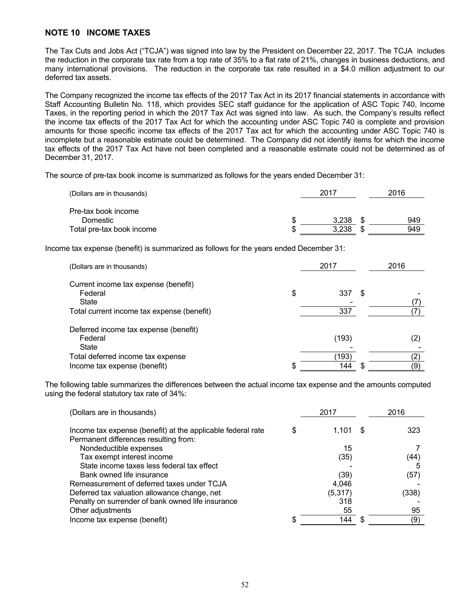### **NOTE 10 INCOME TAXES**

The Tax Cuts and Jobs Act ("TCJA") was signed into law by the President on December 22, 2017. The TCJA includes the reduction in the corporate tax rate from a top rate of 35% to a flat rate of 21%, changes in business deductions, and many international provisions. The reduction in the corporate tax rate resulted in a \$4.0 million adjustment to our deferred tax assets.

The Company recognized the income tax effects of the 2017 Tax Act in its 2017 financial statements in accordance with Staff Accounting Bulletin No. 118, which provides SEC staff guidance for the application of ASC Topic 740, Income Taxes, in the reporting period in which the 2017 Tax Act was signed into law. As such, the Company's results reflect the income tax effects of the 2017 Tax Act for which the accounting under ASC Topic 740 is complete and provision amounts for those specific income tax effects of the 2017 Tax act for which the accounting under ASC Topic 740 is incomplete but a reasonable estimate could be determined. The Company did not identify items for which the income tax effects of the 2017 Tax Act have not been completed and a reasonable estimate could not be determined as of December 31, 2017.

The source of pre-tax book income is summarized as follows for the years ended December 31:

| (Dollars are in thousands) |   | 2017  | 2016 |
|----------------------------|---|-------|------|
| Pre-tax book income        |   |       |      |
| Domestic                   | S | 3.238 | 949  |
| Total pre-tax book income  |   | 3.238 | 949  |

Income tax expense (benefit) is summarized as follows for the years ended December 31:

| (Dollars are in thousands)                                                                                                     | 2017                  | 2016 |                  |  |
|--------------------------------------------------------------------------------------------------------------------------------|-----------------------|------|------------------|--|
| Current income tax expense (benefit)<br>Federal<br><b>State</b><br>Total current income tax expense (benefit)                  | \$<br>337<br>337      | S    |                  |  |
| Deferred income tax expense (benefit)<br>Federal<br>State<br>Total deferred income tax expense<br>Income tax expense (benefit) | (193)<br>ั193)<br>144 | .ፍ   | (2)<br>2)<br>(9) |  |

The following table summarizes the differences between the actual income tax expense and the amounts computed using the federal statutory tax rate of 34%:

| (Dollars are in thousands)                                                                           | 2017        |     | 2016  |
|------------------------------------------------------------------------------------------------------|-------------|-----|-------|
| Income tax expense (benefit) at the applicable federal rate<br>Permanent differences resulting from: | \$<br>1,101 | - 5 | 323   |
| Nondeductible expenses                                                                               | 15          |     |       |
| Tax exempt interest income                                                                           | (35)        |     | (44)  |
| State income taxes less federal tax effect                                                           |             |     |       |
| Bank owned life insurance                                                                            | (39)        |     | (57)  |
| Remeasurement of deferred taxes under TCJA                                                           | 4,046       |     |       |
| Deferred tax valuation allowance change, net                                                         | (5, 317)    |     | (338) |
| Penalty on surrender of bank owned life insurance                                                    | 318         |     |       |
| Other adjustments                                                                                    | 55          |     | 95    |
| Income tax expense (benefit)                                                                         | 144         |     | (9)   |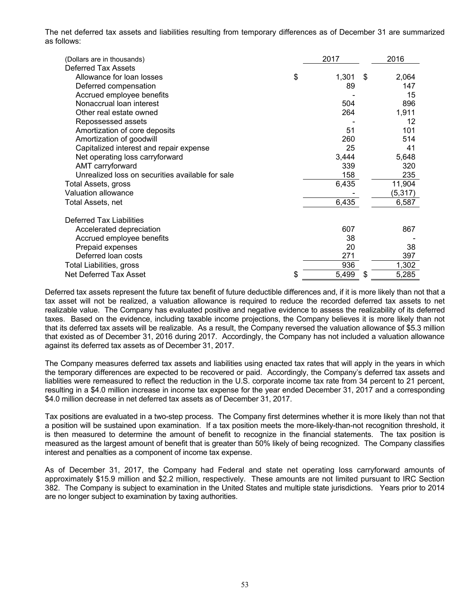The net deferred tax assets and liabilities resulting from temporary differences as of December 31 are summarized as follows:

| (Dollars are in thousands)                       | 2017        |    | 2016    |
|--------------------------------------------------|-------------|----|---------|
| <b>Deferred Tax Assets</b>                       |             |    |         |
| Allowance for loan losses                        | \$<br>1,301 | \$ | 2,064   |
| Deferred compensation                            | 89          |    | 147     |
| Accrued employee benefits                        |             |    | 15      |
| Nonaccrual loan interest                         | 504         |    | 896     |
| Other real estate owned                          | 264         |    | 1,911   |
| Repossessed assets                               |             |    | 12      |
| Amortization of core deposits                    | 51          |    | 101     |
| Amortization of goodwill                         | 260         |    | 514     |
| Capitalized interest and repair expense          | 25          |    | 41      |
| Net operating loss carryforward                  | 3,444       |    | 5,648   |
| AMT carryforward                                 | 339         |    | 320     |
| Unrealized loss on securities available for sale | 158         |    | 235     |
| Total Assets, gross                              | 6,435       |    | 11,904  |
| Valuation allowance                              |             |    | (5,317) |
| Total Assets, net                                | 6,435       |    | 6,587   |
| Deferred Tax Liabilities                         |             |    |         |
| Accelerated depreciation                         | 607         |    | 867     |
| Accrued employee benefits                        | 38          |    |         |
| Prepaid expenses                                 | 20          |    | 38      |
| Deferred loan costs                              | 271         |    | 397     |
| <b>Total Liabilities, gross</b>                  | 936         |    | 1,302   |
| <b>Net Deferred Tax Asset</b>                    | \$<br>5,499 | S  | 5,285   |

Deferred tax assets represent the future tax benefit of future deductible differences and, if it is more likely than not that a tax asset will not be realized, a valuation allowance is required to reduce the recorded deferred tax assets to net realizable value. The Company has evaluated positive and negative evidence to assess the realizability of its deferred taxes. Based on the evidence, including taxable income projections, the Company believes it is more likely than not that its deferred tax assets will be realizable. As a result, the Company reversed the valuation allowance of \$5.3 million that existed as of December 31, 2016 during 2017. Accordingly, the Company has not included a valuation allowance against its deferred tax assets as of December 31, 2017.

The Company measures deferred tax assets and liabilities using enacted tax rates that will apply in the years in which the temporary differences are expected to be recovered or paid. Accordingly, the Company's deferred tax assets and liablities were remeasured to reflect the reduction in the U.S. corporate income tax rate from 34 percent to 21 percent, resulting in a \$4.0 million increase in income tax expense for the year ended December 31, 2017 and a corresponding \$4.0 million decrease in net deferred tax assets as of December 31, 2017.

Tax positions are evaluated in a two-step process. The Company first determines whether it is more likely than not that a position will be sustained upon examination. If a tax position meets the more-likely-than-not recognition threshold, it is then measured to determine the amount of benefit to recognize in the financial statements. The tax position is measured as the largest amount of benefit that is greater than 50% likely of being recognized. The Company classifies interest and penalties as a component of income tax expense.

As of December 31, 2017, the Company had Federal and state net operating loss carryforward amounts of approximately \$15.9 million and \$2.2 million, respectively. These amounts are not limited pursuant to IRC Section 382. The Company is subject to examination in the United States and multiple state jurisdictions. Years prior to 2014 are no longer subject to examination by taxing authorities.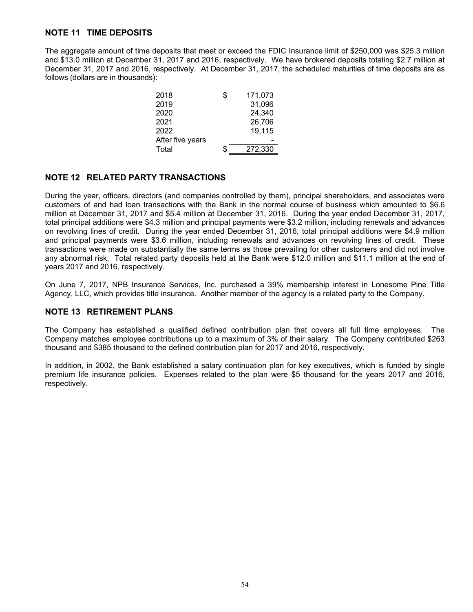# **NOTE 11 TIME DEPOSITS**

The aggregate amount of time deposits that meet or exceed the FDIC Insurance limit of \$250,000 was \$25.3 million and \$13.0 million at December 31, 2017 and 2016, respectively. We have brokered deposits totaling \$2.7 million at December 31, 2017 and 2016, respectively. At December 31, 2017, the scheduled maturities of time deposits are as follows (dollars are in thousands):

| \$<br>171,073 |
|---------------|
| 31,096        |
| 24,340        |
| 26,706        |
| 19,115        |
|               |
| \$<br>272,330 |
|               |

### **NOTE 12 RELATED PARTY TRANSACTIONS**

During the year, officers, directors (and companies controlled by them), principal shareholders, and associates were customers of and had loan transactions with the Bank in the normal course of business which amounted to \$6.6 million at December 31, 2017 and \$5.4 million at December 31, 2016. During the year ended December 31, 2017, total principal additions were \$4.3 million and principal payments were \$3.2 million, including renewals and advances on revolving lines of credit. During the year ended December 31, 2016, total principal additions were \$4.9 million and principal payments were \$3.6 million, including renewals and advances on revolving lines of credit. These transactions were made on substantially the same terms as those prevailing for other customers and did not involve any abnormal risk. Total related party deposits held at the Bank were \$12.0 million and \$11.1 million at the end of years 2017 and 2016, respectively.

On June 7, 2017, NPB Insurance Services, Inc. purchased a 39% membership interest in Lonesome Pine Title Agency, LLC, which provides title insurance. Another member of the agency is a related party to the Company.

### **NOTE 13 RETIREMENT PLANS**

The Company has established a qualified defined contribution plan that covers all full time employees. The Company matches employee contributions up to a maximum of 3% of their salary. The Company contributed \$263 thousand and \$385 thousand to the defined contribution plan for 2017 and 2016, respectively.

In addition, in 2002, the Bank established a salary continuation plan for key executives, which is funded by single premium life insurance policies. Expenses related to the plan were \$5 thousand for the years 2017 and 2016, respectively.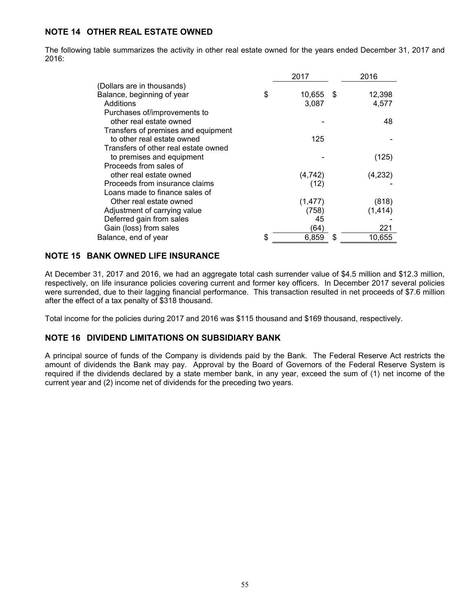# **NOTE 14 OTHER REAL ESTATE OWNED**

The following table summarizes the activity in other real estate owned for the years ended December 31, 2017 and 2016:

|                                      | 2017            | 2016    |
|--------------------------------------|-----------------|---------|
| (Dollars are in thousands)           |                 |         |
| Balance, beginning of year           | \$<br>10,655 \$ | 12,398  |
| Additions                            | 3,087           | 4,577   |
| Purchases of/improvements to         |                 |         |
| other real estate owned              |                 | 48      |
| Transfers of premises and equipment  |                 |         |
| to other real estate owned           | 125             |         |
| Transfers of other real estate owned |                 |         |
| to premises and equipment            |                 | (125)   |
| Proceeds from sales of               |                 |         |
| other real estate owned              | (4, 742)        | (4,232) |
| Proceeds from insurance claims       | (12)            |         |
| Loans made to finance sales of       |                 |         |
| Other real estate owned              | (1, 477)        | (818)   |
| Adjustment of carrying value         | (758)           | (1,414) |
| Deferred gain from sales             | 45              |         |
| Gain (loss) from sales               | (64)            | 221     |
| Balance, end of year                 | \$<br>6,859     | 10,655  |

# **NOTE 15 BANK OWNED LIFE INSURANCE**

At December 31, 2017 and 2016, we had an aggregate total cash surrender value of \$4.5 million and \$12.3 million, respectively, on life insurance policies covering current and former key officers. In December 2017 several policies were surrended, due to their lagging financial performance. This transaction resulted in net proceeds of \$7.6 million after the effect of a tax penalty of \$318 thousand.

Total income for the policies during 2017 and 2016 was \$115 thousand and \$169 thousand, respectively.

### **NOTE 16 DIVIDEND LIMITATIONS ON SUBSIDIARY BANK**

A principal source of funds of the Company is dividends paid by the Bank. The Federal Reserve Act restricts the amount of dividends the Bank may pay. Approval by the Board of Governors of the Federal Reserve System is required if the dividends declared by a state member bank, in any year, exceed the sum of (1) net income of the current year and (2) income net of dividends for the preceding two years.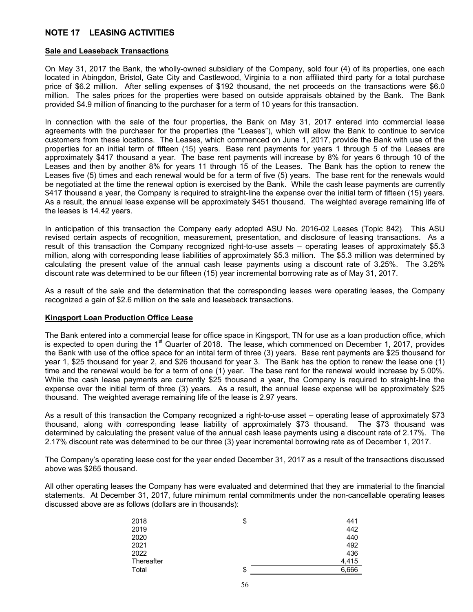# **NOTE 17 LEASING ACTIVITIES**

#### **Sale and Leaseback Transactions**

On May 31, 2017 the Bank, the wholly-owned subsidiary of the Company, sold four (4) of its properties, one each located in Abingdon, Bristol, Gate City and Castlewood, Virginia to a non affiliated third party for a total purchase price of \$6.2 million. After selling expenses of \$192 thousand, the net proceeds on the transactions were \$6.0 million. The sales prices for the properties were based on outside appraisals obtained by the Bank. The Bank provided \$4.9 million of financing to the purchaser for a term of 10 years for this transaction.

In connection with the sale of the four properties, the Bank on May 31, 2017 entered into commercial lease agreements with the purchaser for the properties (the "Leases"), which will allow the Bank to continue to service customers from these locations. The Leases, which commenced on June 1, 2017, provide the Bank with use of the properties for an initial term of fifteen (15) years. Base rent payments for years 1 through 5 of the Leases are approximately \$417 thousand a year. The base rent payments will increase by 8% for years 6 through 10 of the Leases and then by another 8% for years 11 through 15 of the Leases. The Bank has the option to renew the Leases five (5) times and each renewal would be for a term of five (5) years. The base rent for the renewals would be negotiated at the time the renewal option is exercised by the Bank. While the cash lease payments are currently \$417 thousand a year, the Company is required to straight-line the expense over the initial term of fifteen (15) years. As a result, the annual lease expense will be approximately \$451 thousand. The weighted average remaining life of the leases is 14.42 years.

In anticipation of this transaction the Company early adopted ASU No. 2016-02 Leases (Topic 842). This ASU revised certain aspects of recognition, measurement, presentation, and disclosure of leasing transactions. As a result of this transaction the Company recognized right-to-use assets – operating leases of approximately \$5.3 million, along with corresponding lease liabilities of approximately \$5.3 million. The \$5.3 million was determined by calculating the present value of the annual cash lease payments using a discount rate of 3.25%. The 3.25% discount rate was determined to be our fifteen (15) year incremental borrowing rate as of May 31, 2017.

As a result of the sale and the determination that the corresponding leases were operating leases, the Company recognized a gain of \$2.6 million on the sale and leaseback transactions.

#### **Kingsport Loan Production Office Lease**

The Bank entered into a commercial lease for office space in Kingsport, TN for use as a loan production office, which is expected to open during the 1<sup>st</sup> Quarter of 2018. The lease, which commenced on December 1, 2017, provides the Bank with use of the office space for an intital term of three (3) years. Base rent payments are \$25 thousand for year 1, \$25 thousand for year 2, and \$26 thousand for year 3. The Bank has the option to renew the lease one (1) time and the renewal would be for a term of one (1) year. The base rent for the renewal would increase by 5.00%. While the cash lease payments are currently \$25 thousand a year, the Company is required to straight-line the expense over the initial term of three (3) years. As a result, the annual lease expense will be approximately \$25 thousand. The weighted average remaining life of the lease is 2.97 years.

As a result of this transaction the Company recognized a right-to-use asset – operating lease of approximately \$73 thousand, along with corresponding lease liability of approximately \$73 thousand. The \$73 thousand was determined by calculating the present value of the annual cash lease payments using a discount rate of 2.17%. The 2.17% discount rate was determined to be our three (3) year incremental borrowing rate as of December 1, 2017.

The Company's operating lease cost for the year ended December 31, 2017 as a result of the transactions discussed above was \$265 thousand.

All other operating leases the Company has were evaluated and determined that they are immaterial to the financial statements. At December 31, 2017, future minimum rental commitments under the non-cancellable operating leases discussed above are as follows (dollars are in thousands):

| 2018<br>\$  | 441   |
|-------------|-------|
| 2019        | 442   |
| 2020        | 440   |
| 2021        | 492   |
| 2022        | 436   |
| Thereafter  | 4,415 |
| Total<br>\$ | 6,666 |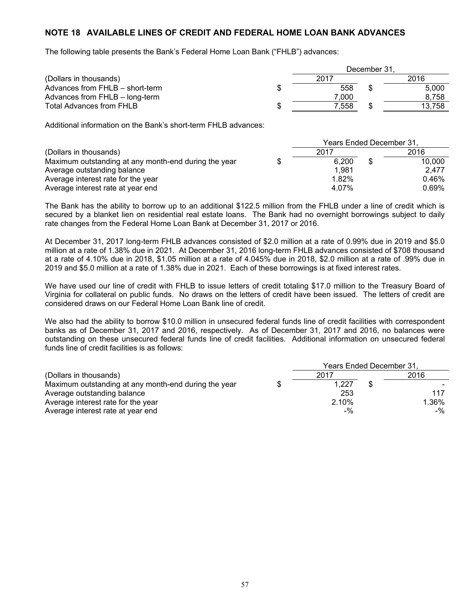### **NOTE 18 AVAILABLE LINES OF CREDIT AND FEDERAL HOME LOAN BANK ADVANCES**

The following table presents the Bank's Federal Home Loan Bank ("FHLB") advances:

|                                 | December 31. |  |        |  |  |
|---------------------------------|--------------|--|--------|--|--|
| (Dollars in thousands)          | 2017         |  | 2016   |  |  |
| Advances from FHLB – short-term | 558          |  | 5.000  |  |  |
| Advances from FHLB – long-term  | 7.000        |  | 8.758  |  |  |
| <b>Total Advances from FHLB</b> | 7.558        |  | 13.758 |  |  |

Additional information on the Bank's short-term FHLB advances:

|                                                      | Years Ended December 31, |      |        |  |  |
|------------------------------------------------------|--------------------------|------|--------|--|--|
| (Dollars in thousands)                               | 2017                     | 2016 |        |  |  |
| Maximum outstanding at any month-end during the year | 6.200                    | S    | 10.000 |  |  |
| Average outstanding balance                          | 1.981                    |      | 2.477  |  |  |
| Average interest rate for the year                   | 1.82%                    |      | 0.46%  |  |  |
| Average interest rate at year end                    | 4.07%                    |      | 0.69%  |  |  |

The Bank has the ability to borrow up to an additional \$122.5 million from the FHLB under a line of credit which is secured by a blanket lien on residential real estate loans. The Bank had no overnight borrowings subject to daily rate changes from the Federal Home Loan Bank at December 31, 2017 or 2016.

At December 31, 2017 long-term FHLB advances consisted of \$2.0 million at a rate of 0.99% due in 2019 and \$5.0 million at a rate of 1.38% due in 2021. At December 31, 2016 long-term FHLB advances consisted of \$708 thousand at a rate of 4.10% due in 2018, \$1.05 million at a rate of 4.045% due in 2018, \$2.0 million at a rate of .99% due in 2019 and \$5.0 million at a rate of 1.38% due in 2021. Each of these borrowings is at fixed interest rates.

We have used our line of credit with FHLB to issue letters of credit totaling \$17.0 million to the Treasury Board of Virginia for collateral on public funds. No draws on the letters of credit have been issued. The letters of credit are considered draws on our Federal Home Loan Bank line of credit.

We also had the ability to borrow \$10.0 million in unsecured federal funds line of credit facilities with correspondent banks as of December 31, 2017 and 2016, respectively. As of December 31, 2017 and 2016, no balances were outstanding on these unsecured federal funds line of credit facilities. Additional information on unsecured federal funds line of credit facilities is as follows:

|                                                      | Years Ended December 31, |       |
|------------------------------------------------------|--------------------------|-------|
| (Dollars in thousands)                               | 2017                     | 2016  |
| Maximum outstanding at any month-end during the year | 1.227                    |       |
| Average outstanding balance                          | 253                      | 117   |
| Average interest rate for the year                   | 2.10%                    | 1.36% |
| Average interest rate at year end                    | $-$ %                    | -%    |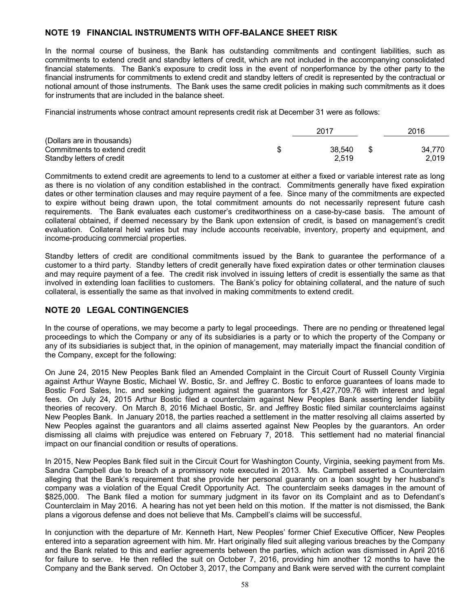### **NOTE 19 FINANCIAL INSTRUMENTS WITH OFF-BALANCE SHEET RISK**

In the normal course of business, the Bank has outstanding commitments and contingent liabilities, such as commitments to extend credit and standby letters of credit, which are not included in the accompanying consolidated financial statements. The Bank's exposure to credit loss in the event of nonperformance by the other party to the financial instruments for commitments to extend credit and standby letters of credit is represented by the contractual or notional amount of those instruments. The Bank uses the same credit policies in making such commitments as it does for instruments that are included in the balance sheet.

Financial instruments whose contract amount represents credit risk at December 31 were as follows:

|                              | 2017   | 2016   |
|------------------------------|--------|--------|
| (Dollars are in thousands)   |        |        |
| Commitments to extend credit | 38.540 | 34.770 |
| Standby letters of credit    | 2.519  | 2.019  |

Commitments to extend credit are agreements to lend to a customer at either a fixed or variable interest rate as long as there is no violation of any condition established in the contract. Commitments generally have fixed expiration dates or other termination clauses and may require payment of a fee. Since many of the commitments are expected to expire without being drawn upon, the total commitment amounts do not necessarily represent future cash requirements. The Bank evaluates each customer's creditworthiness on a case-by-case basis. The amount of collateral obtained, if deemed necessary by the Bank upon extension of credit, is based on management's credit evaluation. Collateral held varies but may include accounts receivable, inventory, property and equipment, and income-producing commercial properties.

Standby letters of credit are conditional commitments issued by the Bank to guarantee the performance of a customer to a third party. Standby letters of credit generally have fixed expiration dates or other termination clauses and may require payment of a fee. The credit risk involved in issuing letters of credit is essentially the same as that involved in extending loan facilities to customers. The Bank's policy for obtaining collateral, and the nature of such collateral, is essentially the same as that involved in making commitments to extend credit.

# **NOTE 20 LEGAL CONTINGENCIES**

In the course of operations, we may become a party to legal proceedings. There are no pending or threatened legal proceedings to which the Company or any of its subsidiaries is a party or to which the property of the Company or any of its subsidiaries is subject that, in the opinion of management, may materially impact the financial condition of the Company, except for the following:

On June 24, 2015 New Peoples Bank filed an Amended Complaint in the Circuit Court of Russell County Virginia against Arthur Wayne Bostic, Michael W. Bostic, Sr. and Jeffrey C. Bostic to enforce guarantees of loans made to Bostic Ford Sales, Inc. and seeking judgment against the guarantors for \$1,427,709.76 with interest and legal fees. On July 24, 2015 Arthur Bostic filed a counterclaim against New Peoples Bank asserting lender liability theories of recovery. On March 8, 2016 Michael Bostic, Sr. and Jeffrey Bostic filed similar counterclaims against New Peoples Bank. In January 2018, the parties reached a settlement in the matter resolving all claims asserted by New Peoples against the guarantors and all claims asserted against New Peoples by the guarantors. An order dismissing all claims with prejudice was entered on February 7, 2018. This settlement had no material financial impact on our financial condition or results of operations.

In 2015, New Peoples Bank filed suit in the Circuit Court for Washington County, Virginia, seeking payment from Ms. Sandra Campbell due to breach of a promissory note executed in 2013. Ms. Campbell asserted a Counterclaim alleging that the Bank's requirement that she provide her personal guaranty on a loan sought by her husband's company was a violation of the Equal Credit Opportunity Act. The counterclaim seeks damages in the amount of \$825,000. The Bank filed a motion for summary judgment in its favor on its Complaint and as to Defendant's Counterclaim in May 2016. A hearing has not yet been held on this motion. If the matter is not dismissed, the Bank plans a vigorous defense and does not believe that Ms. Campbell's claims will be successful.

In conjunction with the departure of Mr. Kenneth Hart, New Peoples' former Chief Executive Officer, New Peoples entered into a separation agreement with him. Mr. Hart originally filed suit alleging various breaches by the Company and the Bank related to this and earlier agreements between the parties, which action was dismissed in April 2016 for failure to serve. He then refiled the suit on October 7, 2016, providing him another 12 months to have the Company and the Bank served. On October 3, 2017, the Company and Bank were served with the current complaint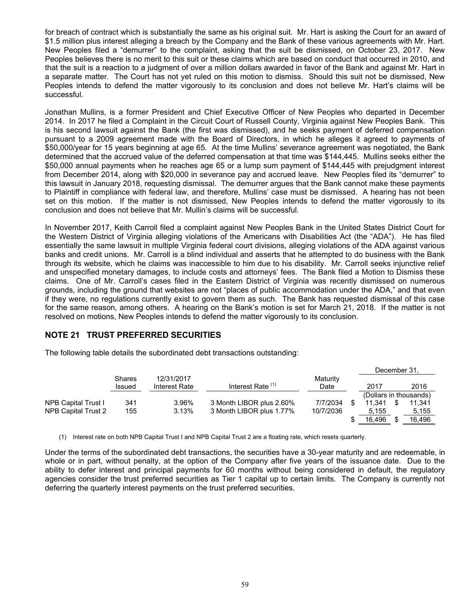for breach of contract which is substantially the same as his original suit. Mr. Hart is asking the Court for an award of \$1.5 million plus interest alleging a breach by the Company and the Bank of these various agreements with Mr. Hart. New Peoples filed a "demurrer" to the complaint, asking that the suit be dismissed, on October 23, 2017. New Peoples believes there is no merit to this suit or these claims which are based on conduct that occurred in 2010, and that the suit is a reaction to a judgment of over a million dollars awarded in favor of the Bank and against Mr. Hart in a separate matter. The Court has not yet ruled on this motion to dismiss. Should this suit not be dismissed, New Peoples intends to defend the matter vigorously to its conclusion and does not believe Mr. Hart's claims will be successful.

Jonathan Mullins, is a former President and Chief Executive Officer of New Peoples who departed in December 2014. In 2017 he filed a Complaint in the Circuit Court of Russell County, Virginia against New Peoples Bank. This is his second lawsuit against the Bank (the first was dismissed), and he seeks payment of deferred compensation pursuant to a 2009 agreement made with the Board of Directors, in which he alleges it agreed to payments of \$50,000/year for 15 years beginning at age 65. At the time Mullins' severance agreement was negotiated, the Bank determined that the accrued value of the deferred compensation at that time was \$144,445. Mullins seeks either the \$50,000 annual payments when he reaches age 65 or a lump sum payment of \$144,445 with prejudgment interest from December 2014, along with \$20,000 in severance pay and accrued leave. New Peoples filed its "demurrer" to this lawsuit in January 2018, requesting dismissal. The demurrer argues that the Bank cannot make these payments to Plaintiff in compliance with federal law, and therefore, Mullins' case must be dismissed. A hearing has not been set on this motion. If the matter is not dismissed, New Peoples intends to defend the matter vigorously to its conclusion and does not believe that Mr. Mullin's claims will be successful.

In November 2017, Keith Carroll filed a complaint against New Peoples Bank in the United States District Court for the Western District of Virginia alleging violations of the Americans with Disabilities Act (the "ADA"). He has filed essentially the same lawsuit in multiple Virginia federal court divisions, alleging violations of the ADA against various banks and credit unions. Mr. Carroll is a blind individual and asserts that he attempted to do business with the Bank through its website, which he claims was inaccessible to him due to his disability. Mr. Carroll seeks injunctive relief and unspecified monetary damages, to include costs and attorneys' fees. The Bank filed a Motion to Dismiss these claims. One of Mr. Carroll's cases filed in the Eastern District of Virginia was recently dismissed on numerous grounds, including the ground that websites are not "places of public accommodation under the ADA," and that even if they were, no regulations currently exist to govern them as such. The Bank has requested dismissal of this case for the same reason, among others. A hearing on the Bank's motion is set for March 21, 2018. If the matter is not resolved on motions, New Peoples intends to defend the matter vigorously to its conclusion.

# **NOTE 21 TRUST PREFERRED SECURITIES**

The following table details the subordinated debt transactions outstanding:

|                     |        |               |                              |           | December 31            |        |
|---------------------|--------|---------------|------------------------------|-----------|------------------------|--------|
|                     | Shares | 12/31/2017    |                              | Maturity  |                        |        |
|                     | Issued | Interest Rate | Interest Rate <sup>(1)</sup> | Date      | 2017                   | 2016   |
|                     |        |               |                              |           | (Dollars in thousands) |        |
| NPB Capital Trust I | 341    | 3.96%         | 3 Month LIBOR plus 2.60%     | 7/7/2034  | 11.341                 | 11.341 |
| NPB Capital Trust 2 | 155    | 3.13%         | 3 Month LIBOR plus 1.77%     | 10/7/2036 | 5.155                  | 5,155  |
|                     |        |               |                              |           | 16.496                 | 16.496 |

(1) Interest rate on both NPB Capital Trust I and NPB Capital Trust 2 are a floating rate, which resets quarterly.

Under the terms of the subordinated debt transactions, the securities have a 30-year maturity and are redeemable, in whole or in part, without penalty, at the option of the Company after five years of the issuance date. Due to the ability to defer interest and principal payments for 60 months without being considered in default, the regulatory agencies consider the trust preferred securities as Tier 1 capital up to certain limits. The Company is currently not deferring the quarterly interest payments on the trust preferred securities.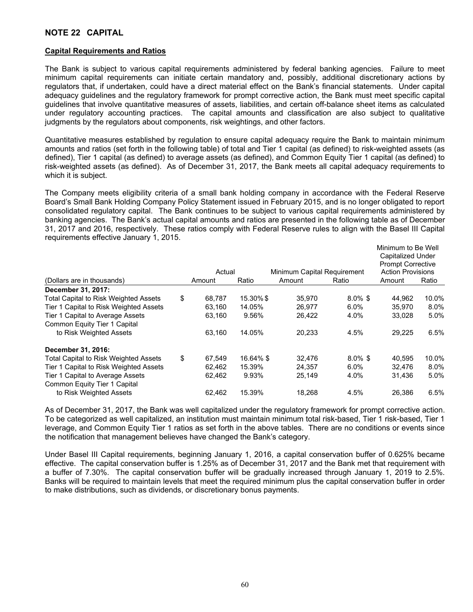### **NOTE 22 CAPITAL**

#### **Capital Requirements and Ratios**

The Bank is subject to various capital requirements administered by federal banking agencies. Failure to meet minimum capital requirements can initiate certain mandatory and, possibly, additional discretionary actions by regulators that, if undertaken, could have a direct material effect on the Bank's financial statements. Under capital adequacy guidelines and the regulatory framework for prompt corrective action, the Bank must meet specific capital guidelines that involve quantitative measures of assets, liabilities, and certain off-balance sheet items as calculated under regulatory accounting practices. The capital amounts and classification are also subject to qualitative judgments by the regulators about components, risk weightings, and other factors.

Quantitative measures established by regulation to ensure capital adequacy require the Bank to maintain minimum amounts and ratios (set forth in the following table) of total and Tier 1 capital (as defined) to risk-weighted assets (as defined), Tier 1 capital (as defined) to average assets (as defined), and Common Equity Tier 1 capital (as defined) to risk-weighted assets (as defined). As of December 31, 2017, the Bank meets all capital adequacy requirements to which it is subject.

The Company meets eligibility criteria of a small bank holding company in accordance with the Federal Reserve Board's Small Bank Holding Company Policy Statement issued in February 2015, and is no longer obligated to report consolidated regulatory capital. The Bank continues to be subject to various capital requirements administered by banking agencies. The Bank's actual capital amounts and ratios are presented in the following table as of December 31, 2017 and 2016, respectively. These ratios comply with Federal Reserve rules to align with the Basel III Capital requirements effective January 1, 2015.

Minimum to Be Well

|                                       |        |                          |                        | Minimum to be vveli |                                               |
|---------------------------------------|--------|--------------------------|------------------------|---------------------|-----------------------------------------------|
|                                       |        |                          |                        |                     |                                               |
| Minimum Capital Requirement<br>Actual |        | <b>Action Provisions</b> |                        |                     |                                               |
| Amount                                | Ratio  | Amount                   | Ratio                  | Amount              | Ratio                                         |
|                                       |        |                          |                        |                     |                                               |
| 68,787                                |        | 35,970                   | $8.0\%$ \$             | 44.962              | 10.0%                                         |
| 63,160                                | 14.05% | 26,977                   | $6.0\%$                | 35,970              | $8.0\%$                                       |
| 63.160                                | 9.56%  | 26,422                   | 4.0%                   | 33,028              | $5.0\%$                                       |
|                                       |        |                          |                        |                     |                                               |
| 63,160                                | 14.05% | 20,233                   | 4.5%                   | 29,225              | 6.5%                                          |
|                                       |        |                          |                        |                     |                                               |
| 67.549                                |        | 32.476                   | $8.0\%$ \$             | 40.595              | 10.0%                                         |
| 62.462                                | 15.39% | 24,357                   | 6.0%                   | 32.476              | $8.0\%$                                       |
| 62.462                                | 9.93%  | 25,149                   | 4.0%                   | 31.436              | $5.0\%$                                       |
|                                       |        |                          |                        |                     |                                               |
| 62.462                                | 15.39% | 18.268                   | 4.5%                   | 26.386              | 6.5%                                          |
|                                       |        |                          | 15.30% \$<br>16.64% \$ |                     | Capitalized Under<br><b>Prompt Corrective</b> |

As of December 31, 2017, the Bank was well capitalized under the regulatory framework for prompt corrective action. To be categorized as well capitalized, an institution must maintain minimum total risk-based, Tier 1 risk-based, Tier 1 leverage, and Common Equity Tier 1 ratios as set forth in the above tables. There are no conditions or events since the notification that management believes have changed the Bank's category.

Under Basel III Capital requirements, beginning January 1, 2016, a capital conservation buffer of 0.625% became effective. The capital conservation buffer is 1.25% as of December 31, 2017 and the Bank met that requirement with a buffer of 7.30%. The capital conservation buffer will be gradually increased through January 1, 2019 to 2.5%. Banks will be required to maintain levels that meet the required minimum plus the capital conservation buffer in order to make distributions, such as dividends, or discretionary bonus payments.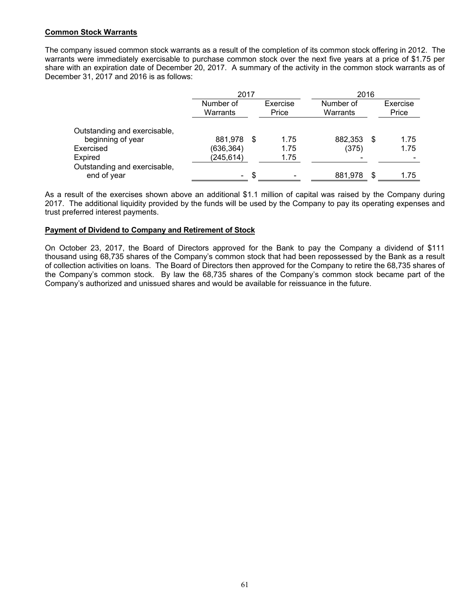### **Common Stock Warrants**

The company issued common stock warrants as a result of the completion of its common stock offering in 2012. The warrants were immediately exercisable to purchase common stock over the next five years at a price of \$1.75 per share with an expiration date of December 20, 2017. A summary of the activity in the common stock warrants as of December 31, 2017 and 2016 is as follows:

|                                             | 2017                  |      |                                            | 2016             |      |                   |  |  |
|---------------------------------------------|-----------------------|------|--------------------------------------------|------------------|------|-------------------|--|--|
|                                             | Number of<br>Warrants |      | Number of<br>Exercise<br>Price<br>Warrants |                  |      | Exercise<br>Price |  |  |
| Outstanding and exercisable,                |                       |      |                                            |                  |      |                   |  |  |
| beginning of year<br>Exercised              | 881,978<br>(636, 364) | - \$ | 1.75<br>1.75                               | 882,353<br>(375) | - \$ | 1.75<br>1.75      |  |  |
| Expired                                     | (245, 614)            |      | 1.75                                       |                  |      |                   |  |  |
| Outstanding and exercisable,<br>end of year | $\sim$                | -\$  |                                            | 881,978          | \$   | 1.75              |  |  |

As a result of the exercises shown above an additional \$1.1 million of capital was raised by the Company during 2017. The additional liquidity provided by the funds will be used by the Company to pay its operating expenses and trust preferred interest payments.

#### **Payment of Dividend to Company and Retirement of Stock**

On October 23, 2017, the Board of Directors approved for the Bank to pay the Company a dividend of \$111 thousand using 68,735 shares of the Company's common stock that had been repossessed by the Bank as a result of collection activities on loans. The Board of Directors then approved for the Company to retire the 68,735 shares of the Company's common stock. By law the 68,735 shares of the Company's common stock became part of the Company's authorized and unissued shares and would be available for reissuance in the future.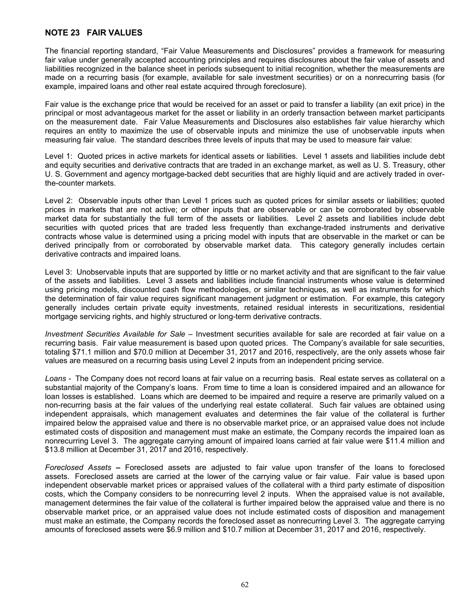### **NOTE 23 FAIR VALUES**

The financial reporting standard, "Fair Value Measurements and Disclosures" provides a framework for measuring fair value under generally accepted accounting principles and requires disclosures about the fair value of assets and liabilities recognized in the balance sheet in periods subsequent to initial recognition, whether the measurements are made on a recurring basis (for example, available for sale investment securities) or on a nonrecurring basis (for example, impaired loans and other real estate acquired through foreclosure).

Fair value is the exchange price that would be received for an asset or paid to transfer a liability (an exit price) in the principal or most advantageous market for the asset or liability in an orderly transaction between market participants on the measurement date. Fair Value Measurements and Disclosures also establishes fair value hierarchy which requires an entity to maximize the use of observable inputs and minimize the use of unobservable inputs when measuring fair value. The standard describes three levels of inputs that may be used to measure fair value:

Level 1: Quoted prices in active markets for identical assets or liabilities. Level 1 assets and liabilities include debt and equity securities and derivative contracts that are traded in an exchange market, as well as U. S. Treasury, other U. S. Government and agency mortgage-backed debt securities that are highly liquid and are actively traded in overthe-counter markets.

Level 2: Observable inputs other than Level 1 prices such as quoted prices for similar assets or liabilities; quoted prices in markets that are not active; or other inputs that are observable or can be corroborated by observable market data for substantially the full term of the assets or liabilities. Level 2 assets and liabilities include debt securities with quoted prices that are traded less frequently than exchange-traded instruments and derivative contracts whose value is determined using a pricing model with inputs that are observable in the market or can be derived principally from or corroborated by observable market data. This category generally includes certain derivative contracts and impaired loans.

Level 3: Unobservable inputs that are supported by little or no market activity and that are significant to the fair value of the assets and liabilities. Level 3 assets and liabilities include financial instruments whose value is determined using pricing models, discounted cash flow methodologies, or similar techniques, as well as instruments for which the determination of fair value requires significant management judgment or estimation. For example, this category generally includes certain private equity investments, retained residual interests in securitizations, residential mortgage servicing rights, and highly structured or long-term derivative contracts.

*Investment Securities Available for Sale –* Investment securities available for sale are recorded at fair value on a recurring basis. Fair value measurement is based upon quoted prices. The Company's available for sale securities, totaling \$71.1 million and \$70.0 million at December 31, 2017 and 2016, respectively, are the only assets whose fair values are measured on a recurring basis using Level 2 inputs from an independent pricing service.

*Loans -* The Company does not record loans at fair value on a recurring basis. Real estate serves as collateral on a substantial majority of the Company's loans. From time to time a loan is considered impaired and an allowance for loan losses is established. Loans which are deemed to be impaired and require a reserve are primarily valued on a non-recurring basis at the fair values of the underlying real estate collateral. Such fair values are obtained using independent appraisals, which management evaluates and determines the fair value of the collateral is further impaired below the appraised value and there is no observable market price, or an appraised value does not include estimated costs of disposition and management must make an estimate, the Company records the impaired loan as nonrecurring Level 3. The aggregate carrying amount of impaired loans carried at fair value were \$11.4 million and \$13.8 million at December 31, 2017 and 2016, respectively.

*Foreclosed Assets –* Foreclosed assets are adjusted to fair value upon transfer of the loans to foreclosed assets. Foreclosed assets are carried at the lower of the carrying value or fair value. Fair value is based upon independent observable market prices or appraised values of the collateral with a third party estimate of disposition costs, which the Company considers to be nonrecurring level 2 inputs. When the appraised value is not available, management determines the fair value of the collateral is further impaired below the appraised value and there is no observable market price, or an appraised value does not include estimated costs of disposition and management must make an estimate, the Company records the foreclosed asset as nonrecurring Level 3. The aggregate carrying amounts of foreclosed assets were \$6.9 million and \$10.7 million at December 31, 2017 and 2016, respectively.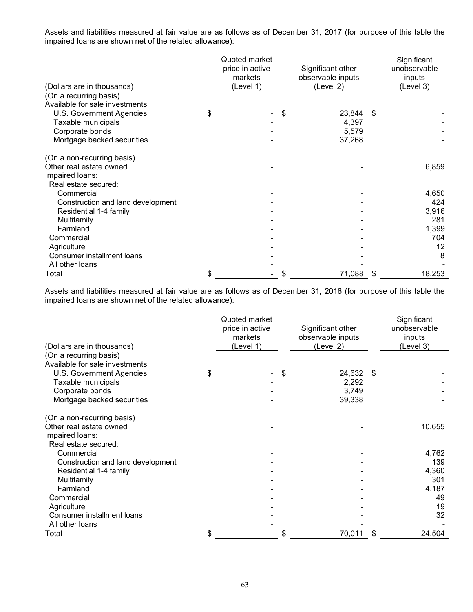Assets and liabilities measured at fair value are as follows as of December 31, 2017 (for purpose of this table the impaired loans are shown net of the related allowance):

|                                   | Quoted market<br>price in active | Significant other |     | Significant<br>unobservable |
|-----------------------------------|----------------------------------|-------------------|-----|-----------------------------|
|                                   | markets                          | observable inputs |     | inputs                      |
| (Dollars are in thousands)        | (Level 1)                        | (Level 2)         |     | (Level 3)                   |
| (On a recurring basis)            |                                  |                   |     |                             |
| Available for sale investments    |                                  |                   |     |                             |
| U.S. Government Agencies          | \$                               | \$<br>23,844      | -\$ |                             |
| Taxable municipals                |                                  | 4,397             |     |                             |
| Corporate bonds                   |                                  | 5,579             |     |                             |
| Mortgage backed securities        |                                  | 37,268            |     |                             |
| (On a non-recurring basis)        |                                  |                   |     |                             |
| Other real estate owned           |                                  |                   |     | 6,859                       |
| Impaired loans:                   |                                  |                   |     |                             |
| Real estate secured:              |                                  |                   |     |                             |
| Commercial                        |                                  |                   |     | 4,650                       |
| Construction and land development |                                  |                   |     | 424                         |
| Residential 1-4 family            |                                  |                   |     | 3,916                       |
| Multifamily                       |                                  |                   |     | 281                         |
| Farmland                          |                                  |                   |     | 1,399                       |
| Commercial                        |                                  |                   |     | 704                         |
| Agriculture                       |                                  |                   |     | 12                          |
| Consumer installment loans        |                                  |                   |     | 8                           |
| All other loans                   |                                  |                   |     |                             |
| Total                             | \$                               | \$<br>71,088      | S   | 18,253                      |

Assets and liabilities measured at fair value are as follows as of December 31, 2016 (for purpose of this table the impaired loans are shown net of the related allowance):

| (Dollars are in thousands)        | Quoted market<br>price in active<br>markets<br>(Level 1) | Significant other<br>observable inputs<br>(Level 2) |      | Significant<br>unobservable<br>inputs<br>(Level 3) |
|-----------------------------------|----------------------------------------------------------|-----------------------------------------------------|------|----------------------------------------------------|
| (On a recurring basis)            |                                                          |                                                     |      |                                                    |
| Available for sale investments    |                                                          |                                                     |      |                                                    |
| U.S. Government Agencies          | \$                                                       | 24,632<br>\$                                        | - \$ |                                                    |
| Taxable municipals                |                                                          | 2,292                                               |      |                                                    |
| Corporate bonds                   |                                                          | 3,749                                               |      |                                                    |
| Mortgage backed securities        |                                                          | 39,338                                              |      |                                                    |
| (On a non-recurring basis)        |                                                          |                                                     |      |                                                    |
| Other real estate owned           |                                                          |                                                     |      | 10,655                                             |
| Impaired loans:                   |                                                          |                                                     |      |                                                    |
| Real estate secured:              |                                                          |                                                     |      |                                                    |
| Commercial                        |                                                          |                                                     |      | 4,762                                              |
| Construction and land development |                                                          |                                                     |      | 139                                                |
| Residential 1-4 family            |                                                          |                                                     |      | 4,360                                              |
| Multifamily                       |                                                          |                                                     |      | 301                                                |
| Farmland                          |                                                          |                                                     |      | 4,187                                              |
| Commercial                        |                                                          |                                                     |      | 49                                                 |
| Agriculture                       |                                                          |                                                     |      | 19                                                 |
| Consumer installment loans        |                                                          |                                                     |      | 32                                                 |
| All other loans                   |                                                          |                                                     |      |                                                    |
| Total                             | \$                                                       | 70,011<br>\$                                        | S    | 24,504                                             |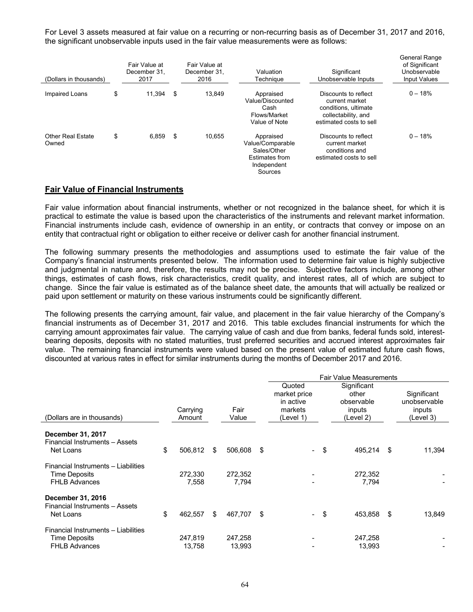For Level 3 assets measured at fair value on a recurring or non-recurring basis as of December 31, 2017 and 2016, the significant unobservable inputs used in the fair value measurements were as follows:

| (Dollars in thousands)            |    | Fair Value at<br>December 31.<br>2017 | Fair Value at<br>December 31,<br>2016 | Valuation<br>Techniaue                                                                   | Significant<br>Unobservable Inputs                                                                               | <b>General Range</b><br>of Significant<br>Unobservable<br>Input Values |
|-----------------------------------|----|---------------------------------------|---------------------------------------|------------------------------------------------------------------------------------------|------------------------------------------------------------------------------------------------------------------|------------------------------------------------------------------------|
| Impaired Loans                    | \$ | 11.394                                | \$<br>13.849                          | Appraised<br>Value/Discounted<br>Cash<br>Flows/Market<br>Value of Note                   | Discounts to reflect<br>current market<br>conditions, ultimate<br>collectability, and<br>estimated costs to sell | $0 - 18%$                                                              |
| <b>Other Real Estate</b><br>Owned | \$ | 6,859                                 | \$<br>10.655                          | Appraised<br>Value/Comparable<br>Sales/Other<br>Estimates from<br>Independent<br>Sources | Discounts to reflect<br>current market<br>conditions and<br>estimated costs to sell                              | $0 - 18%$                                                              |

### **Fair Value of Financial Instruments**

Fair value information about financial instruments, whether or not recognized in the balance sheet, for which it is practical to estimate the value is based upon the characteristics of the instruments and relevant market information. Financial instruments include cash, evidence of ownership in an entity, or contracts that convey or impose on an entity that contractual right or obligation to either receive or deliver cash for another financial instrument.

The following summary presents the methodologies and assumptions used to estimate the fair value of the Company's financial instruments presented below. The information used to determine fair value is highly subjective and judgmental in nature and, therefore, the results may not be precise. Subjective factors include, among other things, estimates of cash flows, risk characteristics, credit quality, and interest rates, all of which are subject to change. Since the fair value is estimated as of the balance sheet date, the amounts that will actually be realized or paid upon settlement or maturity on these various instruments could be significantly different.

The following presents the carrying amount, fair value, and placement in the fair value hierarchy of the Company's financial instruments as of December 31, 2017 and 2016. This table excludes financial instruments for which the carrying amount approximates fair value. The carrying value of cash and due from banks, federal funds sold, interestbearing deposits, deposits with no stated maturities, trust preferred securities and accrued interest approximates fair value. The remaining financial instruments were valued based on the present value of estimated future cash flows, discounted at various rates in effect for similar instruments during the months of December 2017 and 2016.

|                                                                                     |                    |                   |     | <b>Fair Value Measurements</b>                              |      |                                                           |      |                                                    |  |  |
|-------------------------------------------------------------------------------------|--------------------|-------------------|-----|-------------------------------------------------------------|------|-----------------------------------------------------------|------|----------------------------------------------------|--|--|
| (Dollars are in thousands)                                                          | Carrying<br>Amount | Fair<br>Value     |     | Quoted<br>market price<br>in active<br>markets<br>(Level 1) |      | Significant<br>other<br>observable<br>inputs<br>(Level 2) |      | Significant<br>unobservable<br>inputs<br>(Level 3) |  |  |
| December 31, 2017<br>Financial Instruments - Assets<br>Net Loans                    | \$<br>506,812      | \$<br>506,608     | \$  | $\sim$                                                      | \$   | 495,214                                                   | -\$  | 11,394                                             |  |  |
| Financial Instruments - Liabilities<br><b>Time Deposits</b><br><b>FHLB Advances</b> | 272,330<br>7,558   | 272,352<br>7,794  |     |                                                             |      | 272,352<br>7,794                                          |      |                                                    |  |  |
| December 31, 2016<br>Financial Instruments - Assets<br>Net Loans                    | \$<br>462,557      | \$<br>467,707     | -\$ |                                                             | - \$ | 453,858                                                   | - \$ | 13,849                                             |  |  |
| Financial Instruments - Liabilities<br><b>Time Deposits</b><br><b>FHLB Advances</b> | 247,819<br>13,758  | 247,258<br>13,993 |     |                                                             |      | 247,258<br>13,993                                         |      |                                                    |  |  |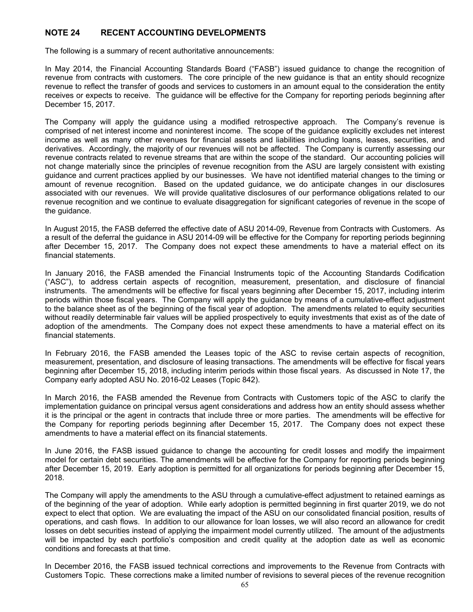# **NOTE 24 RECENT ACCOUNTING DEVELOPMENTS**

The following is a summary of recent authoritative announcements:

In May 2014, the Financial Accounting Standards Board ("FASB") issued guidance to change the recognition of revenue from contracts with customers. The core principle of the new guidance is that an entity should recognize revenue to reflect the transfer of goods and services to customers in an amount equal to the consideration the entity receives or expects to receive. The guidance will be effective for the Company for reporting periods beginning after December 15, 2017.

The Company will apply the guidance using a modified retrospective approach. The Company's revenue is comprised of net interest income and noninterest income. The scope of the guidance explicitly excludes net interest income as well as many other revenues for financial assets and liabilities including loans, leases, securities, and derivatives. Accordingly, the majority of our revenues will not be affected. The Company is currently assessing our revenue contracts related to revenue streams that are within the scope of the standard. Our accounting policies will not change materially since the principles of revenue recognition from the ASU are largely consistent with existing guidance and current practices applied by our businesses. We have not identified material changes to the timing or amount of revenue recognition. Based on the updated guidance, we do anticipate changes in our disclosures associated with our revenues. We will provide qualitative disclosures of our performance obligations related to our revenue recognition and we continue to evaluate disaggregation for significant categories of revenue in the scope of the guidance.

In August 2015, the FASB deferred the effective date of ASU 2014-09, Revenue from Contracts with Customers. As a result of the deferral the guidance in ASU 2014-09 will be effective for the Company for reporting periods beginning after December 15, 2017. The Company does not expect these amendments to have a material effect on its financial statements.

In January 2016, the FASB amended the Financial Instruments topic of the Accounting Standards Codification ("ASC"), to address certain aspects of recognition, measurement, presentation, and disclosure of financial instruments. The amendments will be effective for fiscal years beginning after December 15, 2017, including interim periods within those fiscal years. The Company will apply the guidance by means of a cumulative-effect adjustment to the balance sheet as of the beginning of the fiscal year of adoption. The amendments related to equity securities without readily determinable fair values will be applied prospectively to equity investments that exist as of the date of adoption of the amendments. The Company does not expect these amendments to have a material effect on its financial statements.

In February 2016, the FASB amended the Leases topic of the ASC to revise certain aspects of recognition, measurement, presentation, and disclosure of leasing transactions. The amendments will be effective for fiscal years beginning after December 15, 2018, including interim periods within those fiscal years. As discussed in Note 17, the Company early adopted ASU No. 2016-02 Leases (Topic 842).

In March 2016, the FASB amended the Revenue from Contracts with Customers topic of the ASC to clarify the implementation guidance on principal versus agent considerations and address how an entity should assess whether it is the principal or the agent in contracts that include three or more parties. The amendments will be effective for the Company for reporting periods beginning after December 15, 2017. The Company does not expect these amendments to have a material effect on its financial statements.

In June 2016, the FASB issued guidance to change the accounting for credit losses and modify the impairment model for certain debt securities. The amendments will be effective for the Company for reporting periods beginning after December 15, 2019. Early adoption is permitted for all organizations for periods beginning after December 15, 2018.

The Company will apply the amendments to the ASU through a cumulative-effect adjustment to retained earnings as of the beginning of the year of adoption. While early adoption is permitted beginning in first quarter 2019, we do not expect to elect that option. We are evaluating the impact of the ASU on our consolidated financial position, results of operations, and cash flows. In addition to our allowance for loan losses, we will also record an allowance for credit losses on debt securities instead of applying the impairment model currently utilized. The amount of the adjustments will be impacted by each portfolio's composition and credit quality at the adoption date as well as economic conditions and forecasts at that time.

In December 2016, the FASB issued technical corrections and improvements to the Revenue from Contracts with Customers Topic. These corrections make a limited number of revisions to several pieces of the revenue recognition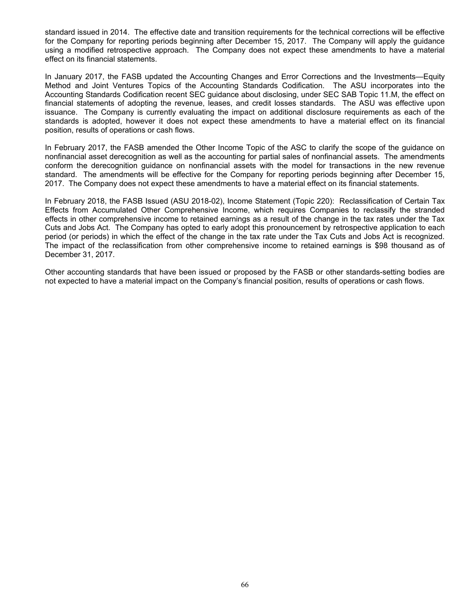standard issued in 2014. The effective date and transition requirements for the technical corrections will be effective for the Company for reporting periods beginning after December 15, 2017. The Company will apply the guidance using a modified retrospective approach. The Company does not expect these amendments to have a material effect on its financial statements.

In January 2017, the FASB updated the Accounting Changes and Error Corrections and the Investments—Equity Method and Joint Ventures Topics of the Accounting Standards Codification. The ASU incorporates into the Accounting Standards Codification recent SEC guidance about disclosing, under SEC SAB Topic 11.M, the effect on financial statements of adopting the revenue, leases, and credit losses standards. The ASU was effective upon issuance. The Company is currently evaluating the impact on additional disclosure requirements as each of the standards is adopted, however it does not expect these amendments to have a material effect on its financial position, results of operations or cash flows.

In February 2017, the FASB amended the Other Income Topic of the ASC to clarify the scope of the guidance on nonfinancial asset derecognition as well as the accounting for partial sales of nonfinancial assets. The amendments conform the derecognition guidance on nonfinancial assets with the model for transactions in the new revenue standard. The amendments will be effective for the Company for reporting periods beginning after December 15, 2017. The Company does not expect these amendments to have a material effect on its financial statements.

In February 2018, the FASB Issued (ASU 2018-02), Income Statement (Topic 220): Reclassification of Certain Tax Effects from Accumulated Other Comprehensive Income, which requires Companies to reclassify the stranded effects in other comprehensive income to retained earnings as a result of the change in the tax rates under the Tax Cuts and Jobs Act. The Company has opted to early adopt this pronouncement by retrospective application to each period (or periods) in which the effect of the change in the tax rate under the Tax Cuts and Jobs Act is recognized. The impact of the reclassification from other comprehensive income to retained earnings is \$98 thousand as of December 31, 2017.

Other accounting standards that have been issued or proposed by the FASB or other standards-setting bodies are not expected to have a material impact on the Company's financial position, results of operations or cash flows.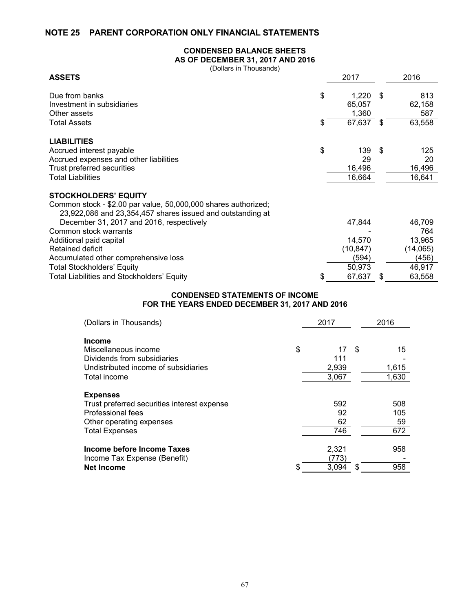# **NOTE 25 PARENT CORPORATION ONLY FINANCIAL STATEMENTS**

# **CONDENSED BALANCE SHEETS**

**AS OF DECEMBER 31, 2017 AND 2016** 

(Dollars in Thousands)

|          | 2017                                             |           | 2016                                                   |
|----------|--------------------------------------------------|-----------|--------------------------------------------------------|
| \$<br>\$ | 1,220<br>65,057<br>1,360<br>67,637               | - \$<br>S | 813<br>62,158<br>587<br>63,558                         |
| \$       | 139<br>29<br>16,496<br>16,664                    | - \$      | 125<br>20<br>16,496<br>16,641                          |
|          | 47,844<br>14,570<br>(10, 847)<br>(594)<br>50,973 |           | 46,709<br>764<br>13,965<br>(14,065)<br>(456)<br>46,917 |
|          |                                                  |           | 63,558                                                 |
|          | S                                                | 67,637    | S                                                      |

### **CONDENSED STATEMENTS OF INCOME FOR THE YEARS ENDED DECEMBER 31, 2017 AND 2016**

| (Dollars in Thousands)                      | 2017        | 2016 |       |
|---------------------------------------------|-------------|------|-------|
| <b>Income</b>                               |             |      |       |
| Miscellaneous income                        | \$<br>17    | -S   | 15    |
| Dividends from subsidiaries                 | 111         |      |       |
| Undistributed income of subsidiaries        | 2,939       |      | 1,615 |
| Total income                                | 3,067       |      | 1,630 |
|                                             |             |      |       |
| <b>Expenses</b>                             |             |      |       |
| Trust preferred securities interest expense | 592         |      | 508   |
| Professional fees                           | 92          |      | 105   |
| Other operating expenses                    | 62          |      | 59    |
| <b>Total Expenses</b>                       | 746         |      | 672   |
| Income before Income Taxes                  | 2,321       |      | 958   |
| Income Tax Expense (Benefit)                | (773`       |      |       |
| <b>Net Income</b>                           | \$<br>3,094 | S    | 958   |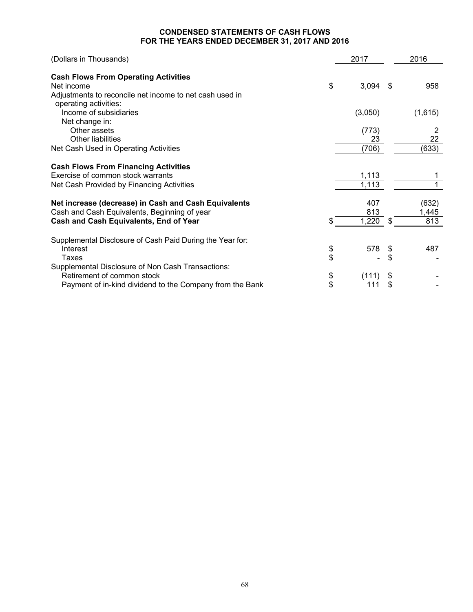### **CONDENSED STATEMENTS OF CASH FLOWS FOR THE YEARS ENDED DECEMBER 31, 2017 AND 2016**

| (Dollars in Thousands)                                                           |          | 2017    |     | 2016    |
|----------------------------------------------------------------------------------|----------|---------|-----|---------|
| <b>Cash Flows From Operating Activities</b>                                      |          |         |     |         |
| Net income                                                                       | \$       | 3,094   | S   | 958     |
| Adjustments to reconcile net income to net cash used in<br>operating activities: |          |         |     |         |
| Income of subsidiaries                                                           |          | (3,050) |     | (1,615) |
| Net change in:                                                                   |          |         |     |         |
| Other assets                                                                     |          | (773)   |     | 2       |
| <b>Other liabilities</b>                                                         |          | 23      |     | 22      |
| Net Cash Used in Operating Activities                                            |          | (706)   |     | (633)   |
| <b>Cash Flows From Financing Activities</b>                                      |          |         |     |         |
| Exercise of common stock warrants                                                |          | 1,113   |     |         |
| Net Cash Provided by Financing Activities                                        |          | 1,113   |     | 1       |
| Net increase (decrease) in Cash and Cash Equivalents                             |          | 407     |     | (632)   |
| Cash and Cash Equivalents, Beginning of year                                     |          | 813     |     | 1,445   |
| Cash and Cash Equivalents, End of Year                                           | \$       | 1,220   | \$. | 813     |
| Supplemental Disclosure of Cash Paid During the Year for:                        |          |         |     |         |
| Interest                                                                         |          | 578     | \$  | 487     |
| Taxes                                                                            | \$<br>\$ |         | \$  |         |
| Supplemental Disclosure of Non Cash Transactions:                                |          |         |     |         |
| Retirement of common stock                                                       | \$       | (111)   | \$  |         |
| Payment of in-kind dividend to the Company from the Bank                         | \$       | 111     | \$  |         |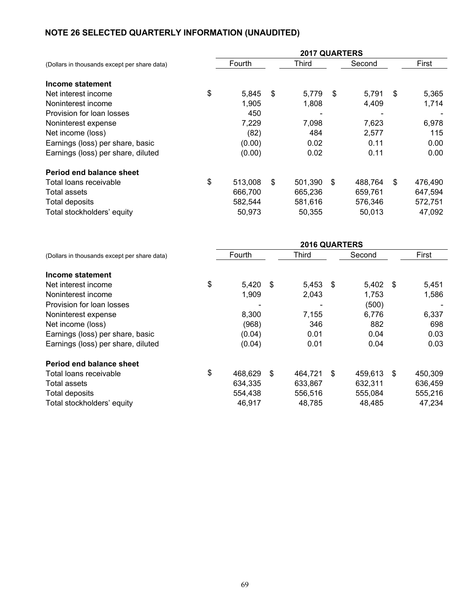# **NOTE 26 SELECTED QUARTERLY INFORMATION (UNAUDITED)**

|                                              | 2017 QUARTERS  |    |               |                           |         |    |         |  |
|----------------------------------------------|----------------|----|---------------|---------------------------|---------|----|---------|--|
| (Dollars in thousands except per share data) | Fourth         |    | <b>Third</b>  |                           | Second  |    | First   |  |
| <b>Income statement</b>                      |                |    |               |                           |         |    |         |  |
| Net interest income                          | \$<br>5,845    | \$ | 5,779         | \$                        | 5,791   | \$ | 5,365   |  |
| Noninterest income                           | 1,905          |    | 1,808         |                           | 4,409   |    | 1,714   |  |
| Provision for loan losses                    | 450            |    |               |                           |         |    |         |  |
| Noninterest expense                          | 7,229          |    | 7,098         |                           | 7,623   |    | 6,978   |  |
| Net income (loss)                            | (82)           |    | 484           |                           | 2,577   |    | 115     |  |
| Earnings (loss) per share, basic             | (0.00)         |    | 0.02          |                           | 0.11    |    | 0.00    |  |
| Earnings (loss) per share, diluted           | (0.00)         |    | 0.02          |                           | 0.11    |    | 0.00    |  |
| Period end balance sheet                     |                |    |               |                           |         |    |         |  |
| Total loans receivable                       | \$<br>513,008  | \$ | 501,390       | \$                        | 488,764 | \$ | 476,490 |  |
| <b>Total assets</b>                          | 666,700        |    | 665,236       |                           | 659,761 |    | 647,594 |  |
| <b>Total deposits</b>                        | 582,544        |    | 581,616       |                           | 576,346 |    | 572,751 |  |
| Total stockholders' equity                   | 50,973         |    | 50,355        |                           | 50,013  |    | 47,092  |  |
|                                              |                |    |               |                           |         |    |         |  |
|                                              |                |    | 2016 QUARTERS |                           |         |    |         |  |
| (Dollars in thousands except per share data) | Fourth         |    | <b>Third</b>  |                           | Second  |    | First   |  |
| Income statement                             |                |    |               |                           |         |    |         |  |
| Net interest income                          | \$<br>5,420 \$ |    | 5,453         | $\boldsymbol{\mathsf{s}}$ | 5,402   | \$ | 5,451   |  |
| Noninterest income                           | 1,909          |    | 2,043         |                           | 1,753   |    | 1,586   |  |
| Provision for loan losses                    |                |    |               |                           | (500)   |    |         |  |
| Noninterest expense                          | 8,300          |    | 7,155         |                           | 6,776   |    | 6,337   |  |
| Net income (loss)                            | (968)          |    | 346           |                           | 882     |    | 698     |  |
| Earnings (loss) per share, basic             | (0.04)         |    | 0.01          |                           | 0.04    |    | 0.03    |  |
| Earnings (loss) per share, diluted           | (0.04)         |    | 0.01          |                           | 0.04    |    | 0.03    |  |
| Period end balance sheet                     |                |    |               |                           |         |    |         |  |
| Total loans receivable                       | \$<br>468,629  | \$ | 464,721       | \$                        | 459,613 | \$ | 450,309 |  |
| <b>Total assets</b>                          | 634,335        |    | 633,867       |                           | 632,311 |    | 636,459 |  |
| <b>Total deposits</b>                        | 554,438        |    | 556,516       |                           | 555,084 |    | 555,216 |  |
| Total stockholders' equity                   | 46,917         |    | 48,785        |                           | 48,485  |    | 47,234  |  |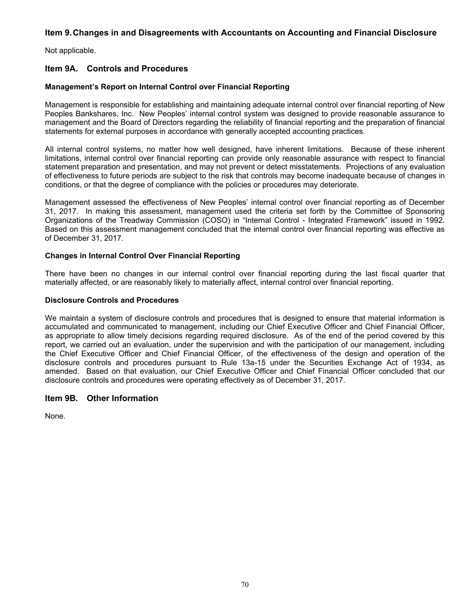### **Item 9. Changes in and Disagreements with Accountants on Accounting and Financial Disclosure**

Not applicable.

# **Item 9A. Controls and Procedures**

### **Management's Report on Internal Control over Financial Reporting**

Management is responsible for establishing and maintaining adequate internal control over financial reporting of New Peoples Bankshares, Inc. New Peoples' internal control system was designed to provide reasonable assurance to management and the Board of Directors regarding the reliability of financial reporting and the preparation of financial statements for external purposes in accordance with generally accepted accounting practices.

All internal control systems, no matter how well designed, have inherent limitations. Because of these inherent limitations, internal control over financial reporting can provide only reasonable assurance with respect to financial statement preparation and presentation, and may not prevent or detect misstatements. Projections of any evaluation of effectiveness to future periods are subject to the risk that controls may become inadequate because of changes in conditions, or that the degree of compliance with the policies or procedures may deteriorate.

Management assessed the effectiveness of New Peoples' internal control over financial reporting as of December 31, 2017. In making this assessment, management used the criteria set forth by the Committee of Sponsoring Organizations of the Treadway Commission (COSO) in "Internal Control - Integrated Framework" issued in 1992. Based on this assessment management concluded that the internal control over financial reporting was effective as of December 31, 2017.

### **Changes in Internal Control Over Financial Reporting**

There have been no changes in our internal control over financial reporting during the last fiscal quarter that materially affected, or are reasonably likely to materially affect, internal control over financial reporting.

### **Disclosure Controls and Procedures**

We maintain a system of disclosure controls and procedures that is designed to ensure that material information is accumulated and communicated to management, including our Chief Executive Officer and Chief Financial Officer, as appropriate to allow timely decisions regarding required disclosure. As of the end of the period covered by this report, we carried out an evaluation, under the supervision and with the participation of our management, including the Chief Executive Officer and Chief Financial Officer, of the effectiveness of the design and operation of the disclosure controls and procedures pursuant to Rule 13a-15 under the Securities Exchange Act of 1934, as amended. Based on that evaluation, our Chief Executive Officer and Chief Financial Officer concluded that our disclosure controls and procedures were operating effectively as of December 31, 2017.

### **Item 9B. Other Information**

None.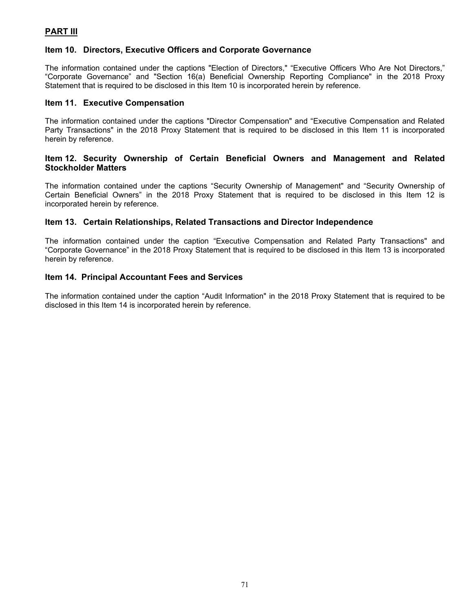# **Item 10. Directors, Executive Officers and Corporate Governance**

The information contained under the captions "Election of Directors," "Executive Officers Who Are Not Directors," "Corporate Governance" and "Section 16(a) Beneficial Ownership Reporting Compliance" in the 2018 Proxy Statement that is required to be disclosed in this Item 10 is incorporated herein by reference.

#### **Item 11. Executive Compensation**

The information contained under the captions "Director Compensation" and "Executive Compensation and Related Party Transactions" in the 2018 Proxy Statement that is required to be disclosed in this Item 11 is incorporated herein by reference.

### **Item 12. Security Ownership of Certain Beneficial Owners and Management and Related Stockholder Matters**

The information contained under the captions "Security Ownership of Management" and "Security Ownership of Certain Beneficial Owners" in the 2018 Proxy Statement that is required to be disclosed in this Item 12 is incorporated herein by reference.

### **Item 13. Certain Relationships, Related Transactions and Director Independence**

The information contained under the caption "Executive Compensation and Related Party Transactions" and "Corporate Governance" in the 2018 Proxy Statement that is required to be disclosed in this Item 13 is incorporated herein by reference.

### **Item 14. Principal Accountant Fees and Services**

The information contained under the caption "Audit Information" in the 2018 Proxy Statement that is required to be disclosed in this Item 14 is incorporated herein by reference.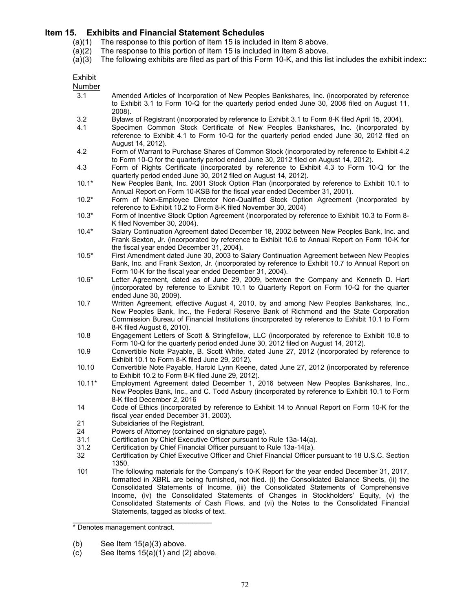### **Item 15. Exhibits and Financial Statement Schedules**

- (a)(1) The response to this portion of Item 15 is included in Item 8 above.
- (a)(2) The response to this portion of Item 15 is included in Item 8 above.
- (a)(3) The following exhibits are filed as part of this Form 10-K, and this list includes the exhibit index::

### Exhibit

Number

- 3.1 Amended Articles of Incorporation of New Peoples Bankshares, Inc. (incorporated by reference to Exhibit 3.1 to Form 10-Q for the quarterly period ended June 30, 2008 filed on August 11, 2008).
- 3.2 Bylaws of Registrant (incorporated by reference to Exhibit 3.1 to Form 8-K filed April 15, 2004).
- Specimen Common Stock Certificate of New Peoples Bankshares, Inc. (incorporated by reference to Exhibit 4.1 to Form 10-Q for the quarterly period ended June 30, 2012 filed on August 14, 2012).
- 4.2 Form of Warrant to Purchase Shares of Common Stock (incorporated by reference to Exhibit 4.2 to Form 10-Q for the quarterly period ended June 30, 2012 filed on August 14, 2012).
- 4.3 Form of Rights Certificate (incorporated by reference to Exhibit 4.3 to Form 10-Q for the quarterly period ended June 30, 2012 filed on August 14, 2012).
- 10.1\* New Peoples Bank, Inc. 2001 Stock Option Plan (incorporated by reference to Exhibit 10.1 to Annual Report on Form 10-KSB for the fiscal year ended December 31, 2001).
- 10.2\* Form of Non-Employee Director Non-Qualified Stock Option Agreement (incorporated by reference to Exhibit 10.2 to Form 8-K filed November 30, 2004)
- 10.3\* Form of Incentive Stock Option Agreement (incorporated by reference to Exhibit 10.3 to Form 8- K filed November 30, 2004).
- 10.4\* Salary Continuation Agreement dated December 18, 2002 between New Peoples Bank, Inc. and Frank Sexton, Jr. (incorporated by reference to Exhibit 10.6 to Annual Report on Form 10-K for the fiscal year ended December 31, 2004).
- 10.5\* First Amendment dated June 30, 2003 to Salary Continuation Agreement between New Peoples Bank, Inc. and Frank Sexton, Jr. (incorporated by reference to Exhibit 10.7 to Annual Report on Form 10-K for the fiscal year ended December 31, 2004).
- 10.6\* Letter Agreement, dated as of June 29, 2009, between the Company and Kenneth D. Hart (incorporated by reference to Exhibit 10.1 to Quarterly Report on Form 10-Q for the quarter ended June 30, 2009).
- 10.7 Written Agreement, effective August 4, 2010, by and among New Peoples Bankshares, Inc., New Peoples Bank, Inc., the Federal Reserve Bank of Richmond and the State Corporation Commission Bureau of Financial Institutions (incorporated by reference to Exhibit 10.1 to Form 8-K filed August 6, 2010).
- 10.8 Engagement Letters of Scott & Stringfellow, LLC (incorporated by reference to Exhibit 10.8 to Form 10-Q for the quarterly period ended June 30, 2012 filed on August 14, 2012).
- 10.9 Convertible Note Payable, B. Scott White, dated June 27, 2012 (incorporated by reference to Exhibit 10.1 to Form 8-K filed June 29, 2012).
- 10.10 Convertible Note Payable, Harold Lynn Keene, dated June 27, 2012 (incorporated by reference to Exhibit 10.2 to Form 8-K filed June 29, 2012).
- 10.11\* Employment Agreement dated December 1, 2016 between New Peoples Bankshares, Inc., New Peoples Bank, Inc., and C. Todd Asbury (incorporated by reference to Exhibit 10.1 to Form 8-K filed December 2, 2016
- 14 Code of Ethics (incorporated by reference to Exhibit 14 to Annual Report on Form 10-K for the fiscal year ended December 31, 2003).
- 21 Subsidiaries of the Registrant.
- 24 Powers of Attorney (contained on signature page).<br>31.1 Certification by Chief Executive Officer pursuant to
- Certification by Chief Executive Officer pursuant to Rule 13a-14(a).
- 31.2 Certification by Chief Financial Officer pursuant to Rule 13a-14(a).
- 32 Certification by Chief Executive Officer and Chief Financial Officer pursuant to 18 U.S.C. Section 1350.
- 101 The following materials for the Company's 10-K Report for the year ended December 31, 2017, formatted in XBRL are being furnished, not filed. (i) the Consolidated Balance Sheets, (ii) the Consolidated Statements of Income, (iii) the Consolidated Statements of Comprehensive Income, (iv) the Consolidated Statements of Changes in Stockholders' Equity, (v) the Consolidated Statements of Cash Flows, and (vi) the Notes to the Consolidated Financial Statements, tagged as blocks of text.

\_\_\_\_\_\_\_\_\_\_\_\_\_\_\_\_\_\_\_\_\_\_\_\_\_\_\_\_\_\_\_\_\_\_\_\_

<sup>\*</sup> Denotes management contract.

<sup>(</sup>b) See Item  $15(a)(3)$  above.

<sup>(</sup>c) See Items  $15(a)(1)$  and  $(2)$  above.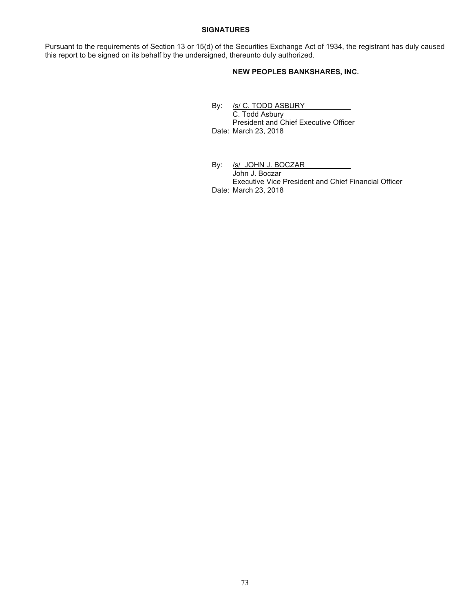# **SIGNATURES**

Pursuant to the requirements of Section 13 or 15(d) of the Securities Exchange Act of 1934, the registrant has duly caused this report to be signed on its behalf by the undersigned, thereunto duly authorized.

# **NEW PEOPLES BANKSHARES, INC.**

By: /s/ C. TODD ASBURY

C. Todd Asbury President and Chief Executive Officer Date: March 23, 2018

By: /s/ JOHN J. BOCZAR John J. Boczar Executive Vice President and Chief Financial Officer Date: March 23, 2018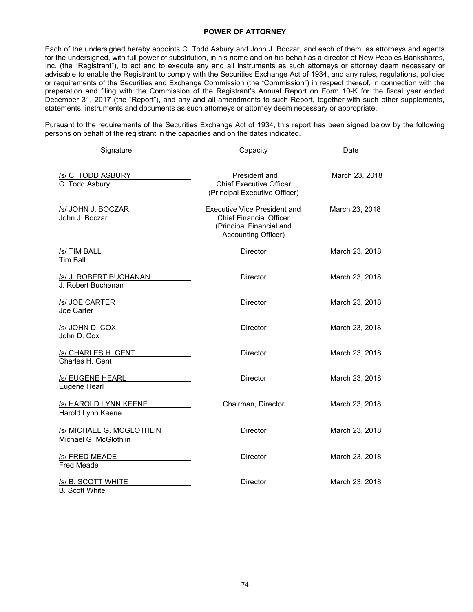#### **POWER OF ATTORNEY**

Each of the undersigned hereby appoints C. Todd Asbury and John J. Boczar, and each of them, as attorneys and agents for the undersigned, with full power of substitution, in his name and on his behalf as a director of New Peoples Bankshares, Inc. (the "Registrant"), to act and to execute any and all instruments as such attorneys or attorney deem necessary or advisable to enable the Registrant to comply with the Securities Exchange Act of 1934, and any rules, regulations, policies or requirements of the Securities and Exchange Commission (the "Commission") in respect thereof, in connection with the preparation and filing with the Commission of the Registrant's Annual Report on Form 10-K for the fiscal year ended December 31, 2017 (the "Report"), and any and all amendments to such Report, together with such other supplements, statements, instruments and documents as such attorneys or attorney deem necessary or appropriate.

Pursuant to the requirements of the Securities Exchange Act of 1934, this report has been signed below by the following persons on behalf of the registrant in the capacities and on the dates indicated.

| <b>Signature</b>                                          | Capacity                                                                                                                 | Date           |
|-----------------------------------------------------------|--------------------------------------------------------------------------------------------------------------------------|----------------|
| <b>/s/ C. TODD ASBURY</b><br>C. Todd Asbury               | President and<br><b>Chief Executive Officer</b><br>(Principal Executive Officer)                                         | March 23, 2018 |
| <b>/s/ JOHN J. BOCZAR</b><br>John J. Boczar               | <b>Executive Vice President and</b><br><b>Chief Financial Officer</b><br>(Principal Financial and<br>Accounting Officer) | March 23, 2018 |
| <u>/s/ TIM BALL</u><br><b>Tim Ball</b>                    | <b>Director</b>                                                                                                          | March 23, 2018 |
| /s/ J. ROBERT BUCHANAN<br>J. Robert Buchanan              | Director                                                                                                                 | March 23, 2018 |
| /s/ JOE CARTER<br>Joe Carter                              | <b>Director</b>                                                                                                          | March 23, 2018 |
| <b>/s/ JOHN D. COX</b><br>John D. Cox                     | <b>Director</b>                                                                                                          | March 23, 2018 |
| <b>S/ CHARLES H. GENT</b><br>Charles H. Gent              | <b>Director</b>                                                                                                          | March 23, 2018 |
| /s/ EUGENE HEARL<br>Eugene Hearl                          | <b>Director</b>                                                                                                          | March 23, 2018 |
| <b>/s/ HAROLD LYNN KEENE</b><br>Harold Lynn Keene         | Chairman, Director                                                                                                       | March 23, 2018 |
| <b>/s/ MICHAEL G. MCGLOTHLIN</b><br>Michael G. McGlothlin | <b>Director</b>                                                                                                          | March 23, 2018 |
| <b>/s/ FRED MEADE</b><br><b>Fred Meade</b>                | <b>Director</b>                                                                                                          | March 23, 2018 |
| <b>S/ B. SCOTT WHITE</b><br><b>B.</b> Scott White         | <b>Director</b>                                                                                                          | March 23, 2018 |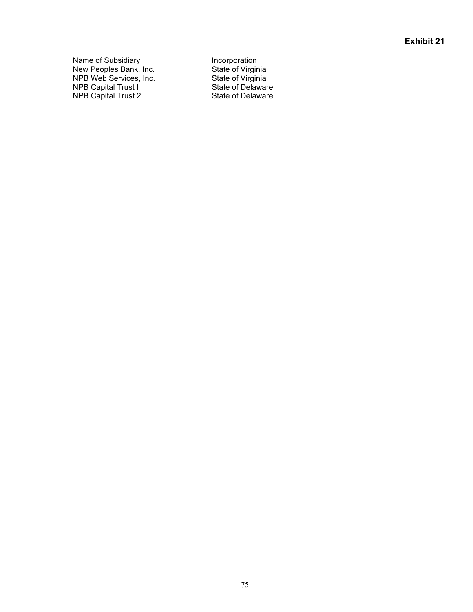**Name of Subsidiary Incorporation** New Peoples Bank, Inc. State of Virginia Name of Subsidiary Incorporation<br>
New Peoples Bank, Inc. State of Virginia<br>
NPB Web Services, Inc. State of Virginia<br>
NPB Capital Trust I State of Delaware NPB Capital Trust I State of Delaware NPB Capital Trust 2 State of Delaware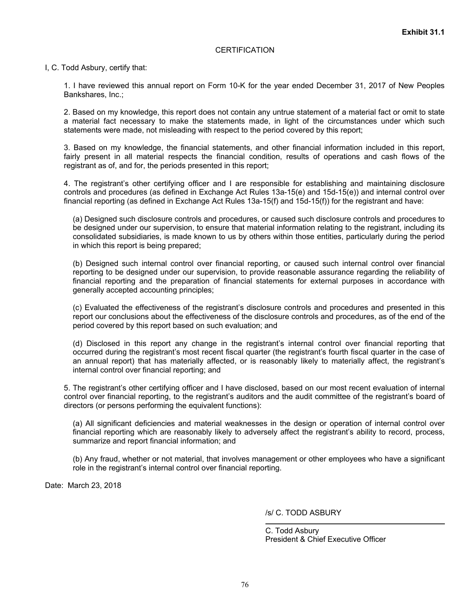#### **CERTIFICATION**

### I, C. Todd Asbury, certify that:

1. I have reviewed this annual report on Form 10-K for the year ended December 31, 2017 of New Peoples Bankshares, Inc.;

2. Based on my knowledge, this report does not contain any untrue statement of a material fact or omit to state a material fact necessary to make the statements made, in light of the circumstances under which such statements were made, not misleading with respect to the period covered by this report;

3. Based on my knowledge, the financial statements, and other financial information included in this report, fairly present in all material respects the financial condition, results of operations and cash flows of the registrant as of, and for, the periods presented in this report;

4. The registrant's other certifying officer and I are responsible for establishing and maintaining disclosure controls and procedures (as defined in Exchange Act Rules 13a-15(e) and 15d-15(e)) and internal control over financial reporting (as defined in Exchange Act Rules 13a-15(f) and 15d-15(f)) for the registrant and have:

(a) Designed such disclosure controls and procedures, or caused such disclosure controls and procedures to be designed under our supervision, to ensure that material information relating to the registrant, including its consolidated subsidiaries, is made known to us by others within those entities, particularly during the period in which this report is being prepared;

(b) Designed such internal control over financial reporting, or caused such internal control over financial reporting to be designed under our supervision, to provide reasonable assurance regarding the reliability of financial reporting and the preparation of financial statements for external purposes in accordance with generally accepted accounting principles;

(c) Evaluated the effectiveness of the registrant's disclosure controls and procedures and presented in this report our conclusions about the effectiveness of the disclosure controls and procedures, as of the end of the period covered by this report based on such evaluation; and

(d) Disclosed in this report any change in the registrant's internal control over financial reporting that occurred during the registrant's most recent fiscal quarter (the registrant's fourth fiscal quarter in the case of an annual report) that has materially affected, or is reasonably likely to materially affect, the registrant's internal control over financial reporting; and

5. The registrant's other certifying officer and I have disclosed, based on our most recent evaluation of internal control over financial reporting, to the registrant's auditors and the audit committee of the registrant's board of directors (or persons performing the equivalent functions):

(a) All significant deficiencies and material weaknesses in the design or operation of internal control over financial reporting which are reasonably likely to adversely affect the registrant's ability to record, process, summarize and report financial information; and

(b) Any fraud, whether or not material, that involves management or other employees who have a significant role in the registrant's internal control over financial reporting.

Date: March 23, 2018

/s/ C. TODD ASBURY

C. Todd Asbury President & Chief Executive Officer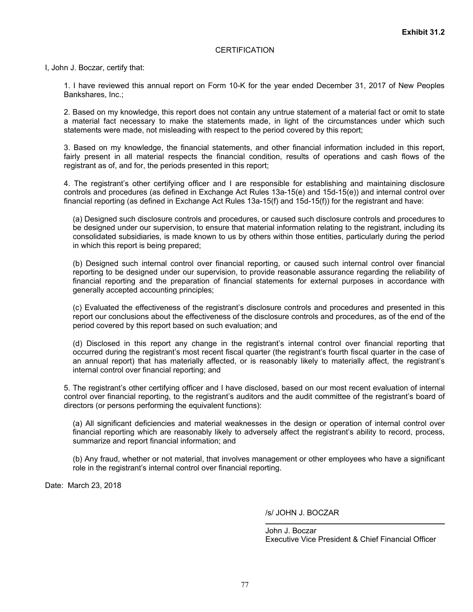#### **CERTIFICATION**

I, John J. Boczar, certify that:

1. I have reviewed this annual report on Form 10-K for the year ended December 31, 2017 of New Peoples Bankshares, Inc.;

2. Based on my knowledge, this report does not contain any untrue statement of a material fact or omit to state a material fact necessary to make the statements made, in light of the circumstances under which such statements were made, not misleading with respect to the period covered by this report;

3. Based on my knowledge, the financial statements, and other financial information included in this report, fairly present in all material respects the financial condition, results of operations and cash flows of the registrant as of, and for, the periods presented in this report;

4. The registrant's other certifying officer and I are responsible for establishing and maintaining disclosure controls and procedures (as defined in Exchange Act Rules 13a-15(e) and 15d-15(e)) and internal control over financial reporting (as defined in Exchange Act Rules 13a-15(f) and 15d-15(f)) for the registrant and have:

(a) Designed such disclosure controls and procedures, or caused such disclosure controls and procedures to be designed under our supervision, to ensure that material information relating to the registrant, including its consolidated subsidiaries, is made known to us by others within those entities, particularly during the period in which this report is being prepared;

(b) Designed such internal control over financial reporting, or caused such internal control over financial reporting to be designed under our supervision, to provide reasonable assurance regarding the reliability of financial reporting and the preparation of financial statements for external purposes in accordance with generally accepted accounting principles;

(c) Evaluated the effectiveness of the registrant's disclosure controls and procedures and presented in this report our conclusions about the effectiveness of the disclosure controls and procedures, as of the end of the period covered by this report based on such evaluation; and

(d) Disclosed in this report any change in the registrant's internal control over financial reporting that occurred during the registrant's most recent fiscal quarter (the registrant's fourth fiscal quarter in the case of an annual report) that has materially affected, or is reasonably likely to materially affect, the registrant's internal control over financial reporting; and

5. The registrant's other certifying officer and I have disclosed, based on our most recent evaluation of internal control over financial reporting, to the registrant's auditors and the audit committee of the registrant's board of directors (or persons performing the equivalent functions):

(a) All significant deficiencies and material weaknesses in the design or operation of internal control over financial reporting which are reasonably likely to adversely affect the registrant's ability to record, process, summarize and report financial information; and

(b) Any fraud, whether or not material, that involves management or other employees who have a significant role in the registrant's internal control over financial reporting.

Date: March 23, 2018

/s/ JOHN J. BOCZAR

John J. Boczar Executive Vice President & Chief Financial Officer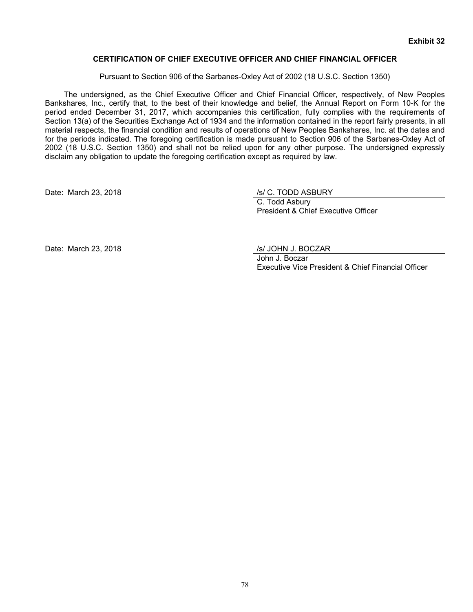## **CERTIFICATION OF CHIEF EXECUTIVE OFFICER AND CHIEF FINANCIAL OFFICER**

Pursuant to Section 906 of the Sarbanes-Oxley Act of 2002 (18 U.S.C. Section 1350)

The undersigned, as the Chief Executive Officer and Chief Financial Officer, respectively, of New Peoples Bankshares, Inc., certify that, to the best of their knowledge and belief, the Annual Report on Form 10-K for the period ended December 31, 2017, which accompanies this certification, fully complies with the requirements of Section 13(a) of the Securities Exchange Act of 1934 and the information contained in the report fairly presents, in all material respects, the financial condition and results of operations of New Peoples Bankshares, Inc. at the dates and for the periods indicated. The foregoing certification is made pursuant to Section 906 of the Sarbanes-Oxley Act of 2002 (18 U.S.C. Section 1350) and shall not be relied upon for any other purpose. The undersigned expressly disclaim any obligation to update the foregoing certification except as required by law.

Date: March 23, 2018 /s/ C. TODD ASBURY

C. Todd Asbury President & Chief Executive Officer

Date: March 23, 2018 /s/ JOHN J. BOCZAR

John J. Boczar

Executive Vice President & Chief Financial Officer